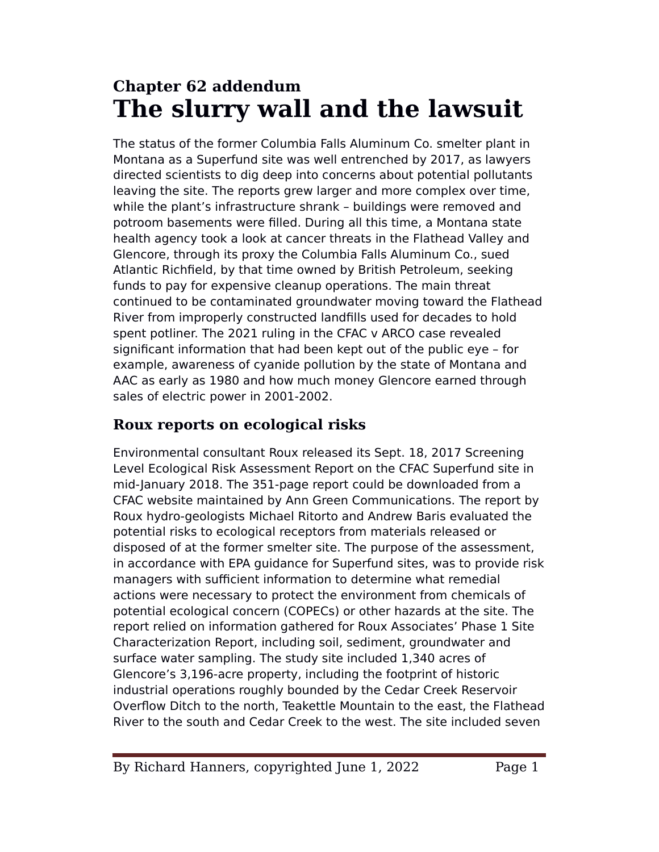# **Chapter 62 addendum The slurry wall and the lawsuit**

The status of the former Columbia Falls Aluminum Co. smelter plant in Montana as a Superfund site was well entrenched by 2017, as lawyers directed scientists to dig deep into concerns about potential pollutants leaving the site. The reports grew larger and more complex over time, while the plant's infrastructure shrank – buildings were removed and potroom basements were flled. During all this time, a Montana state health agency took a look at cancer threats in the Flathead Valley and Glencore, through its proxy the Columbia Falls Aluminum Co., sued Atlantic Richfield, by that time owned by British Petroleum, seeking funds to pay for expensive cleanup operations. The main threat continued to be contaminated groundwater moving toward the Flathead River from improperly constructed landflls used for decades to hold spent potliner. The 2021 ruling in the CFAC v ARCO case revealed signifcant information that had been kept out of the public eye – for example, awareness of cyanide pollution by the state of Montana and AAC as early as 1980 and how much money Glencore earned through sales of electric power in 2001-2002.

# **Roux reports on ecological risks**

Environmental consultant Roux released its Sept. 18, 2017 Screening Level Ecological Risk Assessment Report on the CFAC Superfund site in mid-January 2018. The 351-page report could be downloaded from a CFAC website maintained by Ann Green Communications. The report by Roux hydro-geologists Michael Ritorto and Andrew Baris evaluated the potential risks to ecological receptors from materials released or disposed of at the former smelter site. The purpose of the assessment, in accordance with EeA guidance for Superfund sites, was to provide risk managers with sufficient information to determine what remedial actions were necessary to protect the environment from chemicals of potential ecological concern (COeECs) or other hazards at the site. The report relied on information gathered for Roux Associates' Phase 1 Site Characterization Report, including soil, sediment, groundwater and surface water sampling. The study site included 1,340 acres of Glencore's 3,196-acre property, including the footprint of historic industrial operations roughly bounded by the Cedar Creek Reservoir Overflow Ditch to the north, Teakettle Mountain to the east, the Flathead River to the south and Cedar Creek to the west. The site included seven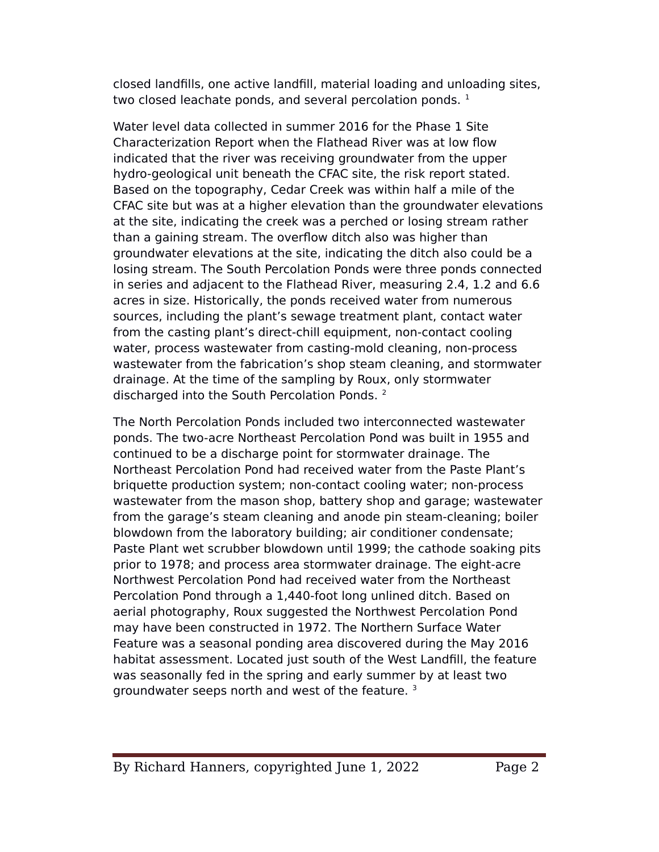closed landflls, one active landfll, material loading and unloading sites, two closed leachate ponds, and several percolation ponds.  $1$ 

Water level data collected in summer 2016 for the Phase 1 Site Characterization Report when the Flathead River was at low flow indicated that the river was receiving groundwater from the upper hydro-geological unit beneath the CFAC site, the risk report stated. Based on the topography, Cedar Creek was within half a mile of the CFAC site but was at a higher elevation than the groundwater elevations at the site, indicating the creek was a perched or losing stream rather than a gaining stream. The overflow ditch also was higher than groundwater elevations at the site, indicating the ditch also could be a losing stream. The South Percolation Ponds were three ponds connected in series and adjacent to the Flathead River, measuring 2.4, 1.2 and 6.6 acres in size. Historically, the ponds received water from numerous sources, including the plant's sewage treatment plant, contact water from the casting plant's direct-chill equipment, non-contact cooling water, process wastewater from casting-mold cleaning, non-process wastewater from the fabrication's shop steam cleaning, and stormwater drainage. At the time of the sampling by Roux, only stormwater discharged into the South Percolation Ponds.<sup>2</sup>

The North eercolation eonds included two interconnected wastewater ponds. The two-acre Northeast Percolation Pond was built in 1955 and continued to be a discharge point for stormwater drainage. The Northeast Percolation Pond had received water from the Paste Plant's briquette production system; non-contact cooling water; non-process wastewater from the mason shop, battery shop and garage; wastewater from the garage's steam cleaning and anode pin steam-cleaning; boiler blowdown from the laboratory building; air conditioner condensate; Paste Plant wet scrubber blowdown until 1999; the cathode soaking pits prior to 1978; and process area stormwater drainage. The eight-acre Northwest Percolation Pond had received water from the Northeast Percolation Pond through a 1,440-foot long unlined ditch. Based on aerial photography, Roux suggested the Northwest Percolation Pond may have been constructed in 1972. The Northern Surface Water Feature was a seasonal ponding area discovered during the May 2016 habitat assessment. Located just south of the West Landfll, the feature was seasonally fed in the spring and early summer by at least two groundwater seeps north and west of the feature. <sup>3</sup>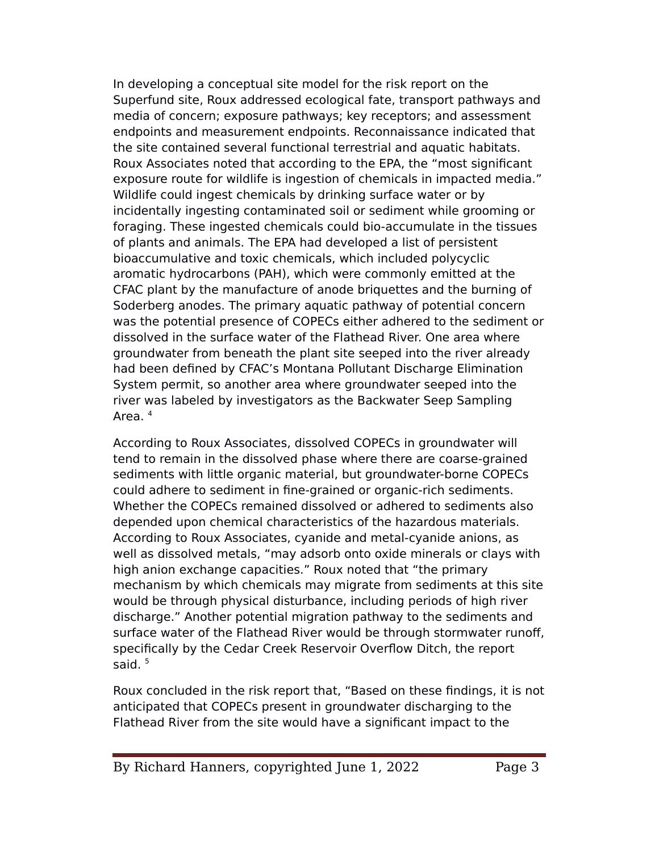In developing a conceptual site model for the risk report on the Superfund site, Roux addressed ecological fate, transport pathways and media of concern; exposure pathways; key receptors; and assessment endpoints and measurement endpoints. Reconnaissance indicated that the site contained several functional terrestrial and aquatic habitats. Roux Associates noted that according to the EeA, the "most signifcant exposure route for wildlife is ingestion of chemicals in impacted media." Wildlife could ingest chemicals by drinking surface water or by incidentally ingesting contaminated soil or sediment while grooming or foraging. These ingested chemicals could bio-accumulate in the tissues of plants and animals. The EeA had developed a list of persistent bioaccumulative and toxic chemicals, which included polycyclic aromatic hydrocarbons (eAH), which were commonly emitted at the CFAC plant by the manufacture of anode briquettes and the burning of Soderberg anodes. The primary aquatic pathway of potential concern was the potential presence of COPECs either adhered to the sediment or dissolved in the surface water of the Flathead River. One area where groundwater from beneath the plant site seeped into the river already had been defned by CFAC's Montana eollutant Discharge Elimination System permit, so another area where groundwater seeped into the river was labeled by investigators as the Backwater Seep Sampling Area. <sup>4</sup>

According to Roux Associates, dissolved COPECs in groundwater will tend to remain in the dissolved phase where there are coarse-grained sediments with little organic material, but groundwater-borne COPECs could adhere to sediment in fne-grained or organic-rich sediments. Whether the COPECs remained dissolved or adhered to sediments also depended upon chemical characteristics of the hazardous materials. According to Roux Associates, cyanide and metal-cyanide anions, as well as dissolved metals, "may adsorb onto oxide minerals or clays with high anion exchange capacities." Roux noted that "the primary mechanism by which chemicals may migrate from sediments at this site would be through physical disturbance, including periods of high river discharge." Another potential migration pathway to the sediments and surface water of the Flathead River would be through stormwater runoff, specifcally by the Cedar Creek Reservoir Overflow Ditch, the report said.<sup>5</sup>

Roux concluded in the risk report that, "Based on these fndings, it is not anticipated that COPECs present in groundwater discharging to the Flathead River from the site would have a signifcant impact to the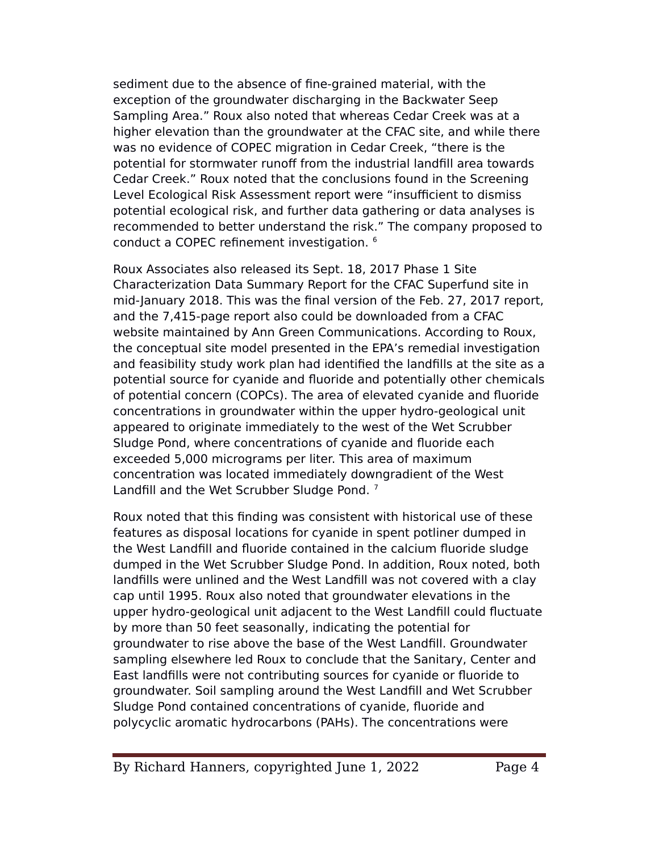sediment due to the absence of fne-grained material, with the exception of the groundwater discharging in the Backwater Seep Sampling Area." Roux also noted that whereas Cedar Creek was at a higher elevation than the groundwater at the CFAC site, and while there was no evidence of COPEC migration in Cedar Creek, "there is the potential for stormwater runoff from the industrial landfill area towards Cedar Creek." Roux noted that the conclusions found in the Screening Level Ecological Risk Assessment report were "insufficient to dismiss potential ecological risk, and further data gathering or data analyses is recommended to better understand the risk." The company proposed to conduct a COPEC refinement investigation. <sup>6</sup>

Roux Associates also released its Sept. 18, 2017 Phase 1 Site Characterization Data Summary Report for the CFAC Superfund site in mid-January 2018. This was the fnal version of the Feb. 27, 2017 report, and the 7,415-page report also could be downloaded from a CFAC website maintained by Ann Green Communications. According to Roux, the conceptual site model presented in the EeA's remedial investigation and feasibility study work plan had identifed the landflls at the site as a potential source for cyanide and fluoride and potentially other chemicals of potential concern (COeCs). The area of elevated cyanide and fluoride concentrations in groundwater within the upper hydro-geological unit appeared to originate immediately to the west of the Wet Scrubber Sludge Pond, where concentrations of cyanide and fluoride each exceeded 5,000 micrograms per liter. This area of maximum concentration was located immediately downgradient of the West Landfill and the Wet Scrubber Sludge Pond.  $^7$ 

Roux noted that this fnding was consistent with historical use of these features as disposal locations for cyanide in spent potliner dumped in the West Landfll and fluoride contained in the calcium fluoride sludge dumped in the Wet Scrubber Sludge eond. In addition, Roux noted, both landfills were unlined and the West Landfill was not covered with a clay cap until 1995. Roux also noted that groundwater elevations in the upper hydro-geological unit adjacent to the West Landfll could fluctuate by more than 50 feet seasonally, indicating the potential for groundwater to rise above the base of the West Landfll. Groundwater sampling elsewhere led Roux to conclude that the Sanitary, Center and East landflls were not contributing sources for cyanide or fluoride to groundwater. Soil sampling around the West Landfll and Wet Scrubber Sludge Pond contained concentrations of cyanide, fluoride and polycyclic aromatic hydrocarbons (eAHs). The concentrations were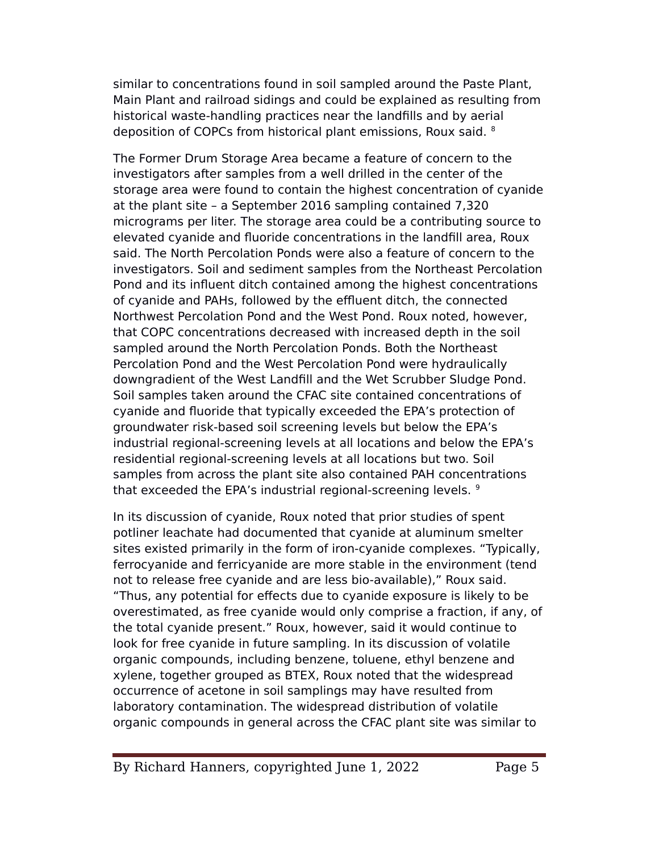similar to concentrations found in soil sampled around the Paste Plant, Main Plant and railroad sidings and could be explained as resulting from historical waste-handling practices near the landflls and by aerial deposition of COPCs from historical plant emissions, Roux said. 8

The Former Drum Storage Area became a feature of concern to the investigators after samples from a well drilled in the center of the storage area were found to contain the highest concentration of cyanide at the plant site – a September 2016 sampling contained 7,320 micrograms per liter. The storage area could be a contributing source to elevated cyanide and fluoride concentrations in the landfll area, Roux said. The North Percolation Ponds were also a feature of concern to the investigators. Soil and sediment samples from the Northeast eercolation Pond and its influent ditch contained among the highest concentrations of cyanide and PAHs, followed by the effluent ditch, the connected Northwest Percolation Pond and the West Pond. Roux noted, however, that COPC concentrations decreased with increased depth in the soil sampled around the North Percolation Ponds. Both the Northeast Percolation Pond and the West Percolation Pond were hydraulically downgradient of the West Landfill and the Wet Scrubber Sludge Pond. Soil samples taken around the CFAC site contained concentrations of cyanide and fluoride that typically exceeded the EPA's protection of groundwater risk-based soil screening levels but below the EPA's industrial regional-screening levels at all locations and below the EPA's residential regional-screening levels at all locations but two. Soil samples from across the plant site also contained PAH concentrations that exceeded the EPA's industrial regional-screening levels.<sup>9</sup>

In its discussion of cyanide, Roux noted that prior studies of spent potliner leachate had documented that cyanide at aluminum smelter sites existed primarily in the form of iron-cyanide complexes. "Typically, ferrocyanide and ferricyanide are more stable in the environment (tend not to release free cyanide and are less bio-available)," Roux said. "Thus, any potential for efects due to cyanide exposure is likely to be overestimated, as free cyanide would only comprise a fraction, if any, of the total cyanide present." Roux, however, said it would continue to look for free cyanide in future sampling. In its discussion of volatile organic compounds, including benzene, toluene, ethyl benzene and xylene, together grouped as BTEX, Roux noted that the widespread occurrence of acetone in soil samplings may have resulted from laboratory contamination. The widespread distribution of volatile organic compounds in general across the CFAC plant site was similar to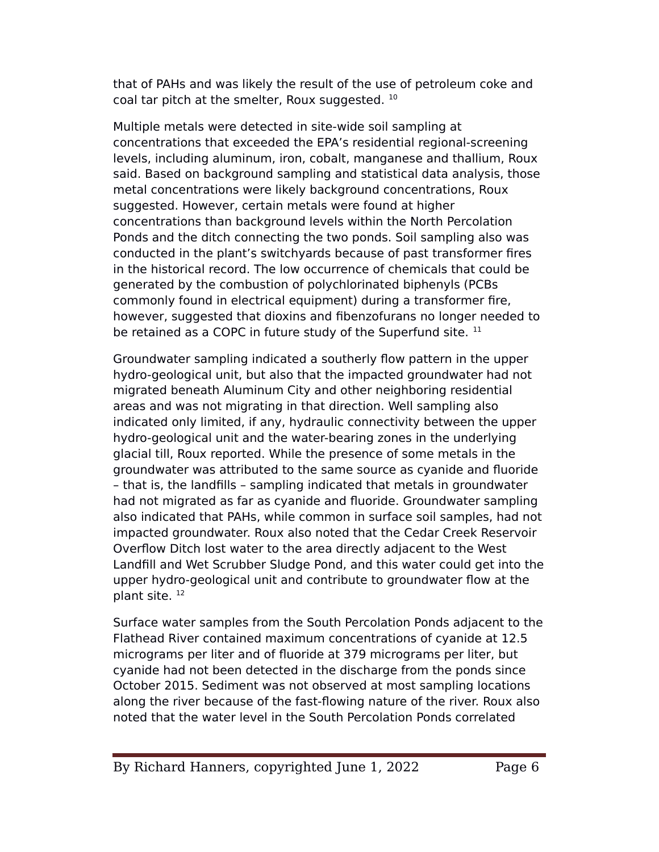that of eAHs and was likely the result of the use of petroleum coke and coal tar pitch at the smelter, Roux suggested. <sup>10</sup>

Multiple metals were detected in site-wide soil sampling at concentrations that exceeded the EeA's residential regional-screening levels, including aluminum, iron, cobalt, manganese and thallium, Roux said. Based on background sampling and statistical data analysis, those metal concentrations were likely background concentrations, Roux suggested. However, certain metals were found at higher concentrations than background levels within the North Percolation Ponds and the ditch connecting the two ponds. Soil sampling also was conducted in the plant's switchyards because of past transformer fres in the historical record. The low occurrence of chemicals that could be generated by the combustion of polychlorinated biphenyls (eCBs commonly found in electrical equipment) during a transformer fre, however, suggested that dioxins and fbenzofurans no longer needed to be retained as a COPC in future study of the Superfund site. <sup>11</sup>

Groundwater sampling indicated a southerly flow pattern in the upper hydro-geological unit, but also that the impacted groundwater had not migrated beneath Aluminum City and other neighboring residential areas and was not migrating in that direction. Well sampling also indicated only limited, if any, hydraulic connectivity between the upper hydro-geological unit and the water-bearing zones in the underlying glacial till, Roux reported. While the presence of some metals in the groundwater was attributed to the same source as cyanide and fluoride – that is, the landflls – sampling indicated that metals in groundwater had not migrated as far as cyanide and fluoride. Groundwater sampling also indicated that PAHs, while common in surface soil samples, had not impacted groundwater. Roux also noted that the Cedar Creek Reservoir Overflow Ditch lost water to the area directly adjacent to the West Landfill and Wet Scrubber Sludge Pond, and this water could get into the upper hydro-geological unit and contribute to groundwater flow at the plant site.<sup>12</sup>

Surface water samples from the South Percolation Ponds adjacent to the Flathead River contained maximum concentrations of cyanide at 12.5 micrograms per liter and of fluoride at 379 micrograms per liter, but cyanide had not been detected in the discharge from the ponds since October 2015. Sediment was not observed at most sampling locations along the river because of the fast-flowing nature of the river. Roux also noted that the water level in the South Percolation Ponds correlated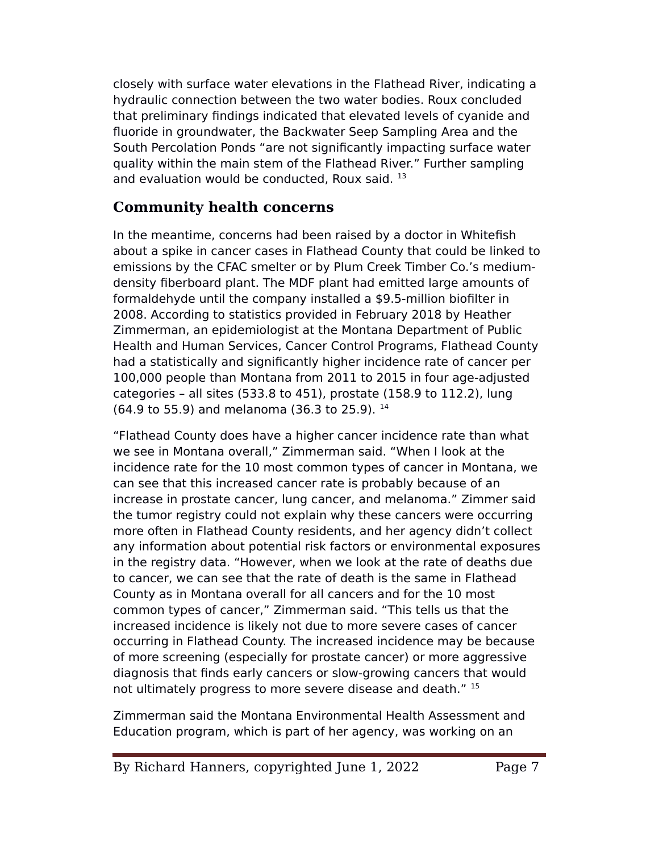closely with surface water elevations in the Flathead River, indicating a hydraulic connection between the two water bodies. Roux concluded that preliminary fndings indicated that elevated levels of cyanide and fluoride in groundwater, the Backwater Seep Sampling Area and the South Percolation Ponds "are not significantly impacting surface water quality within the main stem of the Flathead River." Further sampling and evaluation would be conducted, Roux said.<sup>13</sup>

#### **Community health concerns**

In the meantime, concerns had been raised by a doctor in Whitefsh about a spike in cancer cases in Flathead County that could be linked to emissions by the CFAC smelter or by elum Creek Timber Co.'s mediumdensity fberboard plant. The MDF plant had emitted large amounts of formaldehyde until the company installed a \$9.5-million bioflter in 2008. According to statistics provided in February 2018 by Heather Zimmerman, an epidemiologist at the Montana Department of Public Health and Human Services, Cancer Control Programs, Flathead County had a statistically and signifcantly higher incidence rate of cancer per 100,000 people than Montana from 2011 to 2015 in four age-adjusted categories – all sites (533.8 to 451), prostate (158.9 to 112.2), lung (64.9 to 55.9) and melanoma (36.3 to 25.9). <sup>14</sup>

"Flathead County does have a higher cancer incidence rate than what we see in Montana overall," Zimmerman said. "When I look at the incidence rate for the 10 most common types of cancer in Montana, we can see that this increased cancer rate is probably because of an increase in prostate cancer, lung cancer, and melanoma." Zimmer said the tumor registry could not explain why these cancers were occurring more often in Flathead County residents, and her agency didn't collect any information about potential risk factors or environmental exposures in the registry data. "However, when we look at the rate of deaths due to cancer, we can see that the rate of death is the same in Flathead County as in Montana overall for all cancers and for the 10 most common types of cancer," Zimmerman said. "This tells us that the increased incidence is likely not due to more severe cases of cancer occurring in Flathead County. The increased incidence may be because of more screening (especially for prostate cancer) or more aggressive diagnosis that fnds early cancers or slow-growing cancers that would not ultimately progress to more severe disease and death." 15

Zimmerman said the Montana Environmental Health Assessment and Education program, which is part of her agency, was working on an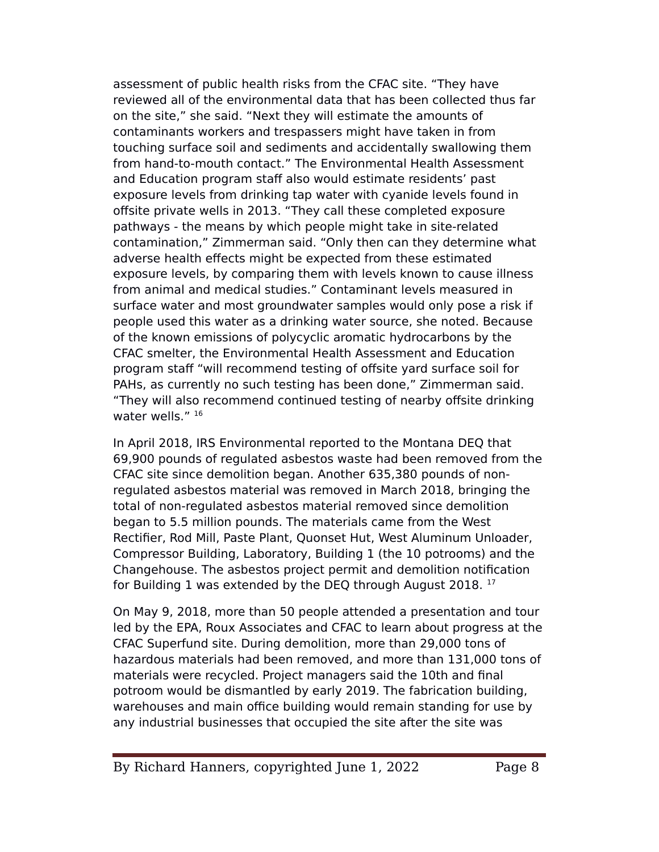assessment of public health risks from the CFAC site. "They have reviewed all of the environmental data that has been collected thus far on the site," she said. "Next they will estimate the amounts of contaminants workers and trespassers might have taken in from touching surface soil and sediments and accidentally swallowing them from hand-to-mouth contact." The Environmental Health Assessment and Education program staff also would estimate residents' past exposure levels from drinking tap water with cyanide levels found in ofsite private wells in 2013. "They call these completed exposure pathways - the means by which people might take in site-related contamination," Zimmerman said. "Only then can they determine what adverse health efects might be expected from these estimated exposure levels, by comparing them with levels known to cause illness from animal and medical studies." Contaminant levels measured in surface water and most groundwater samples would only pose a risk if people used this water as a drinking water source, she noted. Because of the known emissions of polycyclic aromatic hydrocarbons by the CFAC smelter, the Environmental Health Assessment and Education program staf "will recommend testing of ofsite yard surface soil for eAHs, as currently no such testing has been done," Zimmerman said. "They will also recommend continued testing of nearby ofsite drinking water wells." 16

In April 2018, IRS Environmental reported to the Montana DEQ that 69,900 pounds of regulated asbestos waste had been removed from the CFAC site since demolition began. Another 635,380 pounds of nonregulated asbestos material was removed in March 2018, bringing the total of non-regulated asbestos material removed since demolition began to 5.5 million pounds. The materials came from the West Rectifier, Rod Mill, Paste Plant, Quonset Hut, West Aluminum Unloader, Compressor Building, Laboratory, Building 1 (the 10 potrooms) and the Changehouse. The asbestos project permit and demolition notifcation for Building 1 was extended by the DEQ through August 2018.<sup>17</sup>

On May 9, 2018, more than 50 people attended a presentation and tour led by the EeA, Roux Associates and CFAC to learn about progress at the CFAC Superfund site. During demolition, more than 29,000 tons of hazardous materials had been removed, and more than 131,000 tons of materials were recycled. Project managers said the 10th and final potroom would be dismantled by early 2019. The fabrication building, warehouses and main office building would remain standing for use by any industrial businesses that occupied the site after the site was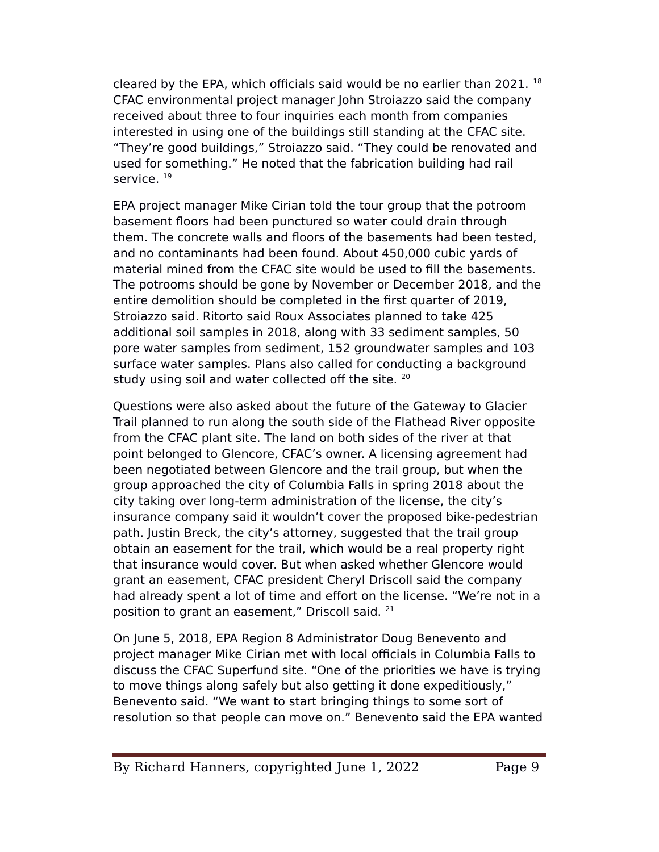cleared by the EPA, which officials said would be no earlier than 2021.  $18$ CFAC environmental project manager John Stroiazzo said the company received about three to four inquiries each month from companies interested in using one of the buildings still standing at the CFAC site. "They're good buildings," Stroiazzo said. "They could be renovated and used for something." He noted that the fabrication building had rail service.<sup>19</sup>

EeA project manager Mike Cirian told the tour group that the potroom basement floors had been punctured so water could drain through them. The concrete walls and floors of the basements had been tested, and no contaminants had been found. About 450,000 cubic yards of material mined from the CFAC site would be used to fll the basements. The potrooms should be gone by November or December 2018, and the entire demolition should be completed in the frst quarter of 2019, Stroiazzo said. Ritorto said Roux Associates planned to take 425 additional soil samples in 2018, along with 33 sediment samples, 50 pore water samples from sediment, 152 groundwater samples and 103 surface water samples. Plans also called for conducting a background study using soil and water collected off the site. <sup>20</sup>

Questions were also asked about the future of the Gateway to Glacier Trail planned to run along the south side of the Flathead River opposite from the CFAC plant site. The land on both sides of the river at that point belonged to Glencore, CFAC's owner. A licensing agreement had been negotiated between Glencore and the trail group, but when the group approached the city of Columbia Falls in spring 2018 about the city taking over long-term administration of the license, the city's insurance company said it wouldn't cover the proposed bike-pedestrian path. Justin Breck, the city's attorney, suggested that the trail group obtain an easement for the trail, which would be a real property right that insurance would cover. But when asked whether Glencore would grant an easement, CFAC president Cheryl Driscoll said the company had already spent a lot of time and effort on the license. "We're not in a position to grant an easement," Driscoll said. <sup>21</sup>

On June 5, 2018, EeA Region 8 Administrator Doug Benevento and project manager Mike Cirian met with local officials in Columbia Falls to discuss the CFAC Superfund site. "One of the priorities we have is trying to move things along safely but also getting it done expeditiously," Benevento said. "We want to start bringing things to some sort of resolution so that people can move on." Benevento said the EPA wanted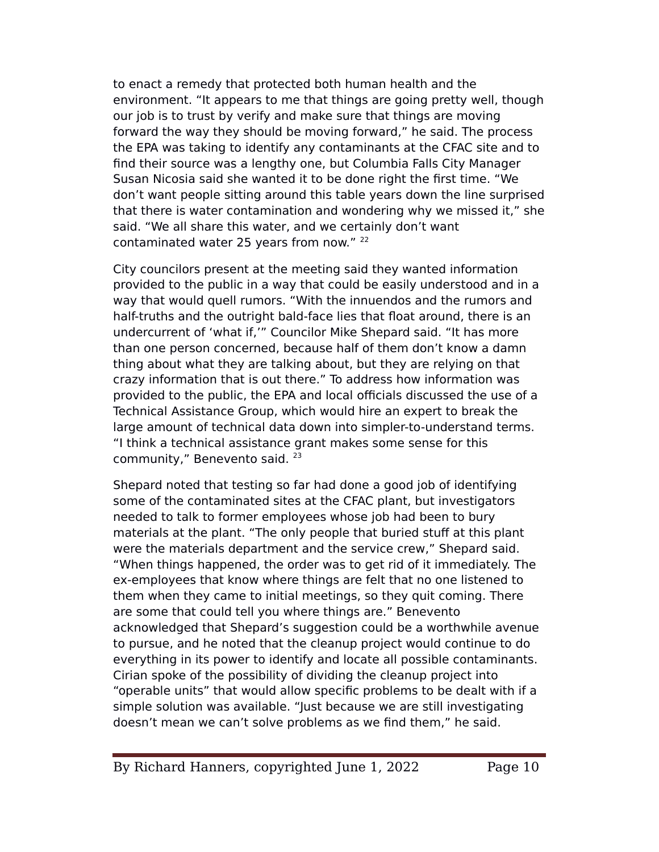to enact a remedy that protected both human health and the environment. "It appears to me that things are going pretty well, though our job is to trust by verify and make sure that things are moving forward the way they should be moving forward," he said. The process the EPA was taking to identify any contaminants at the CFAC site and to fnd their source was a lengthy one, but Columbia Falls City Manager Susan Nicosia said she wanted it to be done right the frst time. "We don't want people sitting around this table years down the line surprised that there is water contamination and wondering why we missed it," she said. "We all share this water, and we certainly don't want contaminated water 25 years from now." <sup>22</sup>

City councilors present at the meeting said they wanted information provided to the public in a way that could be easily understood and in a way that would quell rumors. "With the innuendos and the rumors and half-truths and the outright bald-face lies that float around, there is an undercurrent of 'what if,'" Councilor Mike Shepard said. "It has more than one person concerned, because half of them don't know a damn thing about what they are talking about, but they are relying on that crazy information that is out there." To address how information was provided to the public, the EPA and local officials discussed the use of a Technical Assistance Group, which would hire an expert to break the large amount of technical data down into simpler-to-understand terms. "I think a technical assistance grant makes some sense for this community," Benevento said. <sup>23</sup>

Shepard noted that testing so far had done a good job of identifying some of the contaminated sites at the CFAC plant, but investigators needed to talk to former employees whose job had been to bury materials at the plant. "The only people that buried stuff at this plant were the materials department and the service crew," Shepard said. "When things happened, the order was to get rid of it immediately. The ex-employees that know where things are felt that no one listened to them when they came to initial meetings, so they quit coming. There are some that could tell you where things are." Benevento acknowledged that Shepard's suggestion could be a worthwhile avenue to pursue, and he noted that the cleanup project would continue to do everything in its power to identify and locate all possible contaminants. Cirian spoke of the possibility of dividing the cleanup project into "operable units" that would allow specifc problems to be dealt with if a simple solution was available. "Just because we are still investigating doesn't mean we can't solve problems as we fnd them," he said.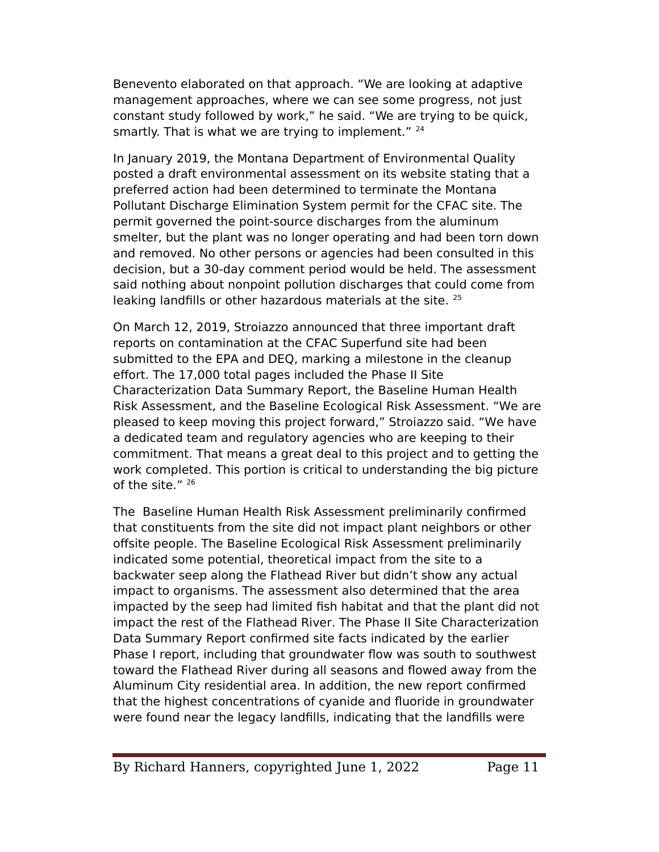Benevento elaborated on that approach. "We are looking at adaptive management approaches, where we can see some progress, not just constant study followed by work," he said. "We are trying to be quick, smartly. That is what we are trying to implement." <sup>24</sup>

In January 2019, the Montana Department of Environmental Quality posted a draft environmental assessment on its website stating that a preferred action had been determined to terminate the Montana eollutant Discharge Elimination System permit for the CFAC site. The permit governed the point-source discharges from the aluminum smelter, but the plant was no longer operating and had been torn down and removed. No other persons or agencies had been consulted in this decision, but a 30-day comment period would be held. The assessment said nothing about nonpoint pollution discharges that could come from leaking landfills or other hazardous materials at the site. <sup>25</sup>

On March 12, 2019, Stroiazzo announced that three important draft reports on contamination at the CFAC Superfund site had been submitted to the EPA and DEQ, marking a milestone in the cleanup effort. The 17,000 total pages included the Phase II Site Characterization Data Summary Report, the Baseline Human Health Risk Assessment, and the Baseline Ecological Risk Assessment. "We are pleased to keep moving this project forward," Stroiazzo said. "We have a dedicated team and regulatory agencies who are keeping to their commitment. That means a great deal to this project and to getting the work completed. This portion is critical to understanding the big picture of the site." $26$ 

The Baseline Human Health Risk Assessment preliminarily confrmed that constituents from the site did not impact plant neighbors or other ofsite people. The Baseline Ecological Risk Assessment preliminarily indicated some potential, theoretical impact from the site to a backwater seep along the Flathead River but didn't show any actual impact to organisms. The assessment also determined that the area impacted by the seep had limited fsh habitat and that the plant did not impact the rest of the Flathead River. The Phase II Site Characterization Data Summary Report confrmed site facts indicated by the earlier ehase I report, including that groundwater flow was south to southwest toward the Flathead River during all seasons and flowed away from the Aluminum City residential area. In addition, the new report confrmed that the highest concentrations of cyanide and fluoride in groundwater were found near the legacy landflls, indicating that the landflls were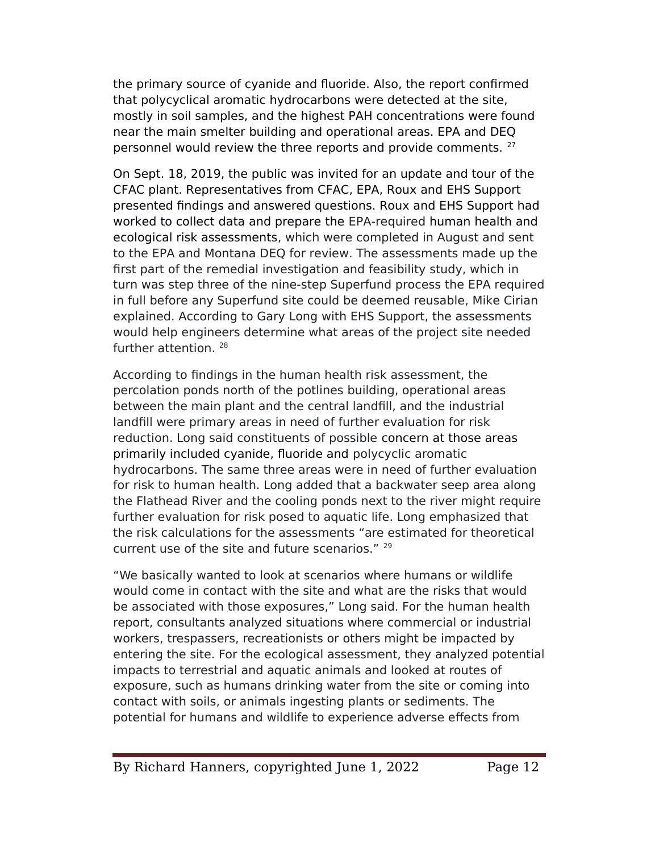the primary source of cyanide and fluoride. Also, the report confrmed that polycyclical aromatic hydrocarbons were detected at the site, mostly in soil samples, and the highest eAH concentrations were found near the main smelter building and operational areas. EPA and DEQ personnel would review the three reports and provide comments. <sup>27</sup>

On Sept. 18, 2019, the public was invited for an update and tour of the CFAC plant. Representatives from CFAC, EPA, Roux and EHS Support presented fndings and answered questions. Roux and EHS Support had worked to collect data and prepare the EPA-required human health and ecological risk assessments, which were completed in August and sent to the EPA and Montana DEQ for review. The assessments made up the frst part of the remedial investigation and feasibility study, which in turn was step three of the nine-step Superfund process the EPA required in full before any Superfund site could be deemed reusable, Mike Cirian explained. According to Gary Long with EHS Support, the assessments would help engineers determine what areas of the project site needed further attention.<sup>28</sup>

According to fndings in the human health risk assessment, the percolation ponds north of the potlines building, operational areas between the main plant and the central landfll, and the industrial landfill were primary areas in need of further evaluation for risk reduction. Long said constituents of possible concern at those areas primarily included cyanide, fluoride and polycyclic aromatic hydrocarbons. The same three areas were in need of further evaluation for risk to human health. Long added that a backwater seep area along the Flathead River and the cooling ponds next to the river might require further evaluation for risk posed to aquatic life. Long emphasized that the risk calculations for the assessments "are estimated for theoretical current use of the site and future scenarios." <sup>29</sup>

"We basically wanted to look at scenarios where humans or wildlife would come in contact with the site and what are the risks that would be associated with those exposures," Long said. For the human health report, consultants analyzed situations where commercial or industrial workers, trespassers, recreationists or others might be impacted by entering the site. For the ecological assessment, they analyzed potential impacts to terrestrial and aquatic animals and looked at routes of exposure, such as humans drinking water from the site or coming into contact with soils, or animals ingesting plants or sediments. The potential for humans and wildlife to experience adverse efects from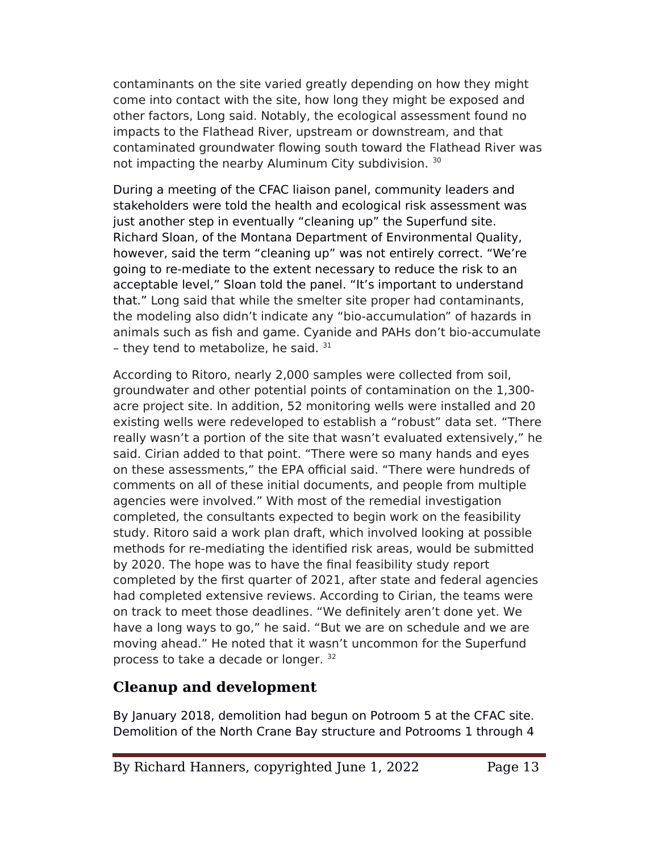contaminants on the site varied greatly depending on how they might come into contact with the site, how long they might be exposed and other factors, Long said. Notably, the ecological assessment found no impacts to the Flathead River, upstream or downstream, and that contaminated groundwater flowing south toward the Flathead River was not impacting the nearby Aluminum City subdivision. 30

During a meeting of the CFAC liaison panel, community leaders and stakeholders were told the health and ecological risk assessment was just another step in eventually "cleaning up" the Superfund site. Richard Sloan, of the Montana Department of Environmental Quality, however, said the term "cleaning up" was not entirely correct. "We're going to re-mediate to the extent necessary to reduce the risk to an acceptable level," Sloan told the panel. "It's important to understand that." Long said that while the smelter site proper had contaminants, the modeling also didn't indicate any "bio-accumulation" of hazards in animals such as fish and game. Cyanide and PAHs don't bio-accumulate - they tend to metabolize, he said.  $31$ 

According to Ritoro, nearly 2,000 samples were collected from soil, groundwater and other potential points of contamination on the 1,300 acre project site. In addition, 52 monitoring wells were installed and 20 existing wells were redeveloped to establish a "robust" data set. "There really wasn't a portion of the site that wasn't evaluated extensively," he said. Cirian added to that point. "There were so many hands and eyes on these assessments," the EPA official said. "There were hundreds of comments on all of these initial documents, and people from multiple agencies were involved." With most of the remedial investigation completed, the consultants expected to begin work on the feasibility study. Ritoro said a work plan draft, which involved looking at possible methods for re-mediating the identifed risk areas, would be submitted by 2020. The hope was to have the fnal feasibility study report completed by the frst quarter of 2021, after state and federal agencies had completed extensive reviews. According to Cirian, the teams were on track to meet those deadlines. "We defnitely aren't done yet. We have a long ways to go," he said. "But we are on schedule and we are moving ahead." He noted that it wasn't uncommon for the Superfund process to take a decade or longer. <sup>32</sup>

### **Cleanup and development**

By January 2018, demolition had begun on Potroom 5 at the CFAC site. Demolition of the North Crane Bay structure and Potrooms 1 through 4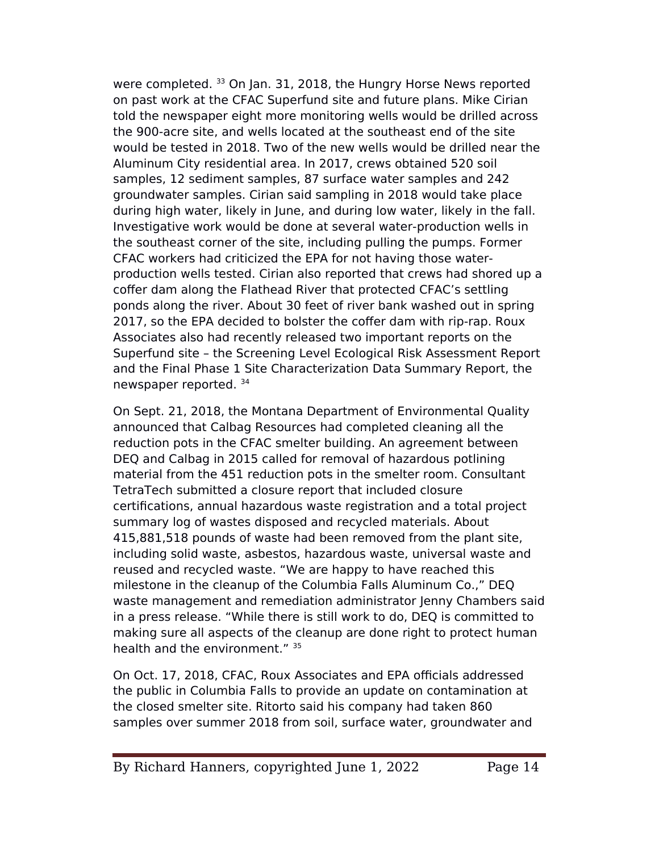were completed. <sup>33</sup> On Jan. 31, 2018, the Hungry Horse News reported on past work at the CFAC Superfund site and future plans. Mike Cirian told the newspaper eight more monitoring wells would be drilled across the 900-acre site, and wells located at the southeast end of the site would be tested in 2018. Two of the new wells would be drilled near the Aluminum City residential area. In 2017, crews obtained 520 soil samples, 12 sediment samples, 87 surface water samples and 242 groundwater samples. Cirian said sampling in 2018 would take place during high water, likely in June, and during low water, likely in the fall. Investigative work would be done at several water-production wells in the southeast corner of the site, including pulling the pumps. Former CFAC workers had criticized the EeA for not having those waterproduction wells tested. Cirian also reported that crews had shored up a coffer dam along the Flathead River that protected CFAC's settling ponds along the river. About 30 feet of river bank washed out in spring 2017, so the EPA decided to bolster the coffer dam with rip-rap. Roux Associates also had recently released two important reports on the Superfund site – the Screening Level Ecological Risk Assessment Report and the Final Phase 1 Site Characterization Data Summary Report, the newspaper reported. <sup>34</sup>

On Sept. 21, 2018, the Montana Department of Environmental Quality announced that Calbag Resources had completed cleaning all the reduction pots in the CFAC smelter building. An agreement between DEQ and Calbag in 2015 called for removal of hazardous potlining material from the 451 reduction pots in the smelter room. Consultant TetraTech submitted a closure report that included closure certifcations, annual hazardous waste registration and a total project summary log of wastes disposed and recycled materials. About 415,881,518 pounds of waste had been removed from the plant site, including solid waste, asbestos, hazardous waste, universal waste and reused and recycled waste. "We are happy to have reached this milestone in the cleanup of the Columbia Falls Aluminum Co.," DEQ waste management and remediation administrator Jenny Chambers said in a press release. "While there is still work to do, DEQ is committed to making sure all aspects of the cleanup are done right to protect human health and the environment." 35

On Oct. 17, 2018, CFAC, Roux Associates and EPA officials addressed the public in Columbia Falls to provide an update on contamination at the closed smelter site. Ritorto said his company had taken 860 samples over summer 2018 from soil, surface water, groundwater and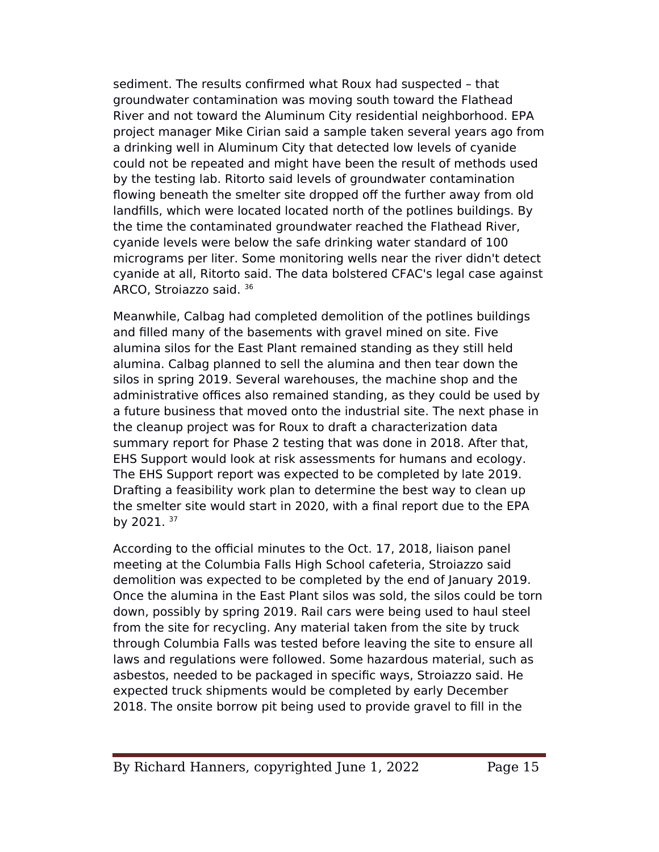sediment. The results confrmed what Roux had suspected – that groundwater contamination was moving south toward the Flathead River and not toward the Aluminum City residential neighborhood. EPA project manager Mike Cirian said a sample taken several years ago from a drinking well in Aluminum City that detected low levels of cyanide could not be repeated and might have been the result of methods used by the testing lab. Ritorto said levels of groundwater contamination flowing beneath the smelter site dropped off the further away from old landflls, which were located located north of the potlines buildings. By the time the contaminated groundwater reached the Flathead River, cyanide levels were below the safe drinking water standard of 100 micrograms per liter. Some monitoring wells near the river didn't detect cyanide at all, Ritorto said. The data bolstered CFAC's legal case against ARCO, Stroiazzo said. <sup>36</sup>

Meanwhile, Calbag had completed demolition of the potlines buildings and filled many of the basements with gravel mined on site. Five alumina silos for the East Plant remained standing as they still held alumina. Calbag planned to sell the alumina and then tear down the silos in spring 2019. Several warehouses, the machine shop and the administrative offices also remained standing, as they could be used by a future business that moved onto the industrial site. The next phase in the cleanup project was for Roux to draft a characterization data summary report for Phase 2 testing that was done in 2018. After that, EHS Support would look at risk assessments for humans and ecology. The EHS Support report was expected to be completed by late 2019. Drafting a feasibility work plan to determine the best way to clean up the smelter site would start in 2020, with a final report due to the EPA by 2021. <sup>37</sup>

According to the official minutes to the Oct. 17, 2018, liaison panel meeting at the Columbia Falls High School cafeteria, Stroiazzo said demolition was expected to be completed by the end of January 2019. Once the alumina in the East Plant silos was sold, the silos could be torn down, possibly by spring 2019. Rail cars were being used to haul steel from the site for recycling. Any material taken from the site by truck through Columbia Falls was tested before leaving the site to ensure all laws and regulations were followed. Some hazardous material, such as asbestos, needed to be packaged in specifc ways, Stroiazzo said. He expected truck shipments would be completed by early December 2018. The onsite borrow pit being used to provide gravel to fill in the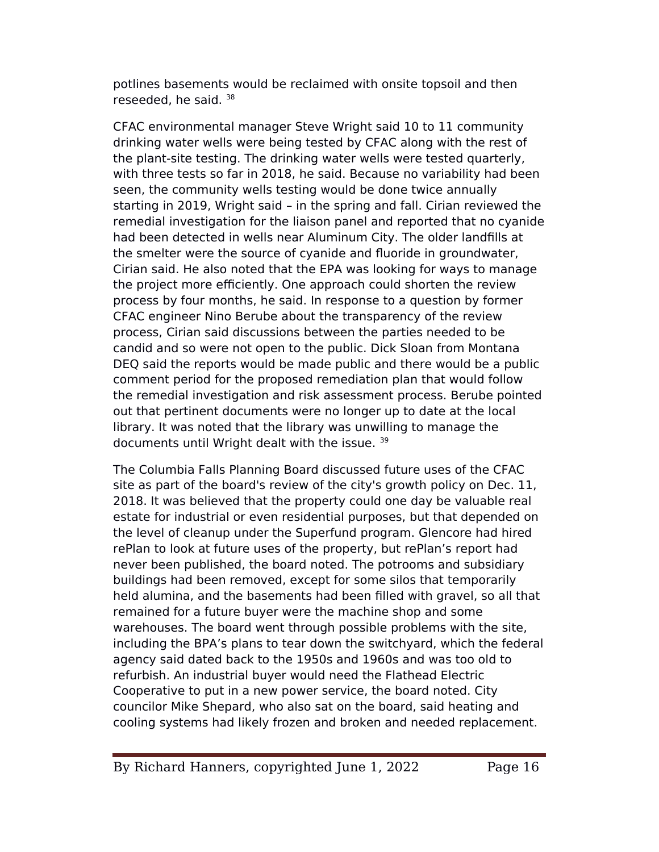potlines basements would be reclaimed with onsite topsoil and then reseeded, he said,  $38$ 

CFAC environmental manager Steve Wright said 10 to 11 community drinking water wells were being tested by CFAC along with the rest of the plant-site testing. The drinking water wells were tested quarterly, with three tests so far in 2018, he said. Because no variability had been seen, the community wells testing would be done twice annually starting in 2019, Wright said – in the spring and fall. Cirian reviewed the remedial investigation for the liaison panel and reported that no cyanide had been detected in wells near Aluminum City. The older landflls at the smelter were the source of cyanide and fluoride in groundwater, Cirian said. He also noted that the EeA was looking for ways to manage the project more efficiently. One approach could shorten the review process by four months, he said. In response to a question by former CFAC engineer Nino Berube about the transparency of the review process, Cirian said discussions between the parties needed to be candid and so were not open to the public. Dick Sloan from Montana DEQ said the reports would be made public and there would be a public comment period for the proposed remediation plan that would follow the remedial investigation and risk assessment process. Berube pointed out that pertinent documents were no longer up to date at the local library. It was noted that the library was unwilling to manage the documents until Wright dealt with the issue. <sup>39</sup>

The Columbia Falls Planning Board discussed future uses of the CFAC site as part of the board's review of the city's growth policy on Dec. 11, 2018. It was believed that the property could one day be valuable real estate for industrial or even residential purposes, but that depended on the level of cleanup under the Superfund program. Glencore had hired rePlan to look at future uses of the property, but rePlan's report had never been published, the board noted. The potrooms and subsidiary buildings had been removed, except for some silos that temporarily held alumina, and the basements had been flled with gravel, so all that remained for a future buyer were the machine shop and some warehouses. The board went through possible problems with the site, including the BeA's plans to tear down the switchyard, which the federal agency said dated back to the 1950s and 1960s and was too old to refurbish. An industrial buyer would need the Flathead Electric Cooperative to put in a new power service, the board noted. City councilor Mike Shepard, who also sat on the board, said heating and cooling systems had likely frozen and broken and needed replacement.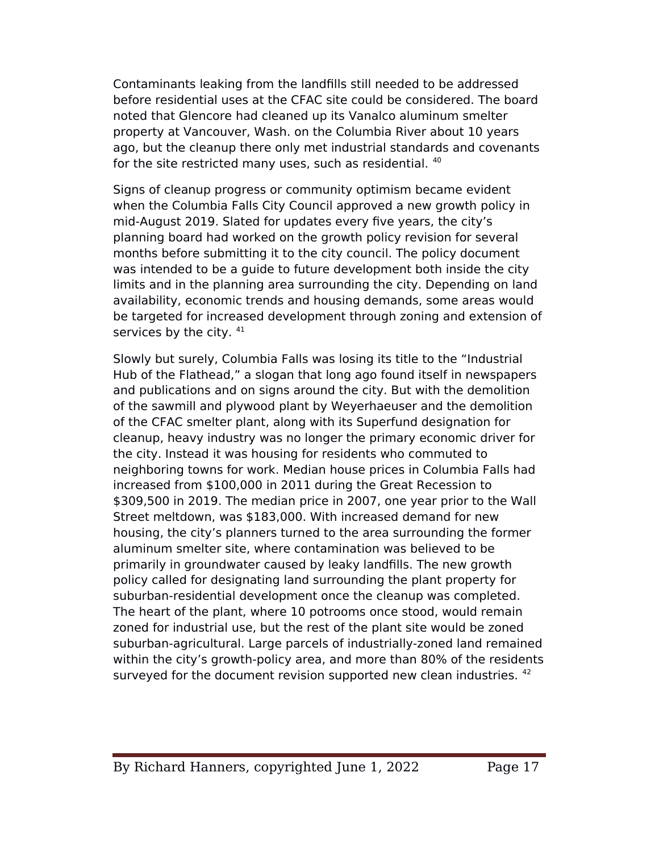Contaminants leaking from the landflls still needed to be addressed before residential uses at the CFAC site could be considered. The board noted that Glencore had cleaned up its Vanalco aluminum smelter property at Vancouver, Wash. on the Columbia River about 10 years ago, but the cleanup there only met industrial standards and covenants for the site restricted many uses, such as residential. <sup>40</sup>

Signs of cleanup progress or community optimism became evident when the Columbia Falls City Council approved a new growth policy in mid-August 2019. Slated for updates every five years, the city's planning board had worked on the growth policy revision for several months before submitting it to the city council. The policy document was intended to be a guide to future development both inside the city limits and in the planning area surrounding the city. Depending on land availability, economic trends and housing demands, some areas would be targeted for increased development through zoning and extension of services by the city.  $41$ 

Slowly but surely, Columbia Falls was losing its title to the "Industrial Hub of the Flathead," a slogan that long ago found itself in newspapers and publications and on signs around the city. But with the demolition of the sawmill and plywood plant by Weyerhaeuser and the demolition of the CFAC smelter plant, along with its Superfund designation for cleanup, heavy industry was no longer the primary economic driver for the city. Instead it was housing for residents who commuted to neighboring towns for work. Median house prices in Columbia Falls had increased from \$100,000 in 2011 during the Great Recession to \$309,500 in 2019. The median price in 2007, one year prior to the Wall Street meltdown, was \$183,000. With increased demand for new housing, the city's planners turned to the area surrounding the former aluminum smelter site, where contamination was believed to be primarily in groundwater caused by leaky landflls. The new growth policy called for designating land surrounding the plant property for suburban-residential development once the cleanup was completed. The heart of the plant, where 10 potrooms once stood, would remain zoned for industrial use, but the rest of the plant site would be zoned suburban-agricultural. Large parcels of industrially-zoned land remained within the city's growth-policy area, and more than 80% of the residents surveyed for the document revision supported new clean industries. 42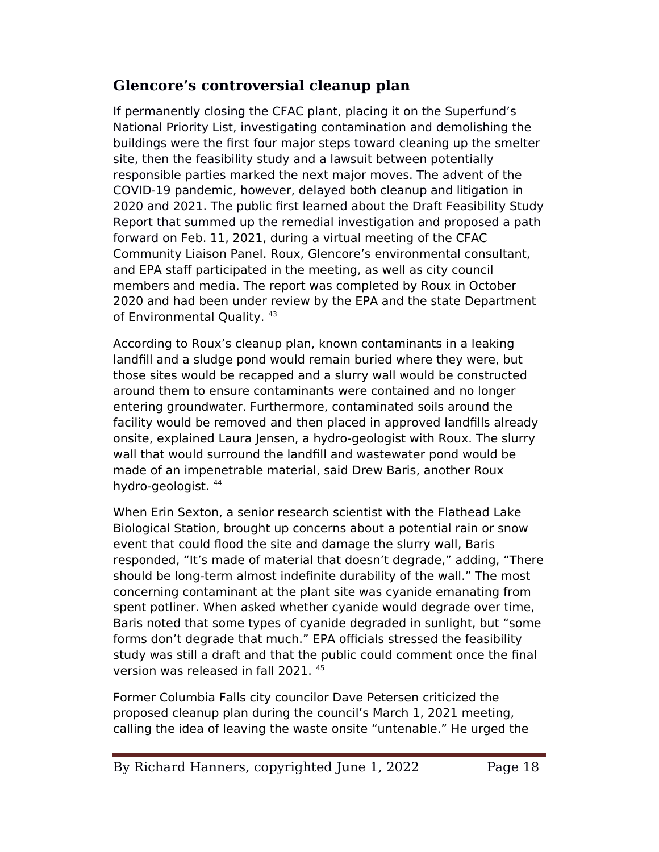### **Glencore's controversial cleanup plan**

If permanently closing the CFAC plant, placing it on the Superfund's National Priority List, investigating contamination and demolishing the buildings were the frst four major steps toward cleaning up the smelter site, then the feasibility study and a lawsuit between potentially responsible parties marked the next major moves. The advent of the COVID-19 pandemic, however, delayed both cleanup and litigation in 2020 and 2021. The public frst learned about the Draft Feasibility Study Report that summed up the remedial investigation and proposed a path forward on Feb. 11, 2021, during a virtual meeting of the CFAC Community Liaison Panel. Roux, Glencore's environmental consultant, and EPA staff participated in the meeting, as well as city council members and media. The report was completed by Roux in October 2020 and had been under review by the EPA and the state Department of Environmental Quality. <sup>43</sup>

According to Roux's cleanup plan, known contaminants in a leaking landfll and a sludge pond would remain buried where they were, but those sites would be recapped and a slurry wall would be constructed around them to ensure contaminants were contained and no longer entering groundwater. Furthermore, contaminated soils around the facility would be removed and then placed in approved landflls already onsite, explained Laura Jensen, a hydro-geologist with Roux. The slurry wall that would surround the landfill and wastewater pond would be made of an impenetrable material, said Drew Baris, another Roux hydro-geologist. <sup>44</sup>

When Erin Sexton, a senior research scientist with the Flathead Lake Biological Station, brought up concerns about a potential rain or snow event that could flood the site and damage the slurry wall, Baris responded, "It's made of material that doesn't degrade," adding, "There should be long-term almost indefnite durability of the wall." The most concerning contaminant at the plant site was cyanide emanating from spent potliner. When asked whether cyanide would degrade over time, Baris noted that some types of cyanide degraded in sunlight, but "some forms don't degrade that much." EPA officials stressed the feasibility study was still a draft and that the public could comment once the fnal version was released in fall 2021. <sup>45</sup>

Former Columbia Falls city councilor Dave Petersen criticized the proposed cleanup plan during the council's March 1, 2021 meeting, calling the idea of leaving the waste onsite "untenable." He urged the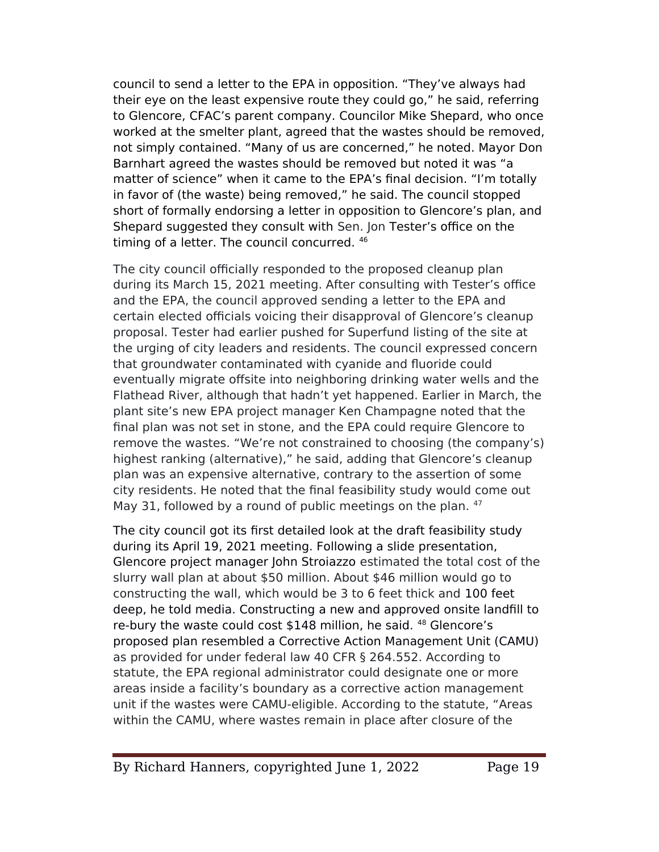council to send a letter to the EeA in opposition. "They've always had their eye on the least expensive route they could go," he said, referring to Glencore, CFAC's parent company. Councilor Mike Shepard, who once worked at the smelter plant, agreed that the wastes should be removed, not simply contained. "Many of us are concerned," he noted. Mayor Don Barnhart agreed the wastes should be removed but noted it was "a matter of science" when it came to the EPA's final decision. "I'm totally in favor of (the waste) being removed," he said. The council stopped short of formally endorsing a letter in opposition to Glencore's plan, and Shepard suggested they consult with Sen. Jon Tester's office on the timing of a letter. The council concurred. <sup>46</sup>

The city council officially responded to the proposed cleanup plan during its March 15, 2021 meeting. After consulting with Tester's office and the EPA, the council approved sending a letter to the EPA and certain elected officials voicing their disapproval of Glencore's cleanup proposal. Tester had earlier pushed for Superfund listing of the site at the urging of city leaders and residents. The council expressed concern that groundwater contaminated with cyanide and fluoride could eventually migrate ofsite into neighboring drinking water wells and the Flathead River, although that hadn't yet happened. Earlier in March, the plant site's new EeA project manager Ken Champagne noted that the final plan was not set in stone, and the EPA could require Glencore to remove the wastes. "We're not constrained to choosing (the company's) highest ranking (alternative)," he said, adding that Glencore's cleanup plan was an expensive alternative, contrary to the assertion of some city residents. He noted that the fnal feasibility study would come out May 31, followed by a round of public meetings on the plan. <sup>47</sup>

The city council got its frst detailed look at the draft feasibility study during its April 19, 2021 meeting. Following a slide presentation, Glencore project manager John Stroiazzo estimated the total cost of the slurry wall plan at about \$50 million. About \$46 million would go to constructing the wall, which would be 3 to 6 feet thick and 100 feet deep, he told media. Constructing a new and approved onsite landfll to re-bury the waste could cost \$148 million, he said. <sup>48</sup> Glencore's proposed plan resembled a Corrective Action Management Unit (CAMU) as provided for under federal law 40 CFR § 264.552. According to statute, the EeA regional administrator could designate one or more areas inside a facility's boundary as a corrective action management unit if the wastes were CAMU-eligible. According to the statute, "Areas within the CAMU, where wastes remain in place after closure of the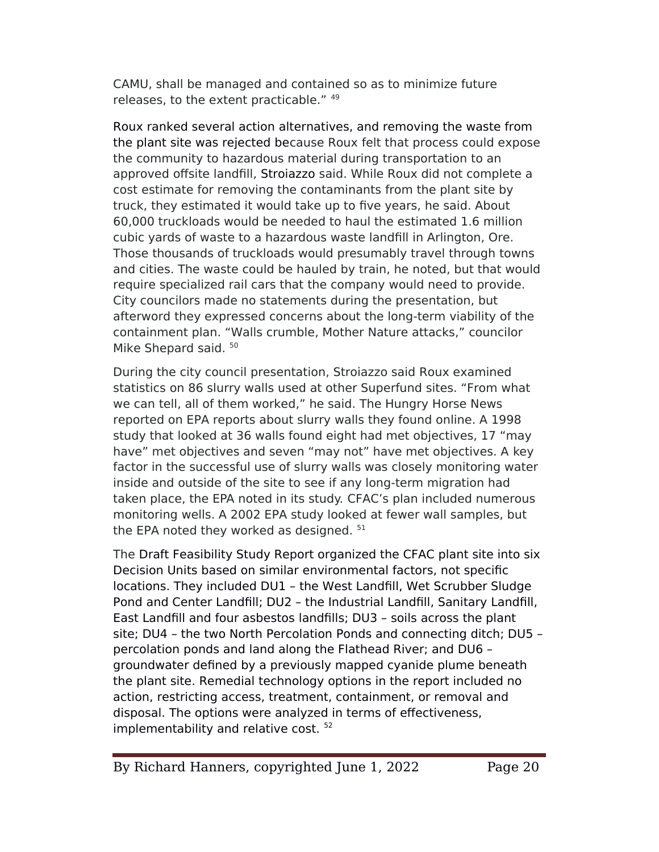CAMU, shall be managed and contained so as to minimize future releases, to the extent practicable." 49

Roux ranked several action alternatives, and removing the waste from the plant site was rejected because Roux felt that process could expose the community to hazardous material during transportation to an approved ofsite landfll, Stroiazzo said. While Roux did not complete a cost estimate for removing the contaminants from the plant site by truck, they estimated it would take up to five years, he said. About 60,000 truckloads would be needed to haul the estimated 1.6 million cubic yards of waste to a hazardous waste landfll in Arlington, Ore. Those thousands of truckloads would presumably travel through towns and cities. The waste could be hauled by train, he noted, but that would require specialized rail cars that the company would need to provide. City councilors made no statements during the presentation, but afterword they expressed concerns about the long-term viability of the containment plan. "Walls crumble, Mother Nature attacks," councilor Mike Shepard said. 50

During the city council presentation, Stroiazzo said Roux examined statistics on 86 slurry walls used at other Superfund sites. "From what we can tell, all of them worked," he said. The Hungry Horse News reported on EPA reports about slurry walls they found online. A 1998 study that looked at 36 walls found eight had met objectives, 17 "may have" met objectives and seven "may not" have met objectives. A key factor in the successful use of slurry walls was closely monitoring water inside and outside of the site to see if any long-term migration had taken place, the EPA noted in its study. CFAC's plan included numerous monitoring wells. A 2002 EPA study looked at fewer wall samples, but the EPA noted they worked as designed.  $51$ 

The Draft Feasibility Study Report organized the CFAC plant site into six Decision Units based on similar environmental factors, not specifc locations. They included DU1 – the West Landfll, Wet Scrubber Sludge Pond and Center Landfill; DU2 - the Industrial Landfill, Sanitary Landfill, East Landfll and four asbestos landflls; DU3 – soils across the plant site; DU4 – the two North Percolation Ponds and connecting ditch; DU5 – percolation ponds and land along the Flathead River; and DU6 – groundwater defned by a previously mapped cyanide plume beneath the plant site. Remedial technology options in the report included no action, restricting access, treatment, containment, or removal and disposal. The options were analyzed in terms of efectiveness, implementability and relative cost.<sup>52</sup>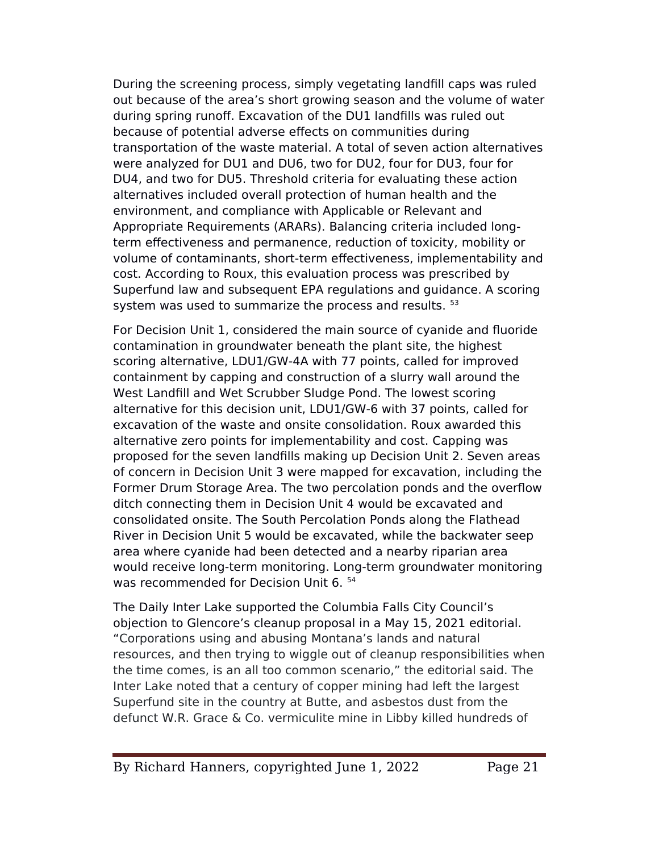During the screening process, simply vegetating landfll caps was ruled out because of the area's short growing season and the volume of water during spring runoff. Excavation of the DU1 landfills was ruled out because of potential adverse efects on communities during transportation of the waste material. A total of seven action alternatives were analyzed for DU1 and DU6, two for DU2, four for DU3, four for DU4, and two for DU5. Threshold criteria for evaluating these action alternatives included overall protection of human health and the environment, and compliance with Applicable or Relevant and Appropriate Requirements (ARARs). Balancing criteria included longterm efectiveness and permanence, reduction of toxicity, mobility or volume of contaminants, short-term efectiveness, implementability and cost. According to Roux, this evaluation process was prescribed by Superfund law and subsequent EPA regulations and guidance. A scoring system was used to summarize the process and results.  $53$ 

For Decision Unit 1, considered the main source of cyanide and fluoride contamination in groundwater beneath the plant site, the highest scoring alternative, LDU1/GW-4A with 77 points, called for improved containment by capping and construction of a slurry wall around the West Landfill and Wet Scrubber Sludge Pond. The lowest scoring alternative for this decision unit, LDU1/GW-6 with 37 points, called for excavation of the waste and onsite consolidation. Roux awarded this alternative zero points for implementability and cost. Capping was proposed for the seven landflls making up Decision Unit 2. Seven areas of concern in Decision Unit 3 were mapped for excavation, including the Former Drum Storage Area. The two percolation ponds and the overflow ditch connecting them in Decision Unit 4 would be excavated and consolidated onsite. The South Percolation Ponds along the Flathead River in Decision Unit 5 would be excavated, while the backwater seep area where cyanide had been detected and a nearby riparian area would receive long-term monitoring. Long-term groundwater monitoring was recommended for Decision Unit 6. <sup>54</sup>

The Daily Inter Lake supported the Columbia Falls City Council's objection to Glencore's cleanup proposal in a May 15, 2021 editorial. "Corporations using and abusing Montana's lands and natural resources, and then trying to wiggle out of cleanup responsibilities when the time comes, is an all too common scenario," the editorial said. The Inter Lake noted that a century of copper mining had left the largest Superfund site in the country at Butte, and asbestos dust from the defunct W.R. Grace & Co. vermiculite mine in Libby killed hundreds of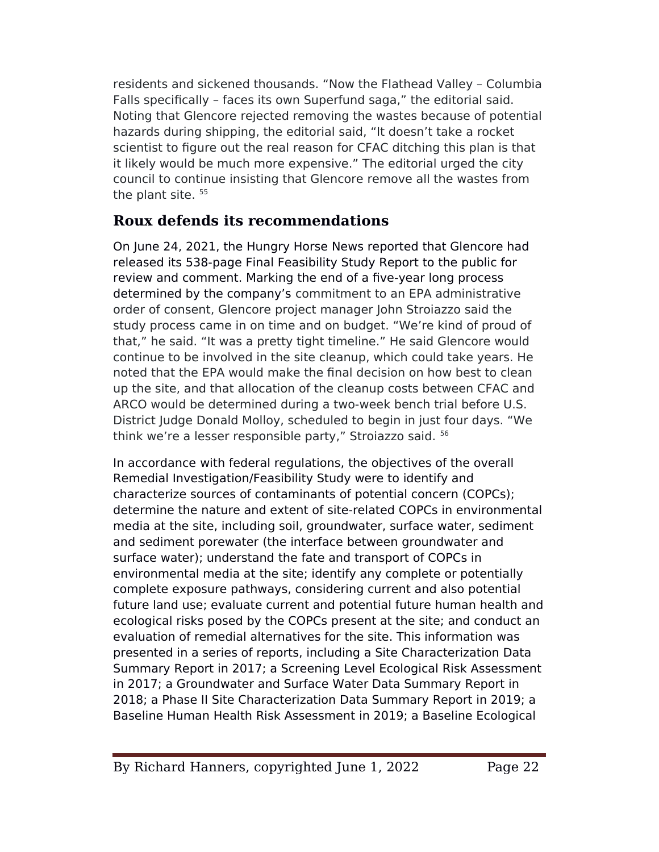residents and sickened thousands. "Now the Flathead Valley – Columbia Falls specifcally – faces its own Superfund saga," the editorial said. Noting that Glencore rejected removing the wastes because of potential hazards during shipping, the editorial said, "It doesn't take a rocket scientist to figure out the real reason for CFAC ditching this plan is that it likely would be much more expensive." The editorial urged the city council to continue insisting that Glencore remove all the wastes from the plant site.<sup>55</sup>

## **Roux defends its recommendations**

On June 24, 2021, the Hungry Horse News reported that Glencore had released its 538-page Final Feasibility Study Report to the public for review and comment. Marking the end of a five-year long process determined by the company's commitment to an EPA administrative order of consent, Glencore project manager John Stroiazzo said the study process came in on time and on budget. "We're kind of proud of that," he said. "It was a pretty tight timeline." He said Glencore would continue to be involved in the site cleanup, which could take years. He noted that the EPA would make the final decision on how best to clean up the site, and that allocation of the cleanup costs between CFAC and ARCO would be determined during a two-week bench trial before U.S. District Judge Donald Molloy, scheduled to begin in just four days. "We think we're a lesser responsible party," Stroiazzo said. <sup>56</sup>

In accordance with federal regulations, the objectives of the overall Remedial Investigation/Feasibility Study were to identify and characterize sources of contaminants of potential concern (COPCs); determine the nature and extent of site-related COPCs in environmental media at the site, including soil, groundwater, surface water, sediment and sediment porewater (the interface between groundwater and surface water); understand the fate and transport of COPCs in environmental media at the site; identify any complete or potentially complete exposure pathways, considering current and also potential future land use; evaluate current and potential future human health and ecological risks posed by the COPCs present at the site; and conduct an evaluation of remedial alternatives for the site. This information was presented in a series of reports, including a Site Characterization Data Summary Report in 2017; a Screening Level Ecological Risk Assessment in 2017; a Groundwater and Surface Water Data Summary Report in 2018; a ehase II Site Characterization Data Summary Report in 2019; a Baseline Human Health Risk Assessment in 2019; a Baseline Ecological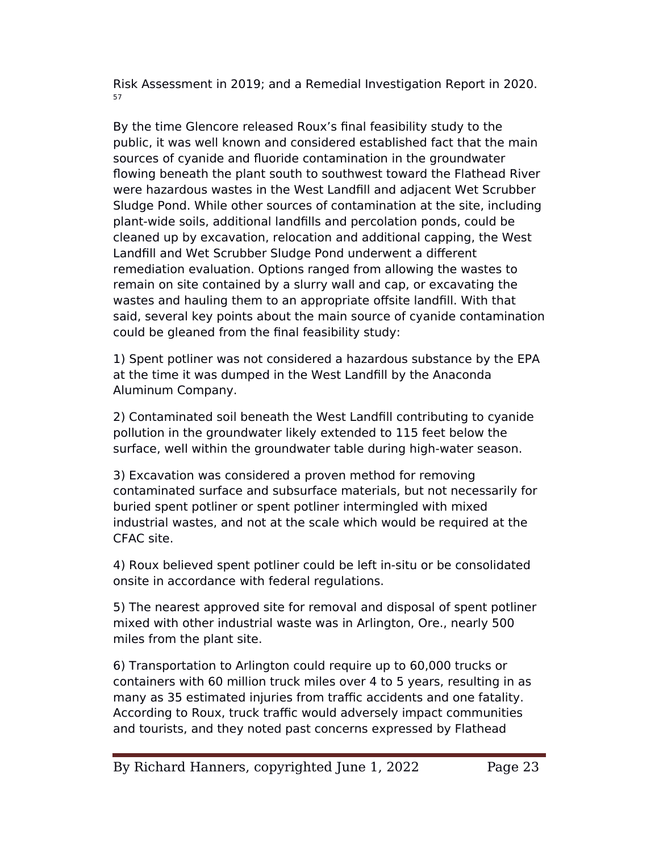Risk Assessment in 2019; and a Remedial Investigation Report in 2020. 57

By the time Glencore released Roux's fnal feasibility study to the public, it was well known and considered established fact that the main sources of cyanide and fluoride contamination in the groundwater flowing beneath the plant south to southwest toward the Flathead River were hazardous wastes in the West Landfll and adjacent Wet Scrubber Sludge Pond. While other sources of contamination at the site, including plant-wide soils, additional landflls and percolation ponds, could be cleaned up by excavation, relocation and additional capping, the West Landfill and Wet Scrubber Sludge Pond underwent a different remediation evaluation. Options ranged from allowing the wastes to remain on site contained by a slurry wall and cap, or excavating the wastes and hauling them to an appropriate offsite landfill. With that said, several key points about the main source of cyanide contamination could be gleaned from the fnal feasibility study:

1) Spent potliner was not considered a hazardous substance by the EeA at the time it was dumped in the West Landfll by the Anaconda Aluminum Company.

2) Contaminated soil beneath the West Landfll contributing to cyanide pollution in the groundwater likely extended to 115 feet below the surface, well within the groundwater table during high-water season.

3) Excavation was considered a proven method for removing contaminated surface and subsurface materials, but not necessarily for buried spent potliner or spent potliner intermingled with mixed industrial wastes, and not at the scale which would be required at the CFAC site.

4) Roux believed spent potliner could be left in-situ or be consolidated onsite in accordance with federal regulations.

5) The nearest approved site for removal and disposal of spent potliner mixed with other industrial waste was in Arlington, Ore., nearly 500 miles from the plant site.

6) Transportation to Arlington could require up to 60,000 trucks or containers with 60 million truck miles over 4 to 5 years, resulting in as many as 35 estimated injuries from traffic accidents and one fatality. According to Roux, truck traffic would adversely impact communities and tourists, and they noted past concerns expressed by Flathead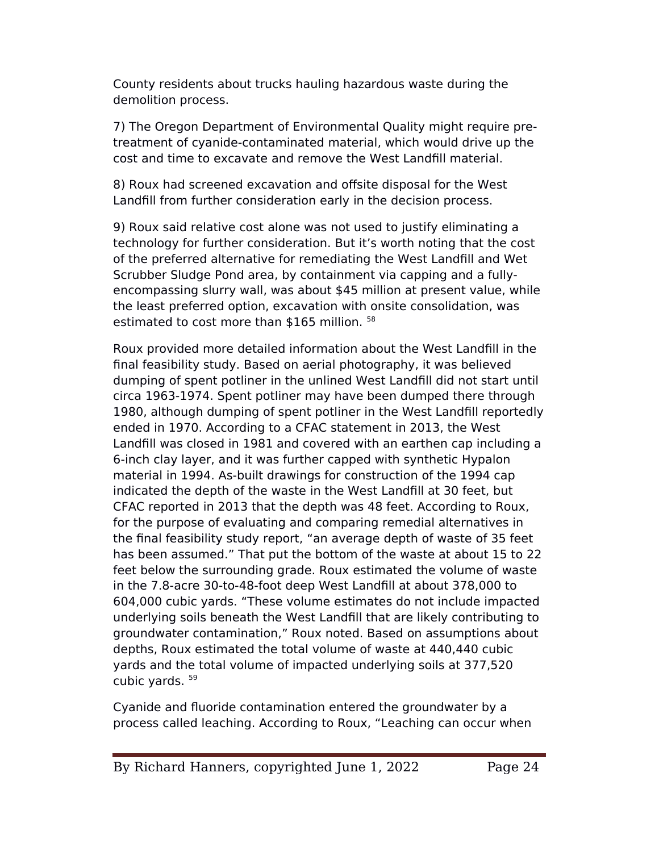County residents about trucks hauling hazardous waste during the demolition process.

7) The Oregon Department of Environmental Quality might require pretreatment of cyanide-contaminated material, which would drive up the cost and time to excavate and remove the West Landfll material.

8) Roux had screened excavation and offsite disposal for the West Landfll from further consideration early in the decision process.

9) Roux said relative cost alone was not used to justify eliminating a technology for further consideration. But it's worth noting that the cost of the preferred alternative for remediating the West Landfll and Wet Scrubber Sludge Pond area, by containment via capping and a fullyencompassing slurry wall, was about \$45 million at present value, while the least preferred option, excavation with onsite consolidation, was estimated to cost more than \$165 million. <sup>58</sup>

Roux provided more detailed information about the West Landfll in the fnal feasibility study. Based on aerial photography, it was believed dumping of spent potliner in the unlined West Landfll did not start until circa 1963-1974. Spent potliner may have been dumped there through 1980, although dumping of spent potliner in the West Landfll reportedly ended in 1970. According to a CFAC statement in 2013, the West Landfll was closed in 1981 and covered with an earthen cap including a 6-inch clay layer, and it was further capped with synthetic Hypalon material in 1994. As-built drawings for construction of the 1994 cap indicated the depth of the waste in the West Landfll at 30 feet, but CFAC reported in 2013 that the depth was 48 feet. According to Roux, for the purpose of evaluating and comparing remedial alternatives in the fnal feasibility study report, "an average depth of waste of 35 feet has been assumed." That put the bottom of the waste at about 15 to 22 feet below the surrounding grade. Roux estimated the volume of waste in the 7.8-acre 30-to-48-foot deep West Landfll at about 378,000 to 604,000 cubic yards. "These volume estimates do not include impacted underlying soils beneath the West Landfll that are likely contributing to groundwater contamination," Roux noted. Based on assumptions about depths, Roux estimated the total volume of waste at 440,440 cubic yards and the total volume of impacted underlying soils at 377,520 cubic yards. <sup>59</sup>

Cyanide and fluoride contamination entered the groundwater by a process called leaching. According to Roux, "Leaching can occur when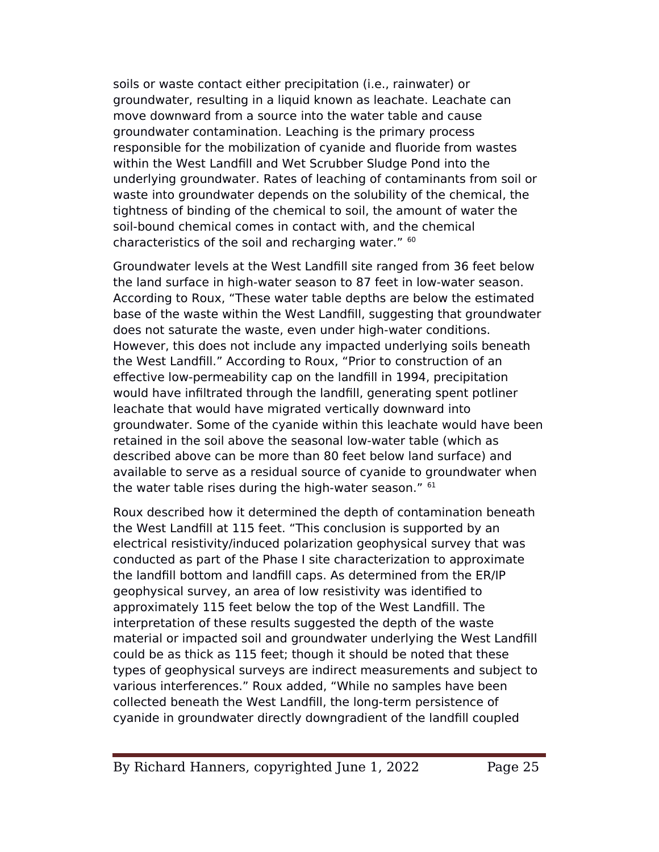soils or waste contact either precipitation (i.e., rainwater) or groundwater, resulting in a liquid known as leachate. Leachate can move downward from a source into the water table and cause groundwater contamination. Leaching is the primary process responsible for the mobilization of cyanide and fluoride from wastes within the West Landfill and Wet Scrubber Sludge Pond into the underlying groundwater. Rates of leaching of contaminants from soil or waste into groundwater depends on the solubility of the chemical, the tightness of binding of the chemical to soil, the amount of water the soil-bound chemical comes in contact with, and the chemical characteristics of the soil and recharging water." <sup>60</sup>

Groundwater levels at the West Landfll site ranged from 36 feet below the land surface in high-water season to 87 feet in low-water season. According to Roux, "These water table depths are below the estimated base of the waste within the West Landfll, suggesting that groundwater does not saturate the waste, even under high-water conditions. However, this does not include any impacted underlying soils beneath the West Landfill." According to Roux, "Prior to construction of an efective low-permeability cap on the landfll in 1994, precipitation would have infltrated through the landfll, generating spent potliner leachate that would have migrated vertically downward into groundwater. Some of the cyanide within this leachate would have been retained in the soil above the seasonal low-water table (which as described above can be more than 80 feet below land surface) and available to serve as a residual source of cyanide to groundwater when the water table rises during the high-water season." 61

Roux described how it determined the depth of contamination beneath the West Landfll at 115 feet. "This conclusion is supported by an electrical resistivity/induced polarization geophysical survey that was conducted as part of the ehase I site characterization to approximate the landfll bottom and landfll caps. As determined from the ER/Ie geophysical survey, an area of low resistivity was identifed to approximately 115 feet below the top of the West Landfll. The interpretation of these results suggested the depth of the waste material or impacted soil and groundwater underlying the West Landfll could be as thick as 115 feet; though it should be noted that these types of geophysical surveys are indirect measurements and subject to various interferences." Roux added, "While no samples have been collected beneath the West Landfll, the long-term persistence of cyanide in groundwater directly downgradient of the landfll coupled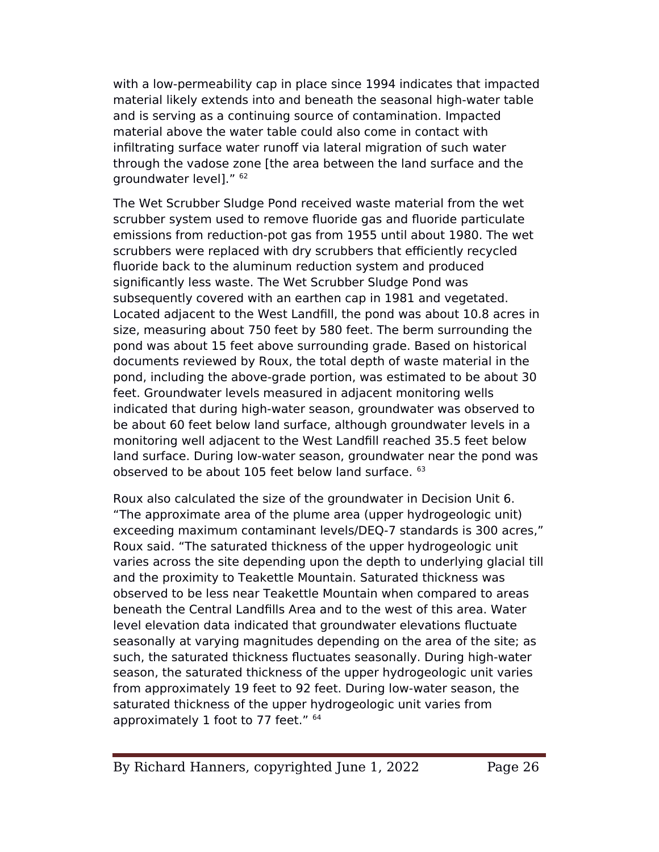with a low-permeability cap in place since 1994 indicates that impacted material likely extends into and beneath the seasonal high-water table and is serving as a continuing source of contamination. Impacted material above the water table could also come in contact with infiltrating surface water runoff via lateral migration of such water through the vadose zone [the area between the land surface and the groundwater level]." <sup>62</sup>

The Wet Scrubber Sludge Pond received waste material from the wet scrubber system used to remove fluoride gas and fluoride particulate emissions from reduction-pot gas from 1955 until about 1980. The wet scrubbers were replaced with dry scrubbers that efficiently recycled fluoride back to the aluminum reduction system and produced significantly less waste. The Wet Scrubber Sludge Pond was subsequently covered with an earthen cap in 1981 and vegetated. Located adjacent to the West Landfill, the pond was about 10.8 acres in size, measuring about 750 feet by 580 feet. The berm surrounding the pond was about 15 feet above surrounding grade. Based on historical documents reviewed by Roux, the total depth of waste material in the pond, including the above-grade portion, was estimated to be about 30 feet. Groundwater levels measured in adjacent monitoring wells indicated that during high-water season, groundwater was observed to be about 60 feet below land surface, although groundwater levels in a monitoring well adjacent to the West Landfll reached 35.5 feet below land surface. During low-water season, groundwater near the pond was observed to be about 105 feet below land surface. <sup>63</sup>

Roux also calculated the size of the groundwater in Decision Unit 6. "The approximate area of the plume area (upper hydrogeologic unit) exceeding maximum contaminant levels/DEQ-7 standards is 300 acres," Roux said. "The saturated thickness of the upper hydrogeologic unit varies across the site depending upon the depth to underlying glacial till and the proximity to Teakettle Mountain. Saturated thickness was observed to be less near Teakettle Mountain when compared to areas beneath the Central Landflls Area and to the west of this area. Water level elevation data indicated that groundwater elevations fluctuate seasonally at varying magnitudes depending on the area of the site; as such, the saturated thickness fluctuates seasonally. During high-water season, the saturated thickness of the upper hydrogeologic unit varies from approximately 19 feet to 92 feet. During low-water season, the saturated thickness of the upper hydrogeologic unit varies from approximately 1 foot to 77 feet." <sup>64</sup>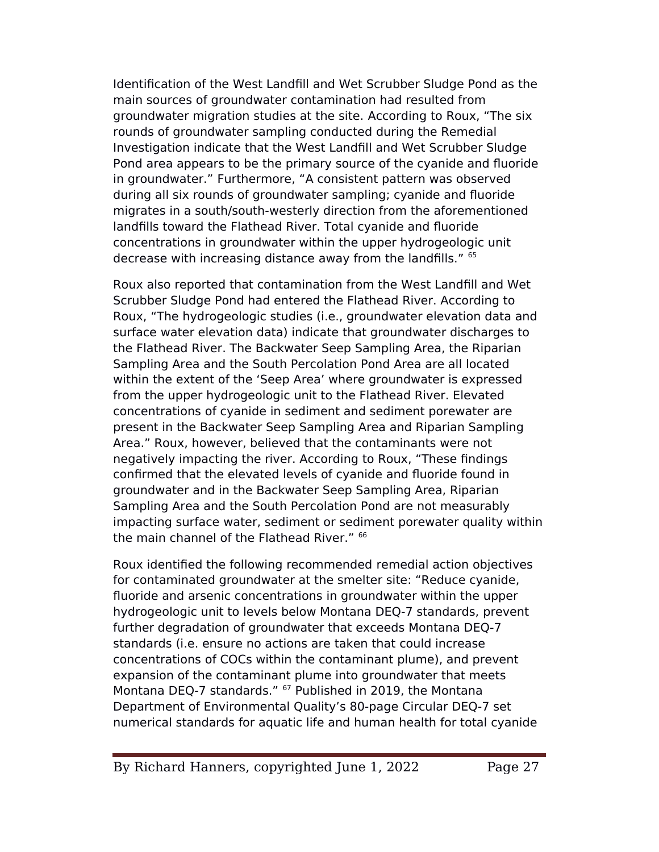Identification of the West Landfill and Wet Scrubber Sludge Pond as the main sources of groundwater contamination had resulted from groundwater migration studies at the site. According to Roux, "The six rounds of groundwater sampling conducted during the Remedial Investigation indicate that the West Landfll and Wet Scrubber Sludge Pond area appears to be the primary source of the cyanide and fluoride in groundwater." Furthermore, "A consistent pattern was observed during all six rounds of groundwater sampling; cyanide and fluoride migrates in a south/south-westerly direction from the aforementioned landflls toward the Flathead River. Total cyanide and fluoride concentrations in groundwater within the upper hydrogeologic unit decrease with increasing distance away from the landfills." <sup>65</sup>

Roux also reported that contamination from the West Landfll and Wet Scrubber Sludge Pond had entered the Flathead River. According to Roux, "The hydrogeologic studies (i.e., groundwater elevation data and surface water elevation data) indicate that groundwater discharges to the Flathead River. The Backwater Seep Sampling Area, the Riparian Sampling Area and the South Percolation Pond Area are all located within the extent of the 'Seep Area' where groundwater is expressed from the upper hydrogeologic unit to the Flathead River. Elevated concentrations of cyanide in sediment and sediment porewater are present in the Backwater Seep Sampling Area and Riparian Sampling Area." Roux, however, believed that the contaminants were not negatively impacting the river. According to Roux, "These fndings confrmed that the elevated levels of cyanide and fluoride found in groundwater and in the Backwater Seep Sampling Area, Riparian Sampling Area and the South Percolation Pond are not measurably impacting surface water, sediment or sediment porewater quality within the main channel of the Flathead River." <sup>66</sup>

Roux identifed the following recommended remedial action objectives for contaminated groundwater at the smelter site: "Reduce cyanide, fluoride and arsenic concentrations in groundwater within the upper hydrogeologic unit to levels below Montana DEQ-7 standards, prevent further degradation of groundwater that exceeds Montana DEQ-7 standards (i.e. ensure no actions are taken that could increase concentrations of COCs within the contaminant plume), and prevent expansion of the contaminant plume into groundwater that meets Montana DEQ-7 standards." <sup>67</sup> Published in 2019, the Montana Department of Environmental Quality's 80-page Circular DEQ-7 set numerical standards for aquatic life and human health for total cyanide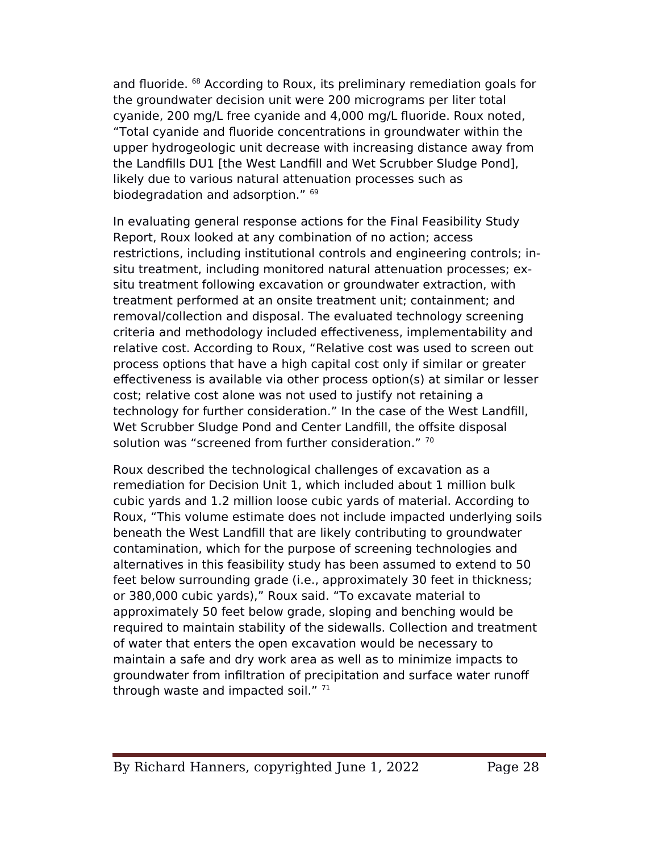and fluoride. <sup>68</sup> According to Roux, its preliminary remediation goals for the groundwater decision unit were 200 micrograms per liter total cyanide, 200 mg/L free cyanide and 4,000 mg/L fluoride. Roux noted, "Total cyanide and fluoride concentrations in groundwater within the upper hydrogeologic unit decrease with increasing distance away from the Landfills DU1 [the West Landfill and Wet Scrubber Sludge Pond], likely due to various natural attenuation processes such as biodegradation and adsorption." <sup>69</sup>

In evaluating general response actions for the Final Feasibility Study Report, Roux looked at any combination of no action; access restrictions, including institutional controls and engineering controls; insitu treatment, including monitored natural attenuation processes; exsitu treatment following excavation or groundwater extraction, with treatment performed at an onsite treatment unit; containment; and removal/collection and disposal. The evaluated technology screening criteria and methodology included efectiveness, implementability and relative cost. According to Roux, "Relative cost was used to screen out process options that have a high capital cost only if similar or greater efectiveness is available via other process option(s) at similar or lesser cost; relative cost alone was not used to justify not retaining a technology for further consideration." In the case of the West Landfll, Wet Scrubber Sludge Pond and Center Landfill, the offsite disposal solution was "screened from further consideration." 70

Roux described the technological challenges of excavation as a remediation for Decision Unit 1, which included about 1 million bulk cubic yards and 1.2 million loose cubic yards of material. According to Roux, "This volume estimate does not include impacted underlying soils beneath the West Landfll that are likely contributing to groundwater contamination, which for the purpose of screening technologies and alternatives in this feasibility study has been assumed to extend to 50 feet below surrounding grade (i.e., approximately 30 feet in thickness; or 380,000 cubic yards)," Roux said. "To excavate material to approximately 50 feet below grade, sloping and benching would be required to maintain stability of the sidewalls. Collection and treatment of water that enters the open excavation would be necessary to maintain a safe and dry work area as well as to minimize impacts to groundwater from infltration of precipitation and surface water runof through waste and impacted soil."  $71$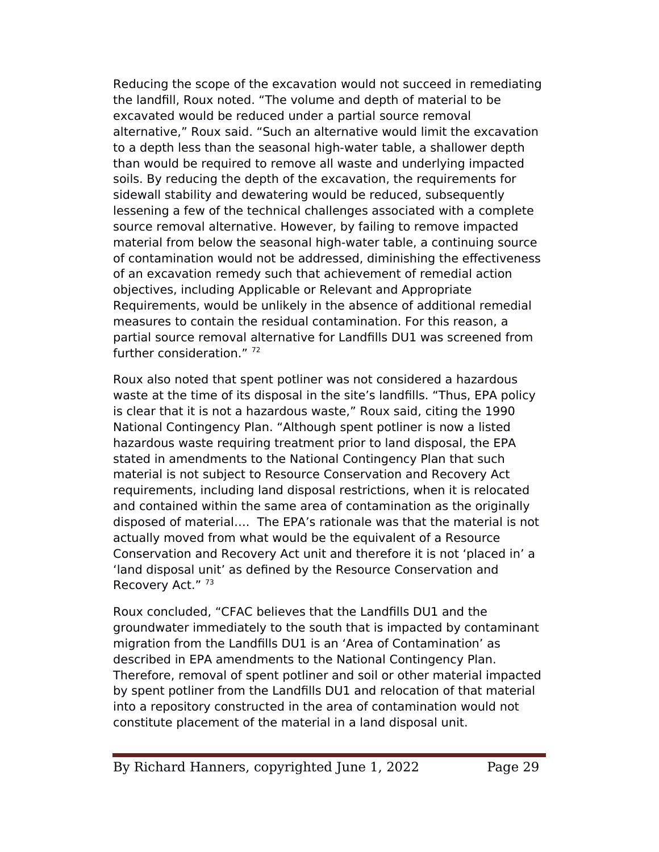Reducing the scope of the excavation would not succeed in remediating the landfll, Roux noted. "The volume and depth of material to be excavated would be reduced under a partial source removal alternative," Roux said. "Such an alternative would limit the excavation to a depth less than the seasonal high-water table, a shallower depth than would be required to remove all waste and underlying impacted soils. By reducing the depth of the excavation, the requirements for sidewall stability and dewatering would be reduced, subsequently lessening a few of the technical challenges associated with a complete source removal alternative. However, by failing to remove impacted material from below the seasonal high-water table, a continuing source of contamination would not be addressed, diminishing the efectiveness of an excavation remedy such that achievement of remedial action objectives, including Applicable or Relevant and Appropriate Requirements, would be unlikely in the absence of additional remedial measures to contain the residual contamination. For this reason, a partial source removal alternative for Landflls DU1 was screened from further consideration." 72

Roux also noted that spent potliner was not considered a hazardous waste at the time of its disposal in the site's landfills. "Thus, EPA policy is clear that it is not a hazardous waste," Roux said, citing the 1990 National Contingency elan. "Although spent potliner is now a listed hazardous waste requiring treatment prior to land disposal, the EPA stated in amendments to the National Contingency Plan that such material is not subject to Resource Conservation and Recovery Act requirements, including land disposal restrictions, when it is relocated and contained within the same area of contamination as the originally disposed of material…. The EeA's rationale was that the material is not actually moved from what would be the equivalent of a Resource Conservation and Recovery Act unit and therefore it is not 'placed in' a 'land disposal unit' as defned by the Resource Conservation and Recovery Act."<sup>73</sup>

Roux concluded, "CFAC believes that the Landflls DU1 and the groundwater immediately to the south that is impacted by contaminant migration from the Landflls DU1 is an 'Area of Contamination' as described in EPA amendments to the National Contingency Plan. Therefore, removal of spent potliner and soil or other material impacted by spent potliner from the Landflls DU1 and relocation of that material into a repository constructed in the area of contamination would not constitute placement of the material in a land disposal unit.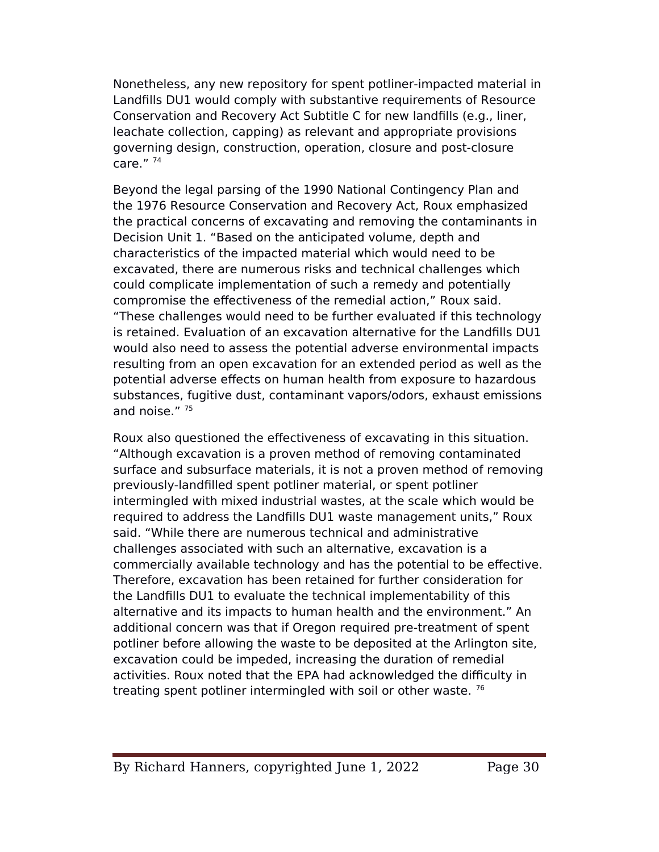Nonetheless, any new repository for spent potliner-impacted material in Landflls DU1 would comply with substantive requirements of Resource Conservation and Recovery Act Subtitle C for new landflls (e.g., liner, leachate collection, capping) as relevant and appropriate provisions governing design, construction, operation, closure and post-closure care." $74$ 

Beyond the legal parsing of the 1990 National Contingency Plan and the 1976 Resource Conservation and Recovery Act, Roux emphasized the practical concerns of excavating and removing the contaminants in Decision Unit 1. "Based on the anticipated volume, depth and characteristics of the impacted material which would need to be excavated, there are numerous risks and technical challenges which could complicate implementation of such a remedy and potentially compromise the efectiveness of the remedial action," Roux said. "These challenges would need to be further evaluated if this technology is retained. Evaluation of an excavation alternative for the Landflls DU1 would also need to assess the potential adverse environmental impacts resulting from an open excavation for an extended period as well as the potential adverse efects on human health from exposure to hazardous substances, fugitive dust, contaminant vapors/odors, exhaust emissions and noise." <sup>75</sup>

Roux also questioned the efectiveness of excavating in this situation. "Although excavation is a proven method of removing contaminated surface and subsurface materials, it is not a proven method of removing previously-landflled spent potliner material, or spent potliner intermingled with mixed industrial wastes, at the scale which would be required to address the Landflls DU1 waste management units," Roux said. "While there are numerous technical and administrative challenges associated with such an alternative, excavation is a commercially available technology and has the potential to be efective. Therefore, excavation has been retained for further consideration for the Landflls DU1 to evaluate the technical implementability of this alternative and its impacts to human health and the environment." An additional concern was that if Oregon required pre-treatment of spent potliner before allowing the waste to be deposited at the Arlington site, excavation could be impeded, increasing the duration of remedial activities. Roux noted that the EPA had acknowledged the difficulty in treating spent potliner intermingled with soil or other waste.<sup>76</sup>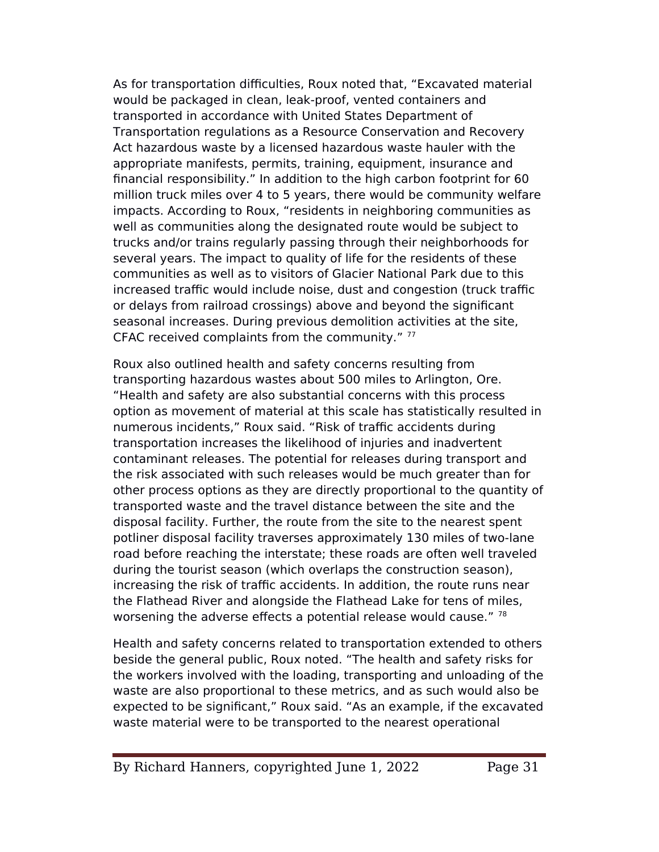As for transportation difficulties, Roux noted that, "Excavated material would be packaged in clean, leak-proof, vented containers and transported in accordance with United States Department of Transportation regulations as a Resource Conservation and Recovery Act hazardous waste by a licensed hazardous waste hauler with the appropriate manifests, permits, training, equipment, insurance and fnancial responsibility." In addition to the high carbon footprint for 60 million truck miles over 4 to 5 years, there would be community welfare impacts. According to Roux, "residents in neighboring communities as well as communities along the designated route would be subject to trucks and/or trains regularly passing through their neighborhoods for several years. The impact to quality of life for the residents of these communities as well as to visitors of Glacier National Park due to this increased traffic would include noise, dust and congestion (truck traffic or delays from railroad crossings) above and beyond the signifcant seasonal increases. During previous demolition activities at the site, CFAC received complaints from the community."  $77$ 

Roux also outlined health and safety concerns resulting from transporting hazardous wastes about 500 miles to Arlington, Ore. "Health and safety are also substantial concerns with this process option as movement of material at this scale has statistically resulted in numerous incidents," Roux said. "Risk of traffic accidents during transportation increases the likelihood of injuries and inadvertent contaminant releases. The potential for releases during transport and the risk associated with such releases would be much greater than for other process options as they are directly proportional to the quantity of transported waste and the travel distance between the site and the disposal facility. Further, the route from the site to the nearest spent potliner disposal facility traverses approximately 130 miles of two-lane road before reaching the interstate; these roads are often well traveled during the tourist season (which overlaps the construction season), increasing the risk of traffic accidents. In addition, the route runs near the Flathead River and alongside the Flathead Lake for tens of miles, worsening the adverse effects a potential release would cause." <sup>78</sup>

Health and safety concerns related to transportation extended to others beside the general public, Roux noted. "The health and safety risks for the workers involved with the loading, transporting and unloading of the waste are also proportional to these metrics, and as such would also be expected to be signifcant," Roux said. "As an example, if the excavated waste material were to be transported to the nearest operational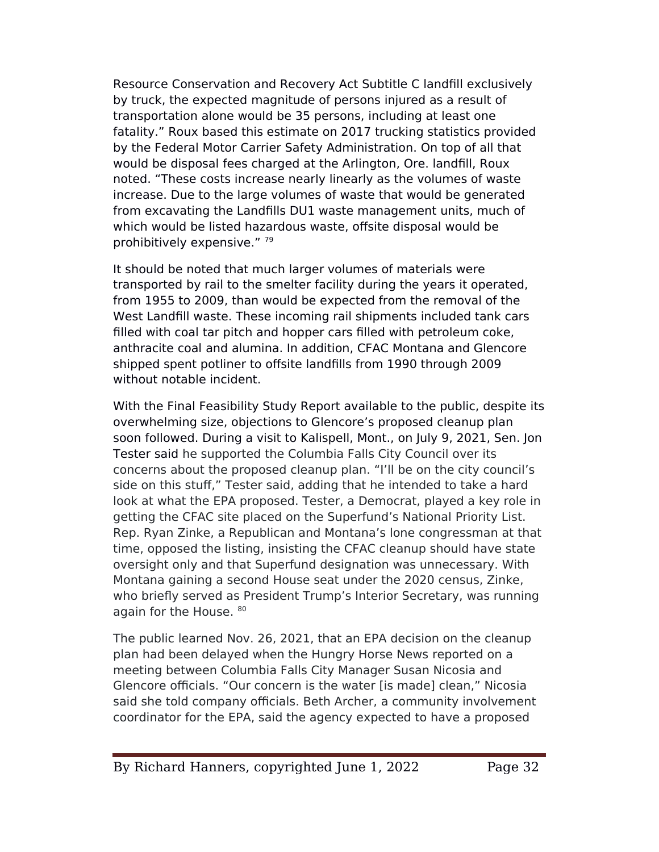Resource Conservation and Recovery Act Subtitle C landfll exclusively by truck, the expected magnitude of persons injured as a result of transportation alone would be 35 persons, including at least one fatality." Roux based this estimate on 2017 trucking statistics provided by the Federal Motor Carrier Safety Administration. On top of all that would be disposal fees charged at the Arlington, Ore. landfll, Roux noted. "These costs increase nearly linearly as the volumes of waste increase. Due to the large volumes of waste that would be generated from excavating the Landflls DU1 waste management units, much of which would be listed hazardous waste, offsite disposal would be prohibitively expensive." <sup>79</sup>

It should be noted that much larger volumes of materials were transported by rail to the smelter facility during the years it operated, from 1955 to 2009, than would be expected from the removal of the West Landfill waste. These incoming rail shipments included tank cars flled with coal tar pitch and hopper cars flled with petroleum coke, anthracite coal and alumina. In addition, CFAC Montana and Glencore shipped spent potliner to offsite landfills from 1990 through 2009 without notable incident.

With the Final Feasibility Study Report available to the public, despite its overwhelming size, objections to Glencore's proposed cleanup plan soon followed. During a visit to Kalispell, Mont., on July 9, 2021, Sen. Jon Tester said he supported the Columbia Falls City Council over its concerns about the proposed cleanup plan. "I'll be on the city council's side on this stuf," Tester said, adding that he intended to take a hard look at what the EPA proposed. Tester, a Democrat, played a key role in getting the CFAC site placed on the Superfund's National Priority List. Rep. Ryan Zinke, a Republican and Montana's lone congressman at that time, opposed the listing, insisting the CFAC cleanup should have state oversight only and that Superfund designation was unnecessary. With Montana gaining a second House seat under the 2020 census, Zinke, who briefly served as President Trump's Interior Secretary, was running again for the House. 80

The public learned Nov. 26, 2021, that an EPA decision on the cleanup plan had been delayed when the Hungry Horse News reported on a meeting between Columbia Falls City Manager Susan Nicosia and Glencore officials. "Our concern is the water [is made] clean," Nicosia said she told company officials. Beth Archer, a community involvement coordinator for the EeA, said the agency expected to have a proposed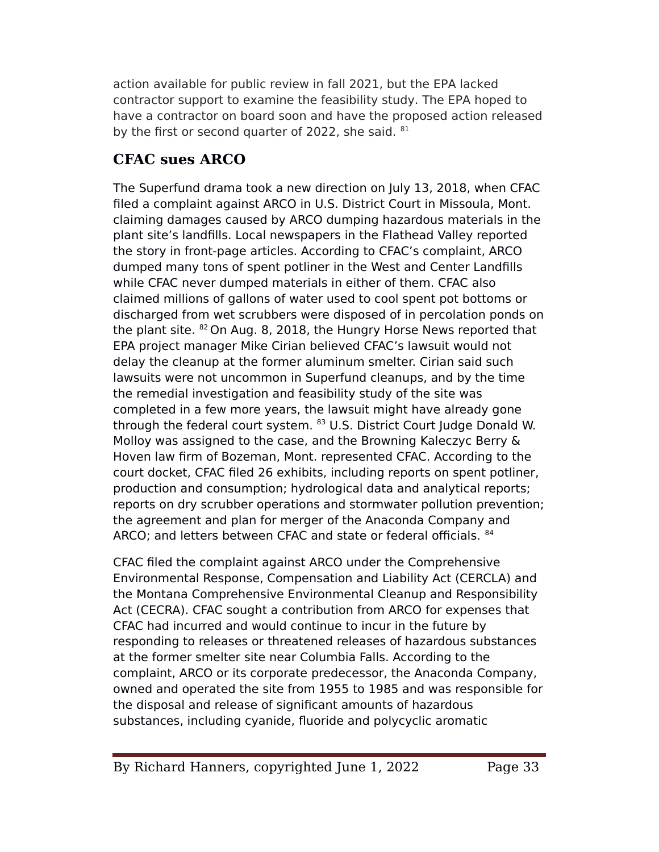action available for public review in fall 2021, but the EPA lacked contractor support to examine the feasibility study. The EPA hoped to have a contractor on board soon and have the proposed action released by the first or second quarter of 2022, she said. <sup>81</sup>

# **CFAC sues ARCO**

The Superfund drama took a new direction on July 13, 2018, when CFAC fled a complaint against ARCO in U.S. District Court in Missoula, Mont. claiming damages caused by ARCO dumping hazardous materials in the plant site's landflls. Local newspapers in the Flathead Valley reported the story in front-page articles. According to CFAC's complaint, ARCO dumped many tons of spent potliner in the West and Center Landflls while CFAC never dumped materials in either of them. CFAC also claimed millions of gallons of water used to cool spent pot bottoms or discharged from wet scrubbers were disposed of in percolation ponds on the plant site. <sup>82</sup> On Aug. 8, 2018, the Hungry Horse News reported that EeA project manager Mike Cirian believed CFAC's lawsuit would not delay the cleanup at the former aluminum smelter. Cirian said such lawsuits were not uncommon in Superfund cleanups, and by the time the remedial investigation and feasibility study of the site was completed in a few more years, the lawsuit might have already gone through the federal court system. <sup>83</sup> U.S. District Court Judge Donald W. Molloy was assigned to the case, and the Browning Kaleczyc Berry & Hoven law frm of Bozeman, Mont. represented CFAC. According to the court docket, CFAC fled 26 exhibits, including reports on spent potliner, production and consumption; hydrological data and analytical reports; reports on dry scrubber operations and stormwater pollution prevention; the agreement and plan for merger of the Anaconda Company and ARCO; and letters between CFAC and state or federal officials.  $^{84}$ 

CFAC fled the complaint against ARCO under the Comprehensive Environmental Response, Compensation and Liability Act (CERCLA) and the Montana Comprehensive Environmental Cleanup and Responsibility Act (CECRA). CFAC sought a contribution from ARCO for expenses that CFAC had incurred and would continue to incur in the future by responding to releases or threatened releases of hazardous substances at the former smelter site near Columbia Falls. According to the complaint, ARCO or its corporate predecessor, the Anaconda Company, owned and operated the site from 1955 to 1985 and was responsible for the disposal and release of signifcant amounts of hazardous substances, including cyanide, fluoride and polycyclic aromatic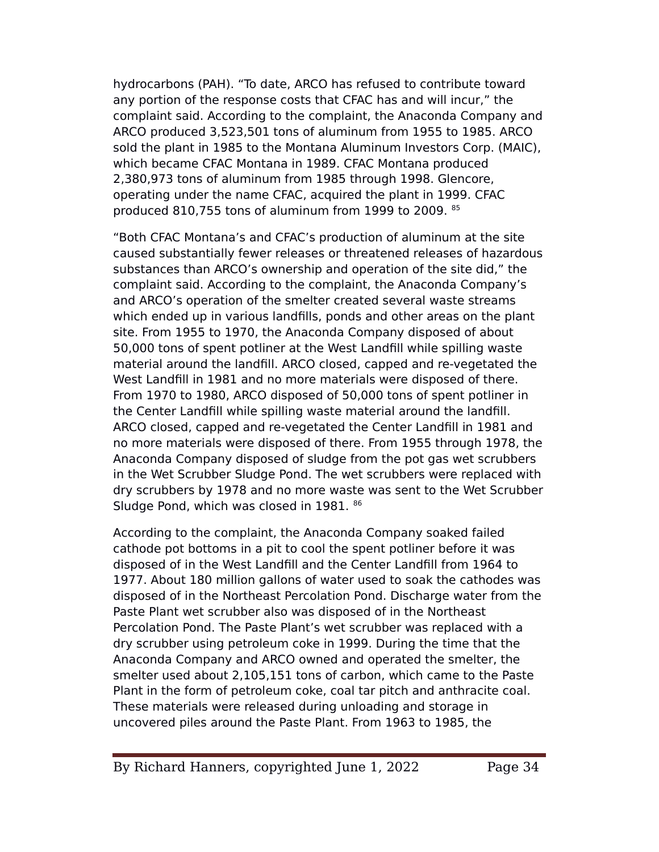hydrocarbons (PAH). "To date, ARCO has refused to contribute toward any portion of the response costs that CFAC has and will incur," the complaint said. According to the complaint, the Anaconda Company and ARCO produced 3,523,501 tons of aluminum from 1955 to 1985. ARCO sold the plant in 1985 to the Montana Aluminum Investors Corp. (MAIC), which became CFAC Montana in 1989. CFAC Montana produced 2,380,973 tons of aluminum from 1985 through 1998. Glencore, operating under the name CFAC, acquired the plant in 1999. CFAC produced 810,755 tons of aluminum from 1999 to 2009. 85

"Both CFAC Montana's and CFAC's production of aluminum at the site caused substantially fewer releases or threatened releases of hazardous substances than ARCO's ownership and operation of the site did," the complaint said. According to the complaint, the Anaconda Company's and ARCO's operation of the smelter created several waste streams which ended up in various landfills, ponds and other areas on the plant site. From 1955 to 1970, the Anaconda Company disposed of about 50,000 tons of spent potliner at the West Landfll while spilling waste material around the landfll. ARCO closed, capped and re-vegetated the West Landfll in 1981 and no more materials were disposed of there. From 1970 to 1980, ARCO disposed of 50,000 tons of spent potliner in the Center Landfll while spilling waste material around the landfll. ARCO closed, capped and re-vegetated the Center Landfll in 1981 and no more materials were disposed of there. From 1955 through 1978, the Anaconda Company disposed of sludge from the pot gas wet scrubbers in the Wet Scrubber Sludge Pond. The wet scrubbers were replaced with dry scrubbers by 1978 and no more waste was sent to the Wet Scrubber Sludge Pond, which was closed in 1981. 86

According to the complaint, the Anaconda Company soaked failed cathode pot bottoms in a pit to cool the spent potliner before it was disposed of in the West Landfll and the Center Landfll from 1964 to 1977. About 180 million gallons of water used to soak the cathodes was disposed of in the Northeast Percolation Pond. Discharge water from the Paste Plant wet scrubber also was disposed of in the Northeast Percolation Pond. The Paste Plant's wet scrubber was replaced with a dry scrubber using petroleum coke in 1999. During the time that the Anaconda Company and ARCO owned and operated the smelter, the smelter used about 2,105,151 tons of carbon, which came to the Paste Plant in the form of petroleum coke, coal tar pitch and anthracite coal. These materials were released during unloading and storage in uncovered piles around the Paste Plant. From 1963 to 1985, the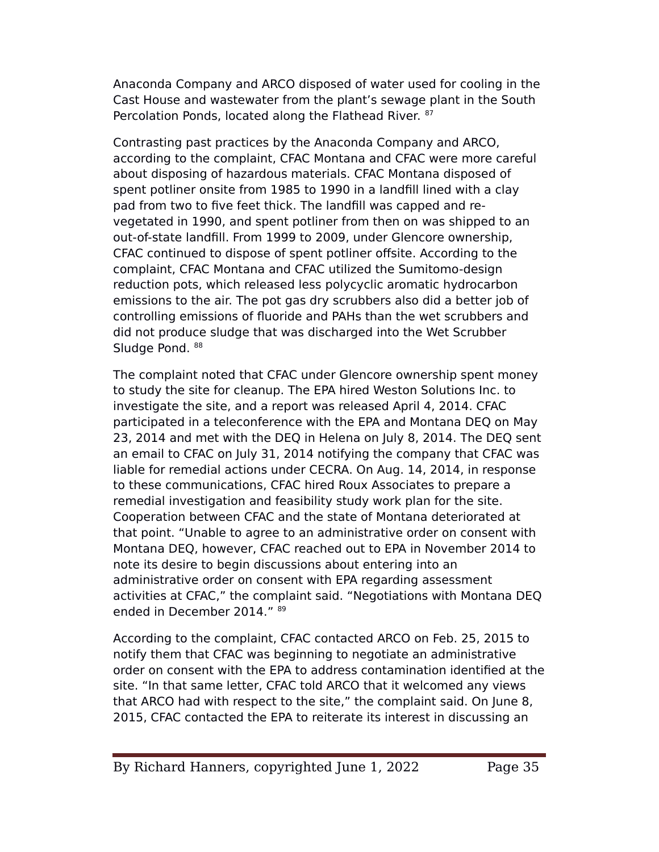Anaconda Company and ARCO disposed of water used for cooling in the Cast House and wastewater from the plant's sewage plant in the South Percolation Ponds, located along the Flathead River. 87

Contrasting past practices by the Anaconda Company and ARCO, according to the complaint, CFAC Montana and CFAC were more careful about disposing of hazardous materials. CFAC Montana disposed of spent potliner onsite from 1985 to 1990 in a landfll lined with a clay pad from two to five feet thick. The landfill was capped and revegetated in 1990, and spent potliner from then on was shipped to an out-of-state landfll. From 1999 to 2009, under Glencore ownership, CFAC continued to dispose of spent potliner ofsite. According to the complaint, CFAC Montana and CFAC utilized the Sumitomo-design reduction pots, which released less polycyclic aromatic hydrocarbon emissions to the air. The pot gas dry scrubbers also did a better job of controlling emissions of fluoride and eAHs than the wet scrubbers and did not produce sludge that was discharged into the Wet Scrubber Sludge Pond. 88

The complaint noted that CFAC under Glencore ownership spent money to study the site for cleanup. The EeA hired Weston Solutions Inc. to investigate the site, and a report was released April 4, 2014. CFAC participated in a teleconference with the EeA and Montana DEQ on May 23, 2014 and met with the DEQ in Helena on July 8, 2014. The DEQ sent an email to CFAC on July 31, 2014 notifying the company that CFAC was liable for remedial actions under CECRA. On Aug. 14, 2014, in response to these communications, CFAC hired Roux Associates to prepare a remedial investigation and feasibility study work plan for the site. Cooperation between CFAC and the state of Montana deteriorated at that point. "Unable to agree to an administrative order on consent with Montana DEQ, however, CFAC reached out to EeA in November 2014 to note its desire to begin discussions about entering into an administrative order on consent with EPA regarding assessment activities at CFAC," the complaint said. "Negotiations with Montana DEQ ended in December 2014." <sup>89</sup>

According to the complaint, CFAC contacted ARCO on Feb. 25, 2015 to notify them that CFAC was beginning to negotiate an administrative order on consent with the EeA to address contamination identifed at the site. "In that same letter, CFAC told ARCO that it welcomed any views that ARCO had with respect to the site," the complaint said. On June 8, 2015, CFAC contacted the EeA to reiterate its interest in discussing an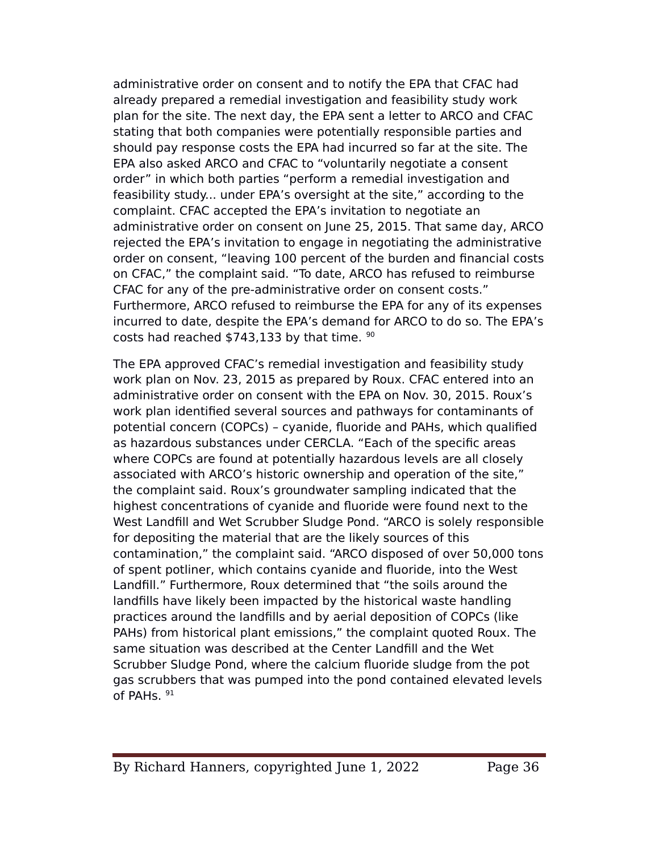administrative order on consent and to notify the EeA that CFAC had already prepared a remedial investigation and feasibility study work plan for the site. The next day, the EeA sent a letter to ARCO and CFAC stating that both companies were potentially responsible parties and should pay response costs the EPA had incurred so far at the site. The EeA also asked ARCO and CFAC to "voluntarily negotiate a consent order" in which both parties "perform a remedial investigation and feasibility study... under EPA's oversight at the site," according to the complaint. CFAC accepted the EPA's invitation to negotiate an administrative order on consent on June 25, 2015. That same day, ARCO rejected the EPA's invitation to engage in negotiating the administrative order on consent, "leaving 100 percent of the burden and fnancial costs on CFAC," the complaint said. "To date, ARCO has refused to reimburse CFAC for any of the pre-administrative order on consent costs." Furthermore, ARCO refused to reimburse the EPA for any of its expenses incurred to date, despite the EPA's demand for ARCO to do so. The EPA's costs had reached \$743,133 by that time. <sup>90</sup>

The EPA approved CFAC's remedial investigation and feasibility study work plan on Nov. 23, 2015 as prepared by Roux. CFAC entered into an administrative order on consent with the EeA on Nov. 30, 2015. Roux's work plan identifed several sources and pathways for contaminants of potential concern (COPCs) - cyanide, fluoride and PAHs, which qualified as hazardous substances under CERCLA. "Each of the specifc areas where COPCs are found at potentially hazardous levels are all closely associated with ARCO's historic ownership and operation of the site," the complaint said. Roux's groundwater sampling indicated that the highest concentrations of cyanide and fluoride were found next to the West Landfill and Wet Scrubber Sludge Pond. "ARCO is solely responsible for depositing the material that are the likely sources of this contamination," the complaint said. "ARCO disposed of over 50,000 tons of spent potliner, which contains cyanide and fluoride, into the West Landfll." Furthermore, Roux determined that "the soils around the landflls have likely been impacted by the historical waste handling practices around the landfills and by aerial deposition of COPCs (like eAHs) from historical plant emissions," the complaint quoted Roux. The same situation was described at the Center Landfll and the Wet Scrubber Sludge Pond, where the calcium fluoride sludge from the pot gas scrubbers that was pumped into the pond contained elevated levels of PAHs.  $91$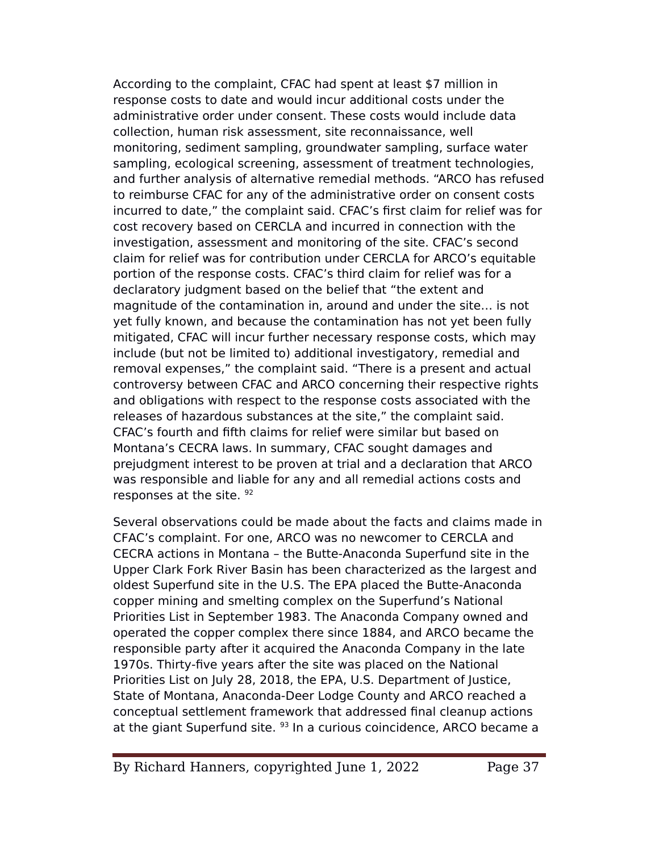According to the complaint, CFAC had spent at least \$7 million in response costs to date and would incur additional costs under the administrative order under consent. These costs would include data collection, human risk assessment, site reconnaissance, well monitoring, sediment sampling, groundwater sampling, surface water sampling, ecological screening, assessment of treatment technologies, and further analysis of alternative remedial methods. "ARCO has refused to reimburse CFAC for any of the administrative order on consent costs incurred to date," the complaint said. CFAC's frst claim for relief was for cost recovery based on CERCLA and incurred in connection with the investigation, assessment and monitoring of the site. CFAC's second claim for relief was for contribution under CERCLA for ARCO's equitable portion of the response costs. CFAC's third claim for relief was for a declaratory judgment based on the belief that "the extent and magnitude of the contamination in, around and under the site… is not yet fully known, and because the contamination has not yet been fully mitigated, CFAC will incur further necessary response costs, which may include (but not be limited to) additional investigatory, remedial and removal expenses," the complaint said. "There is a present and actual controversy between CFAC and ARCO concerning their respective rights and obligations with respect to the response costs associated with the releases of hazardous substances at the site," the complaint said. CFAC's fourth and ffth claims for relief were similar but based on Montana's CECRA laws. In summary, CFAC sought damages and prejudgment interest to be proven at trial and a declaration that ARCO was responsible and liable for any and all remedial actions costs and responses at the site. 92

Several observations could be made about the facts and claims made in CFAC's complaint. For one, ARCO was no newcomer to CERCLA and CECRA actions in Montana – the Butte-Anaconda Superfund site in the Upper Clark Fork River Basin has been characterized as the largest and oldest Superfund site in the U.S. The EPA placed the Butte-Anaconda copper mining and smelting complex on the Superfund's National Priorities List in September 1983. The Anaconda Company owned and operated the copper complex there since 1884, and ARCO became the responsible party after it acquired the Anaconda Company in the late 1970s. Thirty-fve years after the site was placed on the National Priorities List on July 28, 2018, the EPA, U.S. Department of Justice, State of Montana, Anaconda-Deer Lodge County and ARCO reached a conceptual settlement framework that addressed fnal cleanup actions at the giant Superfund site. <sup>93</sup> In a curious coincidence, ARCO became a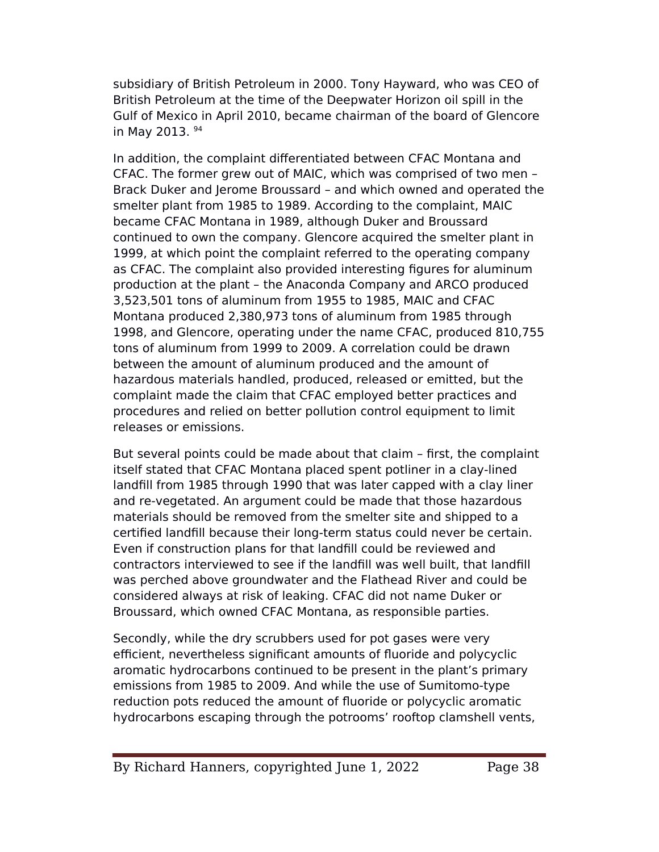subsidiary of British eetroleum in 2000. Tony Hayward, who was CEO of British Petroleum at the time of the Deepwater Horizon oil spill in the Gulf of Mexico in April 2010, became chairman of the board of Glencore in May 2013. <sup>94</sup>

In addition, the complaint diferentiated between CFAC Montana and CFAC. The former grew out of MAIC, which was comprised of two men – Brack Duker and Jerome Broussard – and which owned and operated the smelter plant from 1985 to 1989. According to the complaint, MAIC became CFAC Montana in 1989, although Duker and Broussard continued to own the company. Glencore acquired the smelter plant in 1999, at which point the complaint referred to the operating company as CFAC. The complaint also provided interesting fgures for aluminum production at the plant – the Anaconda Company and ARCO produced 3,523,501 tons of aluminum from 1955 to 1985, MAIC and CFAC Montana produced 2,380,973 tons of aluminum from 1985 through 1998, and Glencore, operating under the name CFAC, produced 810,755 tons of aluminum from 1999 to 2009. A correlation could be drawn between the amount of aluminum produced and the amount of hazardous materials handled, produced, released or emitted, but the complaint made the claim that CFAC employed better practices and procedures and relied on better pollution control equipment to limit releases or emissions.

But several points could be made about that claim – frst, the complaint itself stated that CFAC Montana placed spent potliner in a clay-lined landfll from 1985 through 1990 that was later capped with a clay liner and re-vegetated. An argument could be made that those hazardous materials should be removed from the smelter site and shipped to a certifed landfll because their long-term status could never be certain. Even if construction plans for that landfll could be reviewed and contractors interviewed to see if the landfll was well built, that landfll was perched above groundwater and the Flathead River and could be considered always at risk of leaking. CFAC did not name Duker or Broussard, which owned CFAC Montana, as responsible parties.

Secondly, while the dry scrubbers used for pot gases were very efficient, nevertheless significant amounts of fluoride and polycyclic aromatic hydrocarbons continued to be present in the plant's primary emissions from 1985 to 2009. And while the use of Sumitomo-type reduction pots reduced the amount of fluoride or polycyclic aromatic hydrocarbons escaping through the potrooms' rooftop clamshell vents,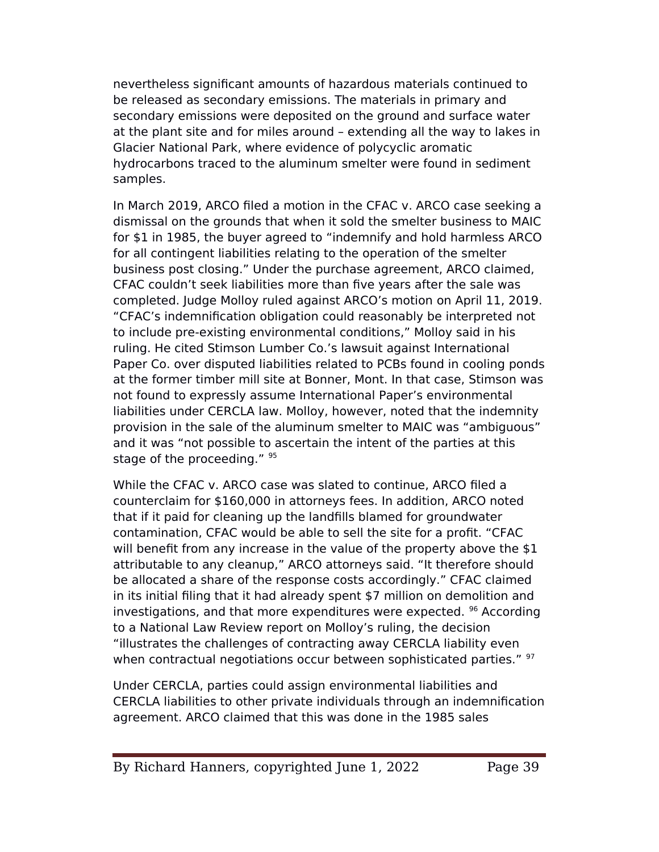nevertheless signifcant amounts of hazardous materials continued to be released as secondary emissions. The materials in primary and secondary emissions were deposited on the ground and surface water at the plant site and for miles around – extending all the way to lakes in Glacier National Park, where evidence of polycyclic aromatic hydrocarbons traced to the aluminum smelter were found in sediment samples.

In March 2019, ARCO fled a motion in the CFAC v. ARCO case seeking a dismissal on the grounds that when it sold the smelter business to MAIC for \$1 in 1985, the buyer agreed to "indemnify and hold harmless ARCO for all contingent liabilities relating to the operation of the smelter business post closing." Under the purchase agreement, ARCO claimed, CFAC couldn't seek liabilities more than fve years after the sale was completed. Judge Molloy ruled against ARCO's motion on April 11, 2019. "CFAC's indemnifcation obligation could reasonably be interpreted not to include pre-existing environmental conditions," Molloy said in his ruling. He cited Stimson Lumber Co.'s lawsuit against International Paper Co. over disputed liabilities related to PCBs found in cooling ponds at the former timber mill site at Bonner, Mont. In that case, Stimson was not found to expressly assume International Paper's environmental liabilities under CERCLA law. Molloy, however, noted that the indemnity provision in the sale of the aluminum smelter to MAIC was "ambiguous" and it was "not possible to ascertain the intent of the parties at this stage of the proceeding." 95

While the CFAC v. ARCO case was slated to continue, ARCO fled a counterclaim for \$160,000 in attorneys fees. In addition, ARCO noted that if it paid for cleaning up the landflls blamed for groundwater contamination, CFAC would be able to sell the site for a proft. "CFAC will benefit from any increase in the value of the property above the  $$1$ attributable to any cleanup," ARCO attorneys said. "It therefore should be allocated a share of the response costs accordingly." CFAC claimed in its initial fling that it had already spent \$7 million on demolition and investigations, and that more expenditures were expected. <sup>96</sup> According to a National Law Review report on Molloy's ruling, the decision "illustrates the challenges of contracting away CERCLA liability even when contractual negotiations occur between sophisticated parties." 97

Under CERCLA, parties could assign environmental liabilities and CERCLA liabilities to other private individuals through an indemnifcation agreement. ARCO claimed that this was done in the 1985 sales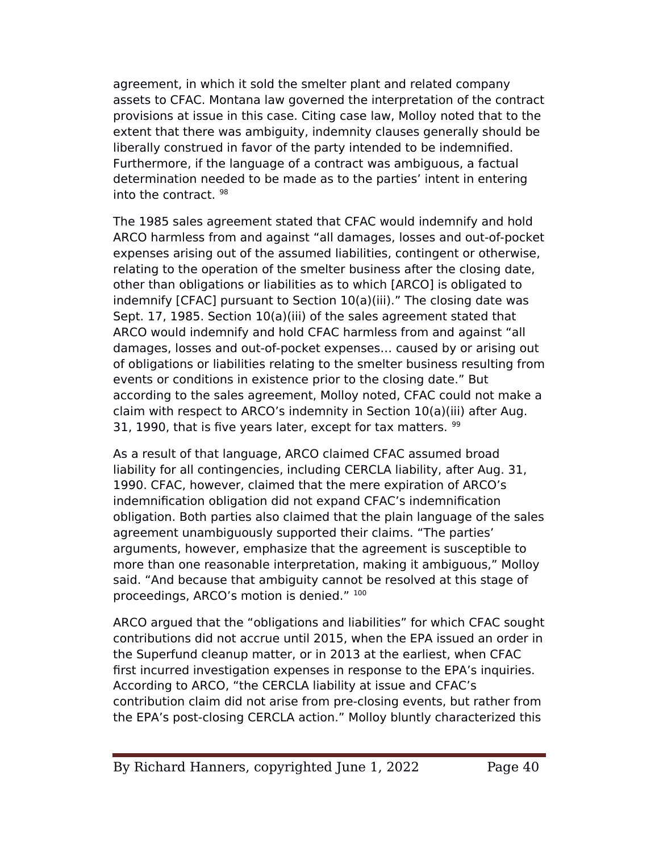agreement, in which it sold the smelter plant and related company assets to CFAC. Montana law governed the interpretation of the contract provisions at issue in this case. Citing case law, Molloy noted that to the extent that there was ambiguity, indemnity clauses generally should be liberally construed in favor of the party intended to be indemnifed. Furthermore, if the language of a contract was ambiguous, a factual determination needed to be made as to the parties' intent in entering into the contract. <sup>98</sup>

The 1985 sales agreement stated that CFAC would indemnify and hold ARCO harmless from and against "all damages, losses and out-of-pocket expenses arising out of the assumed liabilities, contingent or otherwise, relating to the operation of the smelter business after the closing date, other than obligations or liabilities as to which [ARCO] is obligated to indemnify [CFAC] pursuant to Section 10(a)(iii)." The closing date was Sept. 17, 1985. Section 10(a)(iii) of the sales agreement stated that ARCO would indemnify and hold CFAC harmless from and against "all damages, losses and out-of-pocket expenses… caused by or arising out of obligations or liabilities relating to the smelter business resulting from events or conditions in existence prior to the closing date." But according to the sales agreement, Molloy noted, CFAC could not make a claim with respect to ARCO's indemnity in Section 10(a)(iii) after Aug. 31, 1990, that is five years later, except for tax matters.  $99$ 

As a result of that language, ARCO claimed CFAC assumed broad liability for all contingencies, including CERCLA liability, after Aug. 31, 1990. CFAC, however, claimed that the mere expiration of ARCO's indemnifcation obligation did not expand CFAC's indemnifcation obligation. Both parties also claimed that the plain language of the sales agreement unambiguously supported their claims. "The parties' arguments, however, emphasize that the agreement is susceptible to more than one reasonable interpretation, making it ambiguous," Molloy said. "And because that ambiguity cannot be resolved at this stage of proceedings, ARCO's motion is denied." <sup>100</sup>

ARCO argued that the "obligations and liabilities" for which CFAC sought contributions did not accrue until 2015, when the EeA issued an order in the Superfund cleanup matter, or in 2013 at the earliest, when CFAC first incurred investigation expenses in response to the EPA's inquiries. According to ARCO, "the CERCLA liability at issue and CFAC's contribution claim did not arise from pre-closing events, but rather from the EPA's post-closing CERCLA action." Molloy bluntly characterized this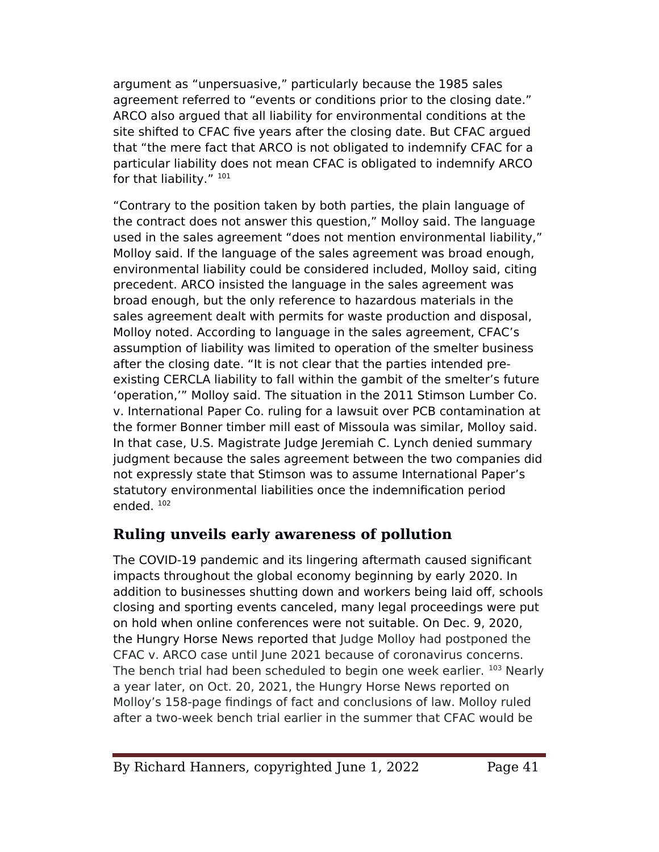argument as "unpersuasive," particularly because the 1985 sales agreement referred to "events or conditions prior to the closing date." ARCO also argued that all liability for environmental conditions at the site shifted to CFAC five years after the closing date. But CFAC argued that "the mere fact that ARCO is not obligated to indemnify CFAC for a particular liability does not mean CFAC is obligated to indemnify ARCO for that liability." 101

"Contrary to the position taken by both parties, the plain language of the contract does not answer this question," Molloy said. The language used in the sales agreement "does not mention environmental liability," Molloy said. If the language of the sales agreement was broad enough, environmental liability could be considered included, Molloy said, citing precedent. ARCO insisted the language in the sales agreement was broad enough, but the only reference to hazardous materials in the sales agreement dealt with permits for waste production and disposal, Molloy noted. According to language in the sales agreement, CFAC's assumption of liability was limited to operation of the smelter business after the closing date. "It is not clear that the parties intended preexisting CERCLA liability to fall within the gambit of the smelter's future 'operation,'" Molloy said. The situation in the 2011 Stimson Lumber Co. v. International Paper Co. ruling for a lawsuit over PCB contamination at the former Bonner timber mill east of Missoula was similar, Molloy said. In that case, U.S. Magistrate Judge Jeremiah C. Lynch denied summary judgment because the sales agreement between the two companies did not expressly state that Stimson was to assume International Paper's statutory environmental liabilities once the indemnifcation period ended. <sup>102</sup>

## **Ruling unveils early awareness of pollution**

The COVID-19 pandemic and its lingering aftermath caused signifcant impacts throughout the global economy beginning by early 2020. In addition to businesses shutting down and workers being laid off, schools closing and sporting events canceled, many legal proceedings were put on hold when online conferences were not suitable. On Dec. 9, 2020, the Hungry Horse News reported that Judge Molloy had postponed the CFAC v. ARCO case until June 2021 because of coronavirus concerns. The bench trial had been scheduled to begin one week earlier. 103 Nearly a year later, on Oct. 20, 2021, the Hungry Horse News reported on Molloy's 158-page fndings of fact and conclusions of law. Molloy ruled after a two-week bench trial earlier in the summer that CFAC would be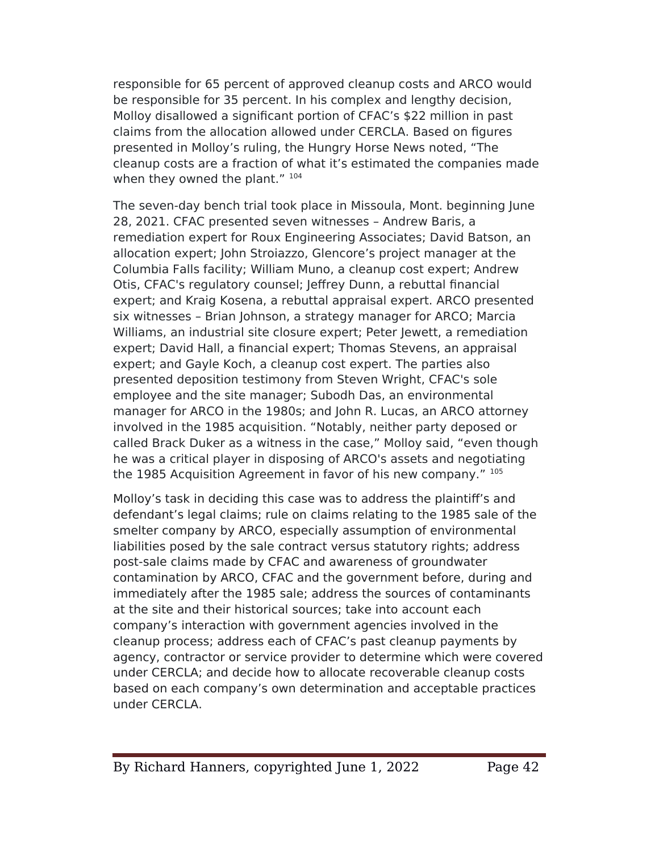responsible for 65 percent of approved cleanup costs and ARCO would be responsible for 35 percent. In his complex and lengthy decision, Molloy disallowed a signifcant portion of CFAC's \$22 million in past claims from the allocation allowed under CERCLA. Based on fgures presented in Molloy's ruling, the Hungry Horse News noted, "The cleanup costs are a fraction of what it's estimated the companies made when they owned the plant." 104

The seven-day bench trial took place in Missoula, Mont. beginning June 28, 2021. CFAC presented seven witnesses – Andrew Baris, a remediation expert for Roux Engineering Associates; David Batson, an allocation expert; John Stroiazzo, Glencore's project manager at the Columbia Falls facility; William Muno, a cleanup cost expert; Andrew Otis, CFAC's regulatory counsel; Jefrey Dunn, a rebuttal fnancial expert; and Kraig Kosena, a rebuttal appraisal expert. ARCO presented six witnesses – Brian Johnson, a strategy manager for ARCO; Marcia Williams, an industrial site closure expert; Peter Jewett, a remediation expert; David Hall, a fnancial expert; Thomas Stevens, an appraisal expert; and Gayle Koch, a cleanup cost expert. The parties also presented deposition testimony from Steven Wright, CFAC's sole employee and the site manager; Subodh Das, an environmental manager for ARCO in the 1980s; and John R. Lucas, an ARCO attorney involved in the 1985 acquisition. "Notably, neither party deposed or called Brack Duker as a witness in the case," Molloy said, "even though he was a critical player in disposing of ARCO's assets and negotiating the 1985 Acquisition Agreement in favor of his new company." <sup>105</sup>

Molloy's task in deciding this case was to address the plaintif's and defendant's legal claims; rule on claims relating to the 1985 sale of the smelter company by ARCO, especially assumption of environmental liabilities posed by the sale contract versus statutory rights; address post-sale claims made by CFAC and awareness of groundwater contamination by ARCO, CFAC and the government before, during and immediately after the 1985 sale; address the sources of contaminants at the site and their historical sources; take into account each company's interaction with government agencies involved in the cleanup process; address each of CFAC's past cleanup payments by agency, contractor or service provider to determine which were covered under CERCLA; and decide how to allocate recoverable cleanup costs based on each company's own determination and acceptable practices under CERCLA.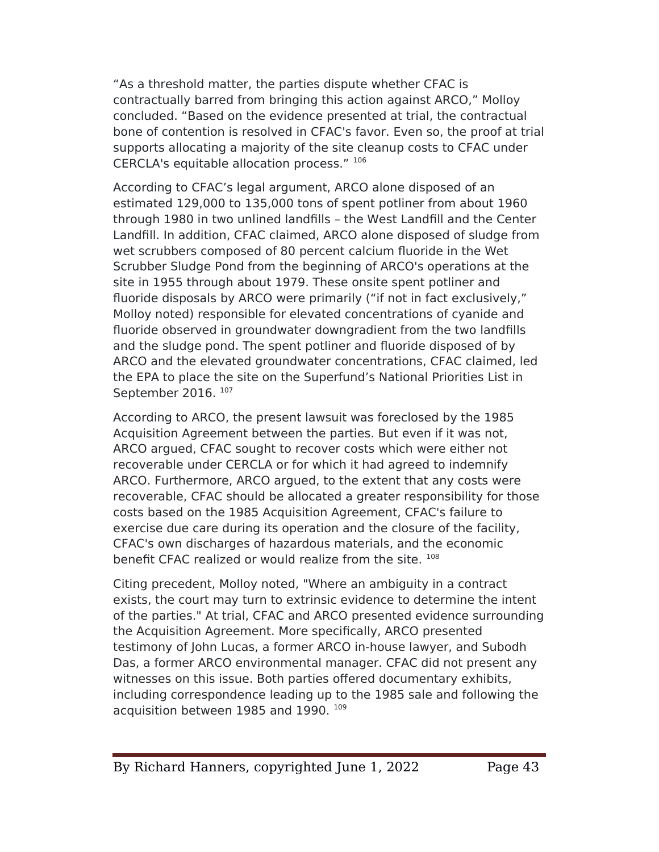"As a threshold matter, the parties dispute whether CFAC is contractually barred from bringing this action against ARCO," Molloy concluded. "Based on the evidence presented at trial, the contractual bone of contention is resolved in CFAC's favor. Even so, the proof at trial supports allocating a majority of the site cleanup costs to CFAC under CERCLA's equitable allocation process." <sup>106</sup>

According to CFAC's legal argument, ARCO alone disposed of an estimated 129,000 to 135,000 tons of spent potliner from about 1960 through 1980 in two unlined landflls – the West Landfll and the Center Landfll. In addition, CFAC claimed, ARCO alone disposed of sludge from wet scrubbers composed of 80 percent calcium fluoride in the Wet Scrubber Sludge Pond from the beginning of ARCO's operations at the site in 1955 through about 1979. These onsite spent potliner and fluoride disposals by ARCO were primarily ("if not in fact exclusively," Molloy noted) responsible for elevated concentrations of cyanide and fluoride observed in groundwater downgradient from the two landfills and the sludge pond. The spent potliner and fluoride disposed of by ARCO and the elevated groundwater concentrations, CFAC claimed, led the EPA to place the site on the Superfund's National Priorities List in September 2016.<sup>107</sup>

According to ARCO, the present lawsuit was foreclosed by the 1985 Acquisition Agreement between the parties. But even if it was not, ARCO argued, CFAC sought to recover costs which were either not recoverable under CERCLA or for which it had agreed to indemnify ARCO. Furthermore, ARCO argued, to the extent that any costs were recoverable, CFAC should be allocated a greater responsibility for those costs based on the 1985 Acquisition Agreement, CFAC's failure to exercise due care during its operation and the closure of the facility, CFAC's own discharges of hazardous materials, and the economic benefit CFAC realized or would realize from the site. 108

Citing precedent, Molloy noted, "Where an ambiguity in a contract exists, the court may turn to extrinsic evidence to determine the intent of the parties." At trial, CFAC and ARCO presented evidence surrounding the Acquisition Agreement. More specifcally, ARCO presented testimony of John Lucas, a former ARCO in-house lawyer, and Subodh Das, a former ARCO environmental manager. CFAC did not present any witnesses on this issue. Both parties offered documentary exhibits, including correspondence leading up to the 1985 sale and following the acquisition between 1985 and 1990. 109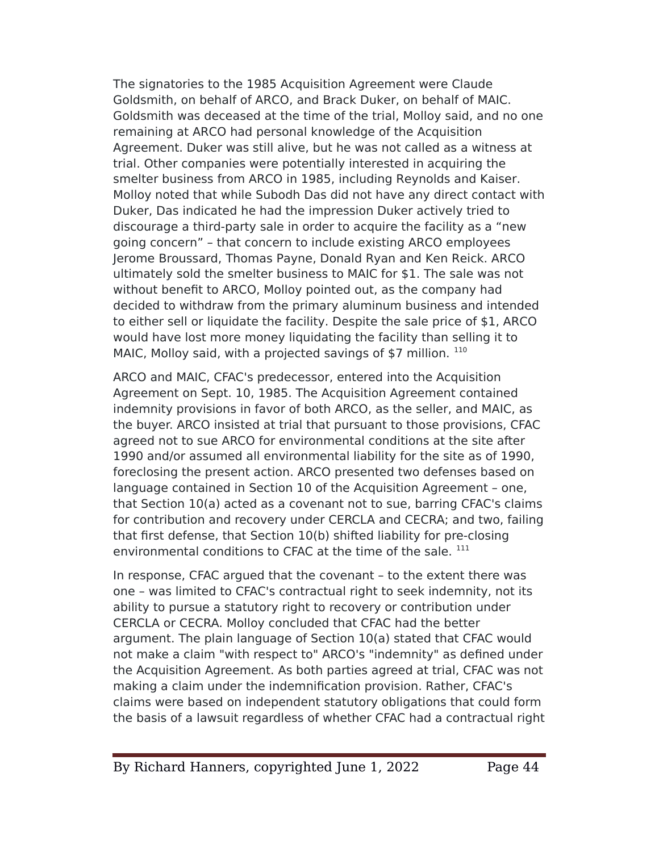The signatories to the 1985 Acquisition Agreement were Claude Goldsmith, on behalf of ARCO, and Brack Duker, on behalf of MAIC. Goldsmith was deceased at the time of the trial, Molloy said, and no one remaining at ARCO had personal knowledge of the Acquisition Agreement. Duker was still alive, but he was not called as a witness at trial. Other companies were potentially interested in acquiring the smelter business from ARCO in 1985, including Reynolds and Kaiser. Molloy noted that while Subodh Das did not have any direct contact with Duker, Das indicated he had the impression Duker actively tried to discourage a third-party sale in order to acquire the facility as a "new going concern" – that concern to include existing ARCO employees Jerome Broussard, Thomas Payne, Donald Ryan and Ken Reick. ARCO ultimately sold the smelter business to MAIC for \$1. The sale was not without beneft to ARCO, Molloy pointed out, as the company had decided to withdraw from the primary aluminum business and intended to either sell or liquidate the facility. Despite the sale price of \$1, ARCO would have lost more money liquidating the facility than selling it to MAIC, Molloy said, with a projected savings of \$7 million.  $110$ 

ARCO and MAIC, CFAC's predecessor, entered into the Acquisition Agreement on Sept. 10, 1985. The Acquisition Agreement contained indemnity provisions in favor of both ARCO, as the seller, and MAIC, as the buyer. ARCO insisted at trial that pursuant to those provisions, CFAC agreed not to sue ARCO for environmental conditions at the site after 1990 and/or assumed all environmental liability for the site as of 1990, foreclosing the present action. ARCO presented two defenses based on language contained in Section 10 of the Acquisition Agreement – one, that Section 10(a) acted as a covenant not to sue, barring CFAC's claims for contribution and recovery under CERCLA and CECRA; and two, failing that frst defense, that Section 10(b) shifted liability for pre-closing environmental conditions to CFAC at the time of the sale. <sup>111</sup>

In response, CFAC argued that the covenant – to the extent there was one – was limited to CFAC's contractual right to seek indemnity, not its ability to pursue a statutory right to recovery or contribution under CERCLA or CECRA. Molloy concluded that CFAC had the better argument. The plain language of Section 10(a) stated that CFAC would not make a claim "with respect to" ARCO's "indemnity" as defned under the Acquisition Agreement. As both parties agreed at trial, CFAC was not making a claim under the indemnifcation provision. Rather, CFAC's claims were based on independent statutory obligations that could form the basis of a lawsuit regardless of whether CFAC had a contractual right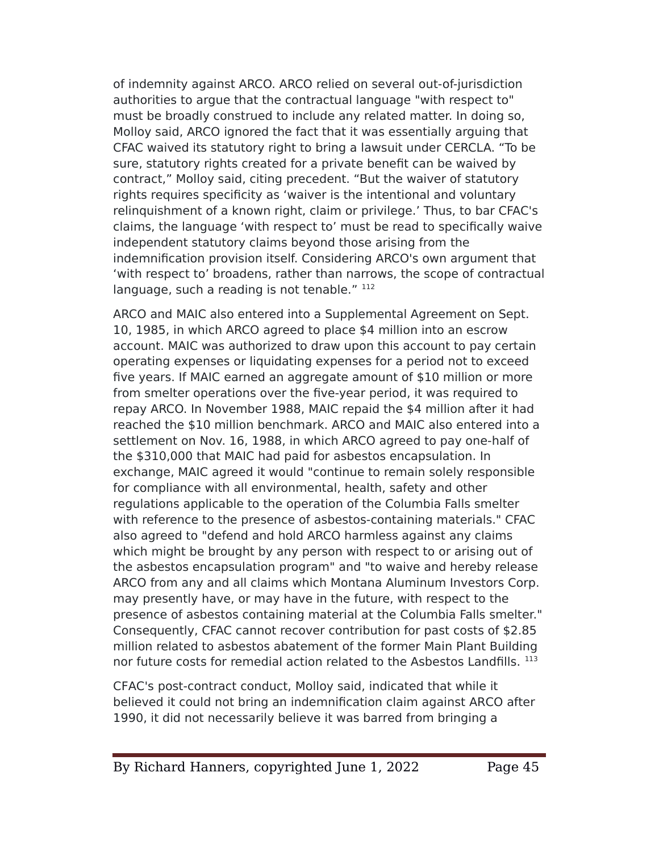of indemnity against ARCO. ARCO relied on several out-of-jurisdiction authorities to argue that the contractual language "with respect to" must be broadly construed to include any related matter. In doing so, Molloy said, ARCO ignored the fact that it was essentially arguing that CFAC waived its statutory right to bring a lawsuit under CERCLA. "To be sure, statutory rights created for a private beneft can be waived by contract," Molloy said, citing precedent. "But the waiver of statutory rights requires specifcity as 'waiver is the intentional and voluntary relinquishment of a known right, claim or privilege.' Thus, to bar CFAC's claims, the language 'with respect to' must be read to specifcally waive independent statutory claims beyond those arising from the indemnifcation provision itself. Considering ARCO's own argument that 'with respect to' broadens, rather than narrows, the scope of contractual language, such a reading is not tenable." 112

ARCO and MAIC also entered into a Supplemental Agreement on Sept. 10, 1985, in which ARCO agreed to place \$4 million into an escrow account. MAIC was authorized to draw upon this account to pay certain operating expenses or liquidating expenses for a period not to exceed fve years. If MAIC earned an aggregate amount of \$10 million or more from smelter operations over the fve-year period, it was required to repay ARCO. In November 1988, MAIC repaid the \$4 million after it had reached the \$10 million benchmark. ARCO and MAIC also entered into a settlement on Nov. 16, 1988, in which ARCO agreed to pay one-half of the \$310,000 that MAIC had paid for asbestos encapsulation. In exchange, MAIC agreed it would "continue to remain solely responsible for compliance with all environmental, health, safety and other regulations applicable to the operation of the Columbia Falls smelter with reference to the presence of asbestos-containing materials." CFAC also agreed to "defend and hold ARCO harmless against any claims which might be brought by any person with respect to or arising out of the asbestos encapsulation program" and "to waive and hereby release ARCO from any and all claims which Montana Aluminum Investors Corp. may presently have, or may have in the future, with respect to the presence of asbestos containing material at the Columbia Falls smelter." Consequently, CFAC cannot recover contribution for past costs of \$2.85 million related to asbestos abatement of the former Main Plant Building nor future costs for remedial action related to the Asbestos Landfills. 113

CFAC's post-contract conduct, Molloy said, indicated that while it believed it could not bring an indemnifcation claim against ARCO after 1990, it did not necessarily believe it was barred from bringing a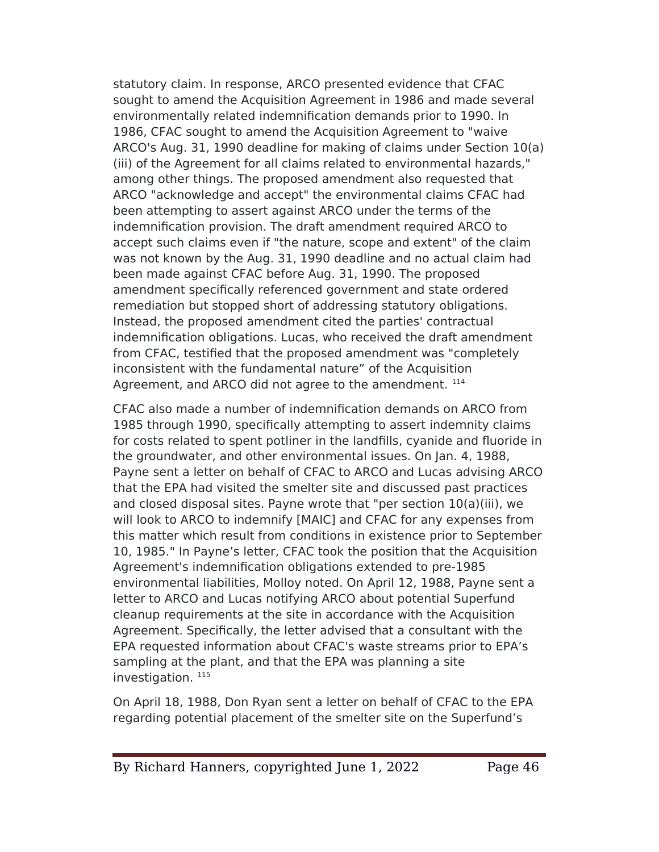statutory claim. In response, ARCO presented evidence that CFAC sought to amend the Acquisition Agreement in 1986 and made several environmentally related indemnifcation demands prior to 1990. In 1986, CFAC sought to amend the Acquisition Agreement to "waive ARCO's Aug. 31, 1990 deadline for making of claims under Section 10(a) (iii) of the Agreement for all claims related to environmental hazards," among other things. The proposed amendment also requested that ARCO "acknowledge and accept" the environmental claims CFAC had been attempting to assert against ARCO under the terms of the indemnifcation provision. The draft amendment required ARCO to accept such claims even if "the nature, scope and extent" of the claim was not known by the Aug. 31, 1990 deadline and no actual claim had been made against CFAC before Aug. 31, 1990. The proposed amendment specifcally referenced government and state ordered remediation but stopped short of addressing statutory obligations. Instead, the proposed amendment cited the parties' contractual indemnifcation obligations. Lucas, who received the draft amendment from CFAC, testifed that the proposed amendment was "completely inconsistent with the fundamental nature" of the Acquisition Agreement, and ARCO did not agree to the amendment. <sup>114</sup>

CFAC also made a number of indemnifcation demands on ARCO from 1985 through 1990, specifcally attempting to assert indemnity claims for costs related to spent potliner in the landfills, cyanide and fluoride in the groundwater, and other environmental issues. On Jan. 4, 1988, Payne sent a letter on behalf of CFAC to ARCO and Lucas advising ARCO that the EeA had visited the smelter site and discussed past practices and closed disposal sites. Payne wrote that "per section  $10(a)(iii)$ , we will look to ARCO to indemnify [MAIC] and CFAC for any expenses from this matter which result from conditions in existence prior to September 10, 1985." In eayne's letter, CFAC took the position that the Acquisition Agreement's indemnifcation obligations extended to pre-1985 environmental liabilities, Molloy noted. On April 12, 1988, eayne sent a letter to ARCO and Lucas notifying ARCO about potential Superfund cleanup requirements at the site in accordance with the Acquisition Agreement. Specifcally, the letter advised that a consultant with the EPA requested information about CFAC's waste streams prior to EPA's sampling at the plant, and that the EPA was planning a site investigation.  $115$ 

On April 18, 1988, Don Ryan sent a letter on behalf of CFAC to the EeA regarding potential placement of the smelter site on the Superfund's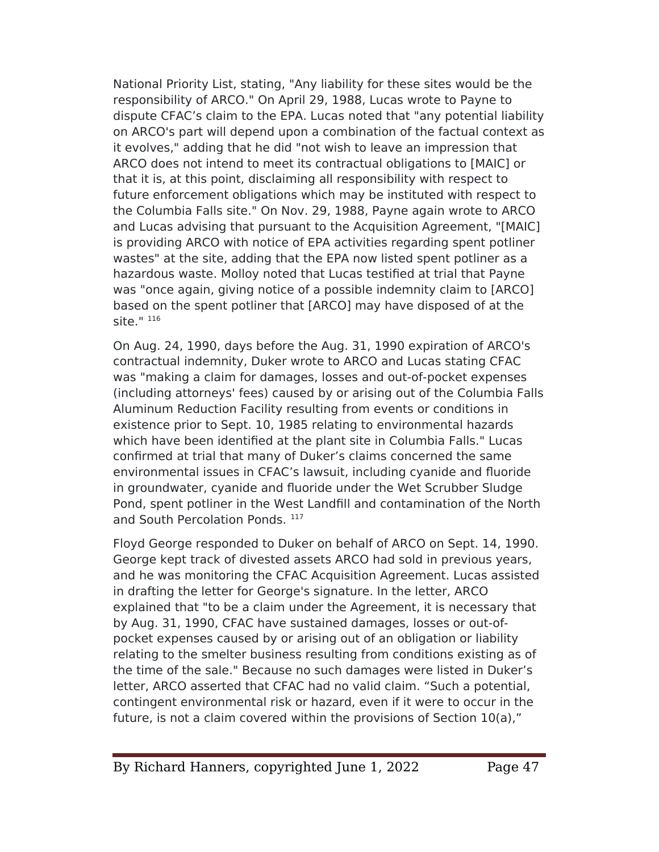National Priority List, stating, "Any liability for these sites would be the responsibility of ARCO." On April 29, 1988, Lucas wrote to Payne to dispute CFAC's claim to the EeA. Lucas noted that "any potential liability on ARCO's part will depend upon a combination of the factual context as it evolves," adding that he did "not wish to leave an impression that ARCO does not intend to meet its contractual obligations to [MAIC] or that it is, at this point, disclaiming all responsibility with respect to future enforcement obligations which may be instituted with respect to the Columbia Falls site." On Nov. 29, 1988, eayne again wrote to ARCO and Lucas advising that pursuant to the Acquisition Agreement, "[MAIC] is providing ARCO with notice of EPA activities regarding spent potliner wastes" at the site, adding that the EPA now listed spent potliner as a hazardous waste. Molloy noted that Lucas testified at trial that Payne was "once again, giving notice of a possible indemnity claim to [ARCO] based on the spent potliner that [ARCO] may have disposed of at the site."  $116$ 

On Aug. 24, 1990, days before the Aug. 31, 1990 expiration of ARCO's contractual indemnity, Duker wrote to ARCO and Lucas stating CFAC was "making a claim for damages, losses and out-of-pocket expenses (including attorneys' fees) caused by or arising out of the Columbia Falls Aluminum Reduction Facility resulting from events or conditions in existence prior to Sept. 10, 1985 relating to environmental hazards which have been identifed at the plant site in Columbia Falls." Lucas confrmed at trial that many of Duker's claims concerned the same environmental issues in CFAC's lawsuit, including cyanide and fluoride in groundwater, cyanide and fluoride under the Wet Scrubber Sludge Pond, spent potliner in the West Landfill and contamination of the North and South Percolation Ponds. 117

Floyd George responded to Duker on behalf of ARCO on Sept. 14, 1990. George kept track of divested assets ARCO had sold in previous years, and he was monitoring the CFAC Acquisition Agreement. Lucas assisted in drafting the letter for George's signature. In the letter, ARCO explained that "to be a claim under the Agreement, it is necessary that by Aug. 31, 1990, CFAC have sustained damages, losses or out-ofpocket expenses caused by or arising out of an obligation or liability relating to the smelter business resulting from conditions existing as of the time of the sale." Because no such damages were listed in Duker's letter, ARCO asserted that CFAC had no valid claim. "Such a potential, contingent environmental risk or hazard, even if it were to occur in the future, is not a claim covered within the provisions of Section 10(a),"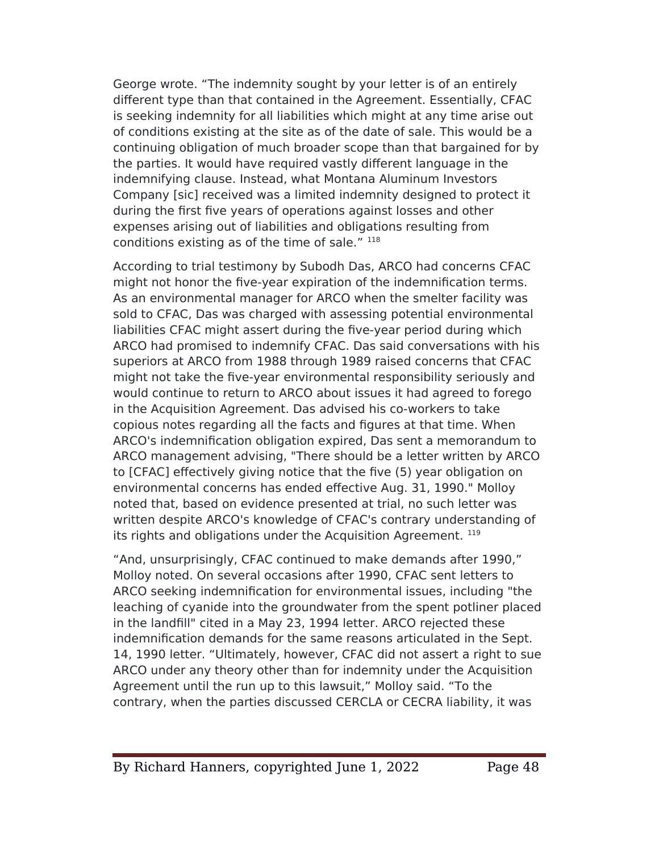George wrote. "The indemnity sought by your letter is of an entirely diferent type than that contained in the Agreement. Essentially, CFAC is seeking indemnity for all liabilities which might at any time arise out of conditions existing at the site as of the date of sale. This would be a continuing obligation of much broader scope than that bargained for by the parties. It would have required vastly diferent language in the indemnifying clause. Instead, what Montana Aluminum Investors Company [sic] received was a limited indemnity designed to protect it during the frst fve years of operations against losses and other expenses arising out of liabilities and obligations resulting from conditions existing as of the time of sale."  $118$ 

According to trial testimony by Subodh Das, ARCO had concerns CFAC might not honor the fve-year expiration of the indemnifcation terms. As an environmental manager for ARCO when the smelter facility was sold to CFAC, Das was charged with assessing potential environmental liabilities CFAC might assert during the fve-year period during which ARCO had promised to indemnify CFAC. Das said conversations with his superiors at ARCO from 1988 through 1989 raised concerns that CFAC might not take the fve-year environmental responsibility seriously and would continue to return to ARCO about issues it had agreed to forego in the Acquisition Agreement. Das advised his co-workers to take copious notes regarding all the facts and fgures at that time. When ARCO's indemnifcation obligation expired, Das sent a memorandum to ARCO management advising, "There should be a letter written by ARCO to [CFAC] effectively giving notice that the five (5) year obligation on environmental concerns has ended efective Aug. 31, 1990." Molloy noted that, based on evidence presented at trial, no such letter was written despite ARCO's knowledge of CFAC's contrary understanding of its rights and obligations under the Acquisition Agreement.<sup>119</sup>

"And, unsurprisingly, CFAC continued to make demands after 1990," Molloy noted. On several occasions after 1990, CFAC sent letters to ARCO seeking indemnifcation for environmental issues, including "the leaching of cyanide into the groundwater from the spent potliner placed in the landfll" cited in a May 23, 1994 letter. ARCO rejected these indemnifcation demands for the same reasons articulated in the Sept. 14, 1990 letter. "Ultimately, however, CFAC did not assert a right to sue ARCO under any theory other than for indemnity under the Acquisition Agreement until the run up to this lawsuit," Molloy said. "To the contrary, when the parties discussed CERCLA or CECRA liability, it was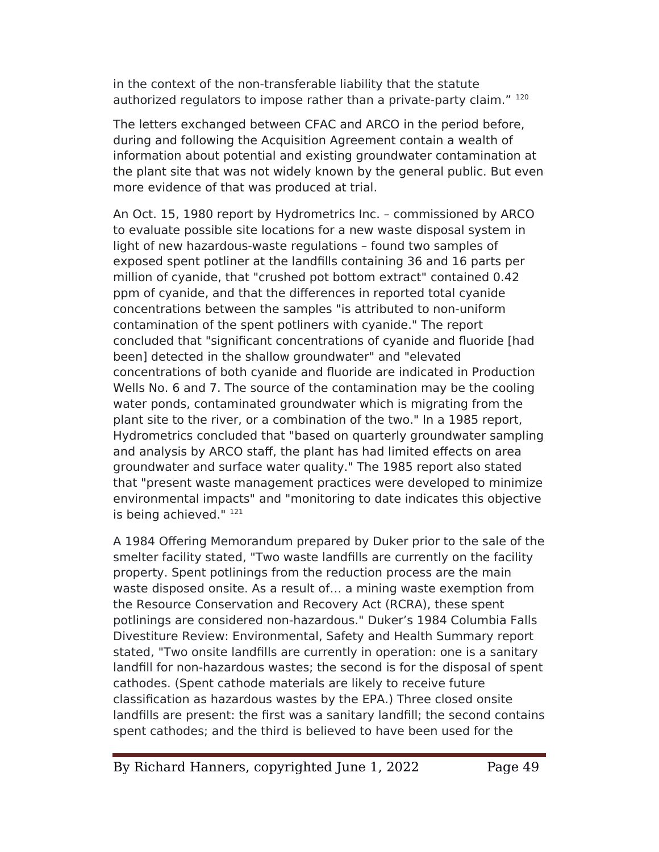in the context of the non-transferable liability that the statute authorized regulators to impose rather than a private-party claim." 120

The letters exchanged between CFAC and ARCO in the period before, during and following the Acquisition Agreement contain a wealth of information about potential and existing groundwater contamination at the plant site that was not widely known by the general public. But even more evidence of that was produced at trial.

An Oct. 15, 1980 report by Hydrometrics Inc. – commissioned by ARCO to evaluate possible site locations for a new waste disposal system in light of new hazardous-waste regulations – found two samples of exposed spent potliner at the landflls containing 36 and 16 parts per million of cyanide, that "crushed pot bottom extract" contained 0.42 ppm of cyanide, and that the diferences in reported total cyanide concentrations between the samples "is attributed to non-uniform contamination of the spent potliners with cyanide." The report concluded that "signifcant concentrations of cyanide and fluoride [had been] detected in the shallow groundwater" and "elevated concentrations of both cyanide and fluoride are indicated in Production Wells No. 6 and 7. The source of the contamination may be the cooling water ponds, contaminated groundwater which is migrating from the plant site to the river, or a combination of the two." In a 1985 report, Hydrometrics concluded that "based on quarterly groundwater sampling and analysis by ARCO staff, the plant has had limited effects on area groundwater and surface water quality." The 1985 report also stated that "present waste management practices were developed to minimize environmental impacts" and "monitoring to date indicates this objective is being achieved." 121

A 1984 Ofering Memorandum prepared by Duker prior to the sale of the smelter facility stated, "Two waste landflls are currently on the facility property. Spent potlinings from the reduction process are the main waste disposed onsite. As a result of… a mining waste exemption from the Resource Conservation and Recovery Act (RCRA), these spent potlinings are considered non-hazardous." Duker's 1984 Columbia Falls Divestiture Review: Environmental, Safety and Health Summary report stated, "Two onsite landflls are currently in operation: one is a sanitary landfill for non-hazardous wastes; the second is for the disposal of spent cathodes. (Spent cathode materials are likely to receive future classification as hazardous wastes by the EPA.) Three closed onsite landflls are present: the frst was a sanitary landfll; the second contains spent cathodes; and the third is believed to have been used for the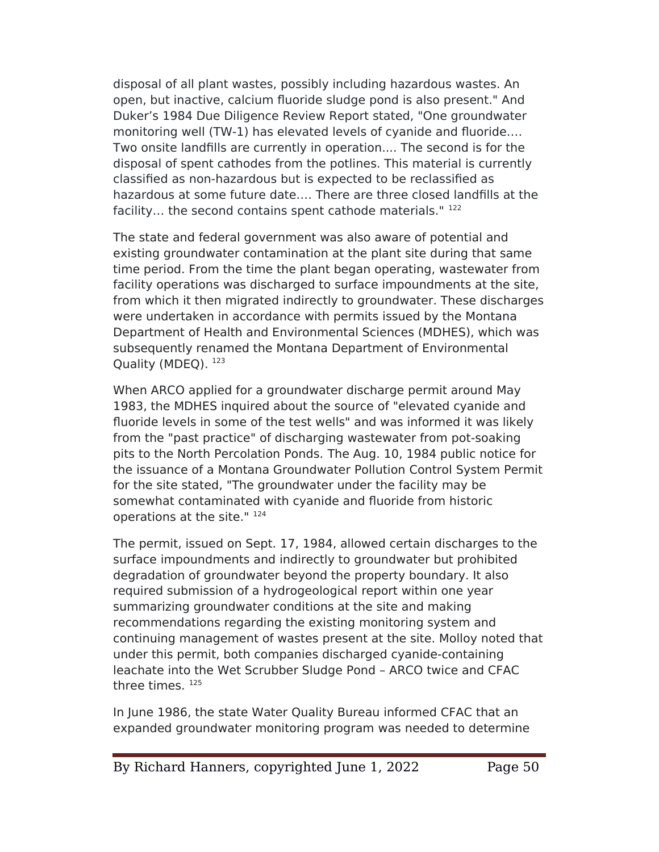disposal of all plant wastes, possibly including hazardous wastes. An open, but inactive, calcium fluoride sludge pond is also present." And Duker's 1984 Due Diligence Review Report stated, "One groundwater monitoring well (TW-1) has elevated levels of cyanide and fluoride.… Two onsite landflls are currently in operation.... The second is for the disposal of spent cathodes from the potlines. This material is currently classifed as non-hazardous but is expected to be reclassifed as hazardous at some future date.… There are three closed landflls at the facility... the second contains spent cathode materials." 122

The state and federal government was also aware of potential and existing groundwater contamination at the plant site during that same time period. From the time the plant began operating, wastewater from facility operations was discharged to surface impoundments at the site, from which it then migrated indirectly to groundwater. These discharges were undertaken in accordance with permits issued by the Montana Department of Health and Environmental Sciences (MDHES), which was subsequently renamed the Montana Department of Environmental Quality (MDEQ). <sup>123</sup>

When ARCO applied for a groundwater discharge permit around May 1983, the MDHES inquired about the source of "elevated cyanide and fluoride levels in some of the test wells" and was informed it was likely from the "past practice" of discharging wastewater from pot-soaking pits to the North eercolation eonds. The Aug. 10, 1984 public notice for the issuance of a Montana Groundwater eollution Control System eermit for the site stated, "The groundwater under the facility may be somewhat contaminated with cyanide and fluoride from historic operations at the site." <sup>124</sup>

The permit, issued on Sept. 17, 1984, allowed certain discharges to the surface impoundments and indirectly to groundwater but prohibited degradation of groundwater beyond the property boundary. It also required submission of a hydrogeological report within one year summarizing groundwater conditions at the site and making recommendations regarding the existing monitoring system and continuing management of wastes present at the site. Molloy noted that under this permit, both companies discharged cyanide-containing leachate into the Wet Scrubber Sludge Pond - ARCO twice and CFAC three times. <sup>125</sup>

In June 1986, the state Water Quality Bureau informed CFAC that an expanded groundwater monitoring program was needed to determine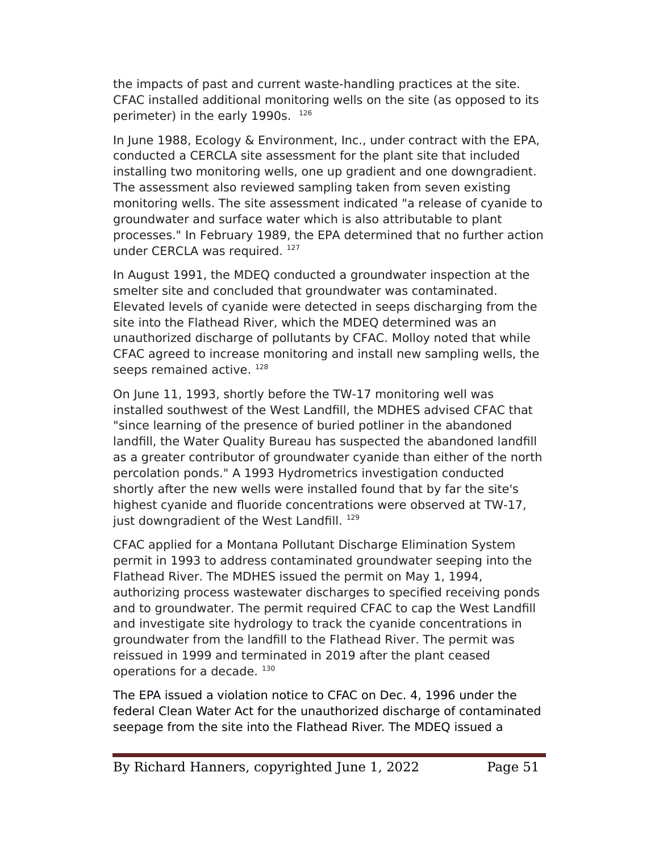the impacts of past and current waste-handling practices at the site. CFAC installed additional monitoring wells on the site (as opposed to its perimeter) in the early 1990s. 126

In June 1988, Ecology & Environment, Inc., under contract with the EPA, conducted a CERCLA site assessment for the plant site that included installing two monitoring wells, one up gradient and one downgradient. The assessment also reviewed sampling taken from seven existing monitoring wells. The site assessment indicated "a release of cyanide to groundwater and surface water which is also attributable to plant processes." In February 1989, the EeA determined that no further action under CERCLA was required. 127

In August 1991, the MDEQ conducted a groundwater inspection at the smelter site and concluded that groundwater was contaminated. Elevated levels of cyanide were detected in seeps discharging from the site into the Flathead River, which the MDEQ determined was an unauthorized discharge of pollutants by CFAC. Molloy noted that while CFAC agreed to increase monitoring and install new sampling wells, the seeps remained active. 128

On June 11, 1993, shortly before the TW-17 monitoring well was installed southwest of the West Landfll, the MDHES advised CFAC that "since learning of the presence of buried potliner in the abandoned landfll, the Water Quality Bureau has suspected the abandoned landfll as a greater contributor of groundwater cyanide than either of the north percolation ponds." A 1993 Hydrometrics investigation conducted shortly after the new wells were installed found that by far the site's highest cyanide and fluoride concentrations were observed at TW-17, just downgradient of the West Landfill.<sup>129</sup>

CFAC applied for a Montana eollutant Discharge Elimination System permit in 1993 to address contaminated groundwater seeping into the Flathead River. The MDHES issued the permit on May 1, 1994, authorizing process wastewater discharges to specifed receiving ponds and to groundwater. The permit required CFAC to cap the West Landfll and investigate site hydrology to track the cyanide concentrations in groundwater from the landfll to the Flathead River. The permit was reissued in 1999 and terminated in 2019 after the plant ceased operations for a decade. 130

The EPA issued a violation notice to CFAC on Dec. 4, 1996 under the federal Clean Water Act for the unauthorized discharge of contaminated seepage from the site into the Flathead River. The MDEQ issued a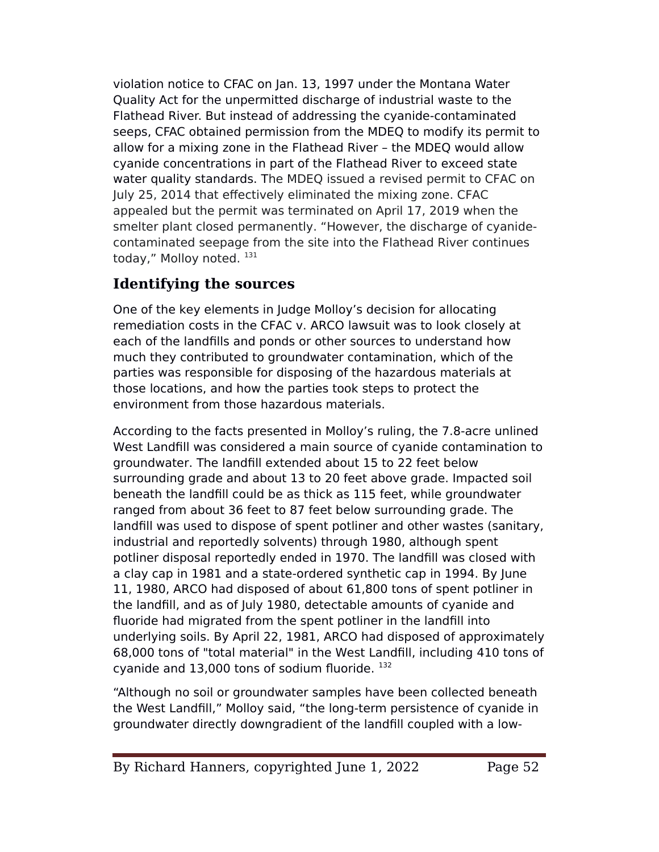violation notice to CFAC on Jan. 13, 1997 under the Montana Water Quality Act for the unpermitted discharge of industrial waste to the Flathead River. But instead of addressing the cyanide-contaminated seeps, CFAC obtained permission from the MDEQ to modify its permit to allow for a mixing zone in the Flathead River – the MDEQ would allow cyanide concentrations in part of the Flathead River to exceed state water quality standards. The MDEQ issued a revised permit to CFAC on July 25, 2014 that efectively eliminated the mixing zone. CFAC appealed but the permit was terminated on April 17, 2019 when the smelter plant closed permanently. "However, the discharge of cyanidecontaminated seepage from the site into the Flathead River continues today," Molloy noted. 131

## **Identifying the sources**

One of the key elements in Judge Molloy's decision for allocating remediation costs in the CFAC v. ARCO lawsuit was to look closely at each of the landflls and ponds or other sources to understand how much they contributed to groundwater contamination, which of the parties was responsible for disposing of the hazardous materials at those locations, and how the parties took steps to protect the environment from those hazardous materials.

According to the facts presented in Molloy's ruling, the 7.8-acre unlined West Landfll was considered a main source of cyanide contamination to groundwater. The landfll extended about 15 to 22 feet below surrounding grade and about 13 to 20 feet above grade. Impacted soil beneath the landfll could be as thick as 115 feet, while groundwater ranged from about 36 feet to 87 feet below surrounding grade. The landfill was used to dispose of spent potliner and other wastes (sanitary, industrial and reportedly solvents) through 1980, although spent potliner disposal reportedly ended in 1970. The landfll was closed with a clay cap in 1981 and a state-ordered synthetic cap in 1994. By June 11, 1980, ARCO had disposed of about 61,800 tons of spent potliner in the landfll, and as of July 1980, detectable amounts of cyanide and fluoride had migrated from the spent potliner in the landfill into underlying soils. By April 22, 1981, ARCO had disposed of approximately 68,000 tons of "total material" in the West Landfll, including 410 tons of cyanide and 13,000 tons of sodium fluoride. 132

"Although no soil or groundwater samples have been collected beneath the West Landfll," Molloy said, "the long-term persistence of cyanide in groundwater directly downgradient of the landfll coupled with a low-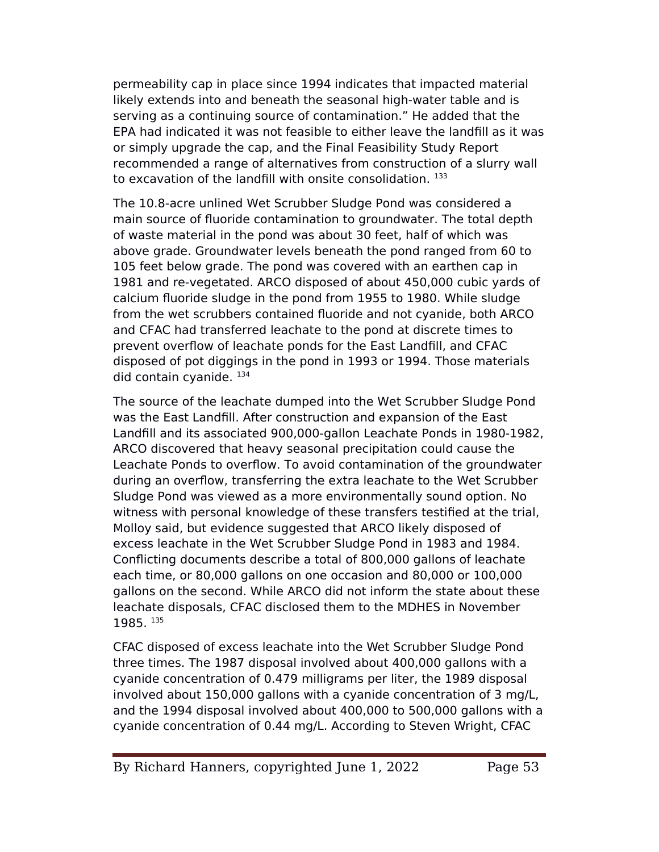permeability cap in place since 1994 indicates that impacted material likely extends into and beneath the seasonal high-water table and is serving as a continuing source of contamination." He added that the EeA had indicated it was not feasible to either leave the landfll as it was or simply upgrade the cap, and the Final Feasibility Study Report recommended a range of alternatives from construction of a slurry wall to excavation of the landfill with onsite consolidation.  $133$ 

The 10.8-acre unlined Wet Scrubber Sludge Pond was considered a main source of fluoride contamination to groundwater. The total depth of waste material in the pond was about 30 feet, half of which was above grade. Groundwater levels beneath the pond ranged from 60 to 105 feet below grade. The pond was covered with an earthen cap in 1981 and re-vegetated. ARCO disposed of about 450,000 cubic yards of calcium fluoride sludge in the pond from 1955 to 1980. While sludge from the wet scrubbers contained fluoride and not cyanide, both ARCO and CFAC had transferred leachate to the pond at discrete times to prevent overflow of leachate ponds for the East Landfll, and CFAC disposed of pot diggings in the pond in 1993 or 1994. Those materials did contain cyanide. 134

The source of the leachate dumped into the Wet Scrubber Sludge Pond was the East Landfll. After construction and expansion of the East Landfill and its associated 900,000-gallon Leachate Ponds in 1980-1982, ARCO discovered that heavy seasonal precipitation could cause the Leachate Ponds to overflow. To avoid contamination of the groundwater during an overflow, transferring the extra leachate to the Wet Scrubber Sludge Pond was viewed as a more environmentally sound option. No witness with personal knowledge of these transfers testifed at the trial, Molloy said, but evidence suggested that ARCO likely disposed of excess leachate in the Wet Scrubber Sludge Pond in 1983 and 1984. Conflicting documents describe a total of 800,000 gallons of leachate each time, or 80,000 gallons on one occasion and 80,000 or 100,000 gallons on the second. While ARCO did not inform the state about these leachate disposals, CFAC disclosed them to the MDHES in November 1985. <sup>135</sup>

CFAC disposed of excess leachate into the Wet Scrubber Sludge Pond three times. The 1987 disposal involved about 400,000 gallons with a cyanide concentration of 0.479 milligrams per liter, the 1989 disposal involved about 150,000 gallons with a cyanide concentration of 3 mg/L, and the 1994 disposal involved about 400,000 to 500,000 gallons with a cyanide concentration of 0.44 mg/L. According to Steven Wright, CFAC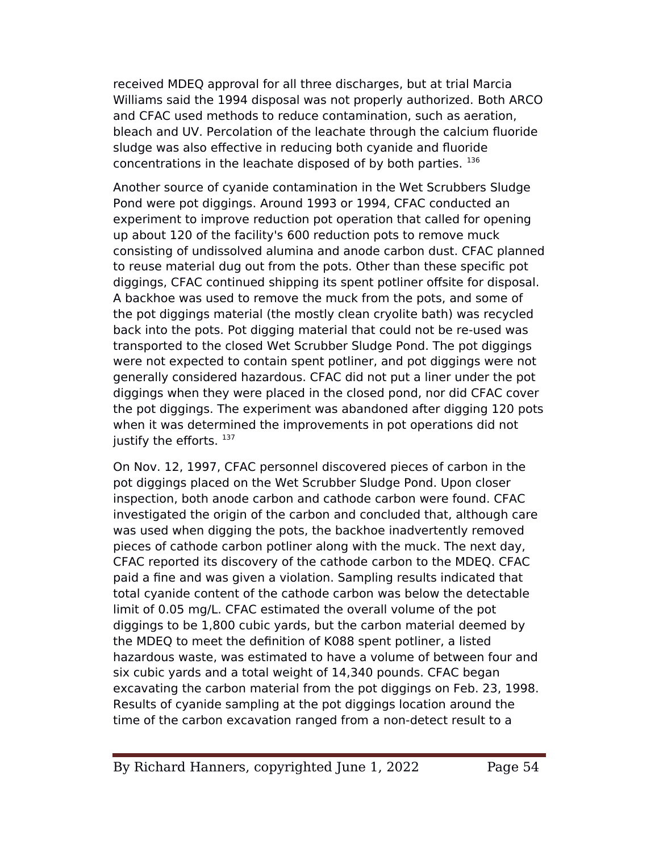received MDEQ approval for all three discharges, but at trial Marcia Williams said the 1994 disposal was not properly authorized. Both ARCO and CFAC used methods to reduce contamination, such as aeration, bleach and UV. Percolation of the leachate through the calcium fluoride sludge was also efective in reducing both cyanide and fluoride concentrations in the leachate disposed of by both parties. <sup>136</sup>

Another source of cyanide contamination in the Wet Scrubbers Sludge Pond were pot diggings. Around 1993 or 1994, CFAC conducted an experiment to improve reduction pot operation that called for opening up about 120 of the facility's 600 reduction pots to remove muck consisting of undissolved alumina and anode carbon dust. CFAC planned to reuse material dug out from the pots. Other than these specifc pot diggings, CFAC continued shipping its spent potliner offsite for disposal. A backhoe was used to remove the muck from the pots, and some of the pot diggings material (the mostly clean cryolite bath) was recycled back into the pots. Pot digging material that could not be re-used was transported to the closed Wet Scrubber Sludge Pond. The pot diggings were not expected to contain spent potliner, and pot diggings were not generally considered hazardous. CFAC did not put a liner under the pot diggings when they were placed in the closed pond, nor did CFAC cover the pot diggings. The experiment was abandoned after digging 120 pots when it was determined the improvements in pot operations did not justify the efforts.  $137$ 

On Nov. 12, 1997, CFAC personnel discovered pieces of carbon in the pot diggings placed on the Wet Scrubber Sludge Pond. Upon closer inspection, both anode carbon and cathode carbon were found. CFAC investigated the origin of the carbon and concluded that, although care was used when digging the pots, the backhoe inadvertently removed pieces of cathode carbon potliner along with the muck. The next day, CFAC reported its discovery of the cathode carbon to the MDEQ. CFAC paid a fne and was given a violation. Sampling results indicated that total cyanide content of the cathode carbon was below the detectable limit of 0.05 mg/L. CFAC estimated the overall volume of the pot diggings to be 1,800 cubic yards, but the carbon material deemed by the MDEQ to meet the defnition of K088 spent potliner, a listed hazardous waste, was estimated to have a volume of between four and six cubic yards and a total weight of 14,340 pounds. CFAC began excavating the carbon material from the pot diggings on Feb. 23, 1998. Results of cyanide sampling at the pot diggings location around the time of the carbon excavation ranged from a non-detect result to a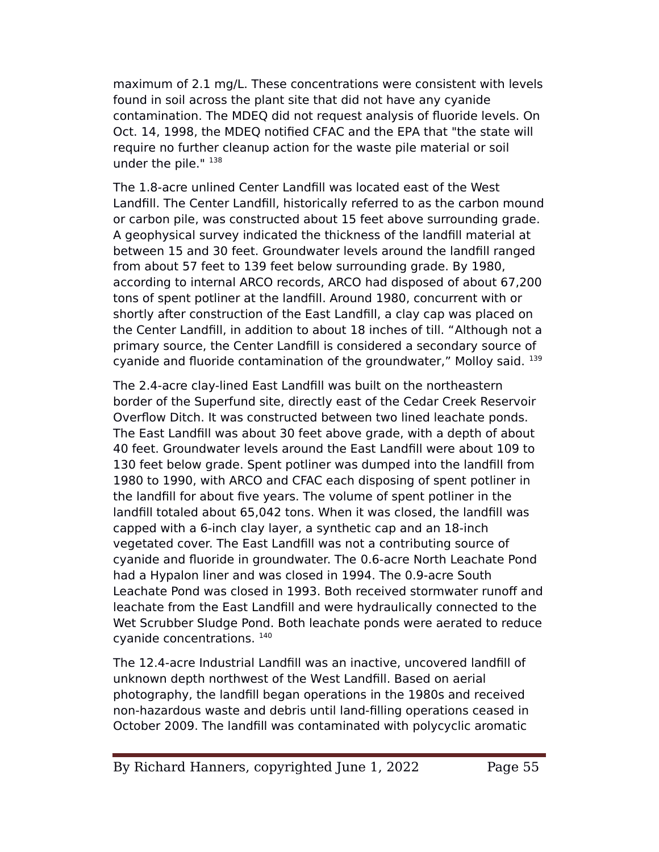maximum of 2.1 mg/L. These concentrations were consistent with levels found in soil across the plant site that did not have any cyanide contamination. The MDEQ did not request analysis of fluoride levels. On Oct. 14, 1998, the MDEQ notifed CFAC and the EeA that "the state will require no further cleanup action for the waste pile material or soil under the pile." 138

The 1.8-acre unlined Center Landfll was located east of the West Landfll. The Center Landfll, historically referred to as the carbon mound or carbon pile, was constructed about 15 feet above surrounding grade. A geophysical survey indicated the thickness of the landfll material at between 15 and 30 feet. Groundwater levels around the landfll ranged from about 57 feet to 139 feet below surrounding grade. By 1980, according to internal ARCO records, ARCO had disposed of about 67,200 tons of spent potliner at the landfll. Around 1980, concurrent with or shortly after construction of the East Landfll, a clay cap was placed on the Center Landfll, in addition to about 18 inches of till. "Although not a primary source, the Center Landfll is considered a secondary source of cyanide and fluoride contamination of the groundwater," Molloy said. <sup>139</sup>

The 2.4-acre clay-lined East Landfll was built on the northeastern border of the Superfund site, directly east of the Cedar Creek Reservoir Overflow Ditch. It was constructed between two lined leachate ponds. The East Landfll was about 30 feet above grade, with a depth of about 40 feet. Groundwater levels around the East Landfll were about 109 to 130 feet below grade. Spent potliner was dumped into the landfll from 1980 to 1990, with ARCO and CFAC each disposing of spent potliner in the landfll for about fve years. The volume of spent potliner in the landfill totaled about 65,042 tons. When it was closed, the landfill was capped with a 6-inch clay layer, a synthetic cap and an 18-inch vegetated cover. The East Landfll was not a contributing source of cyanide and fluoride in groundwater. The 0.6-acre North Leachate Pond had a Hypalon liner and was closed in 1994. The 0.9-acre South Leachate Pond was closed in 1993. Both received stormwater runoff and leachate from the East Landfll and were hydraulically connected to the Wet Scrubber Sludge Pond. Both leachate ponds were aerated to reduce cyanide concentrations. <sup>140</sup>

The 12.4-acre Industrial Landfll was an inactive, uncovered landfll of unknown depth northwest of the West Landfll. Based on aerial photography, the landfll began operations in the 1980s and received non-hazardous waste and debris until land-flling operations ceased in October 2009. The landfll was contaminated with polycyclic aromatic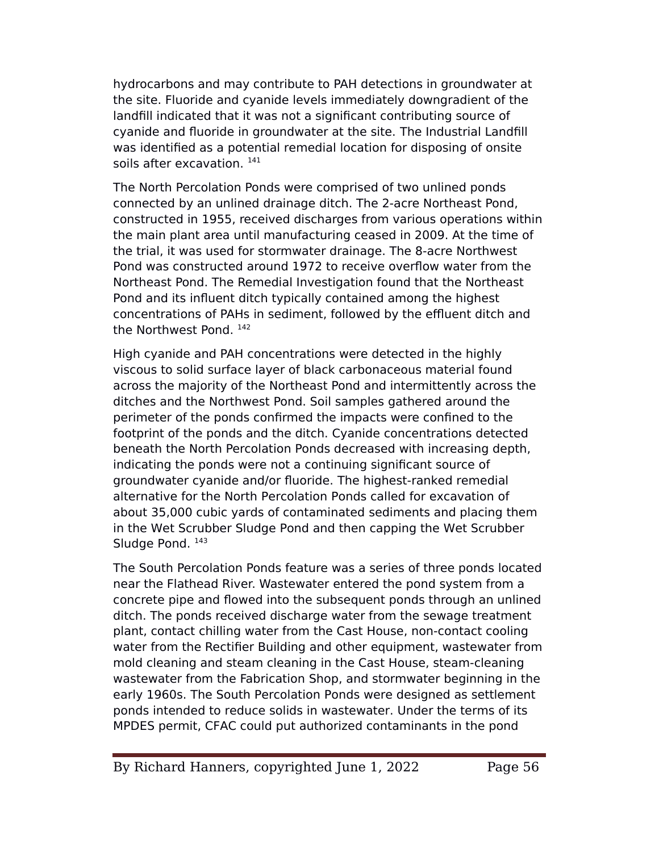hydrocarbons and may contribute to PAH detections in groundwater at the site. Fluoride and cyanide levels immediately downgradient of the landfll indicated that it was not a signifcant contributing source of cyanide and fluoride in groundwater at the site. The Industrial Landfll was identifed as a potential remedial location for disposing of onsite soils after excavation.  $141$ 

The North Percolation Ponds were comprised of two unlined ponds connected by an unlined drainage ditch. The 2-acre Northeast Pond, constructed in 1955, received discharges from various operations within the main plant area until manufacturing ceased in 2009. At the time of the trial, it was used for stormwater drainage. The 8-acre Northwest Pond was constructed around 1972 to receive overflow water from the Northeast Pond. The Remedial Investigation found that the Northeast Pond and its influent ditch typically contained among the highest concentrations of PAHs in sediment, followed by the effluent ditch and the Northwest Pond. 142

High cyanide and PAH concentrations were detected in the highly viscous to solid surface layer of black carbonaceous material found across the majority of the Northeast Pond and intermittently across the ditches and the Northwest Pond. Soil samples gathered around the perimeter of the ponds confrmed the impacts were confned to the footprint of the ponds and the ditch. Cyanide concentrations detected beneath the North Percolation Ponds decreased with increasing depth, indicating the ponds were not a continuing signifcant source of groundwater cyanide and/or fluoride. The highest-ranked remedial alternative for the North Percolation Ponds called for excavation of about 35,000 cubic yards of contaminated sediments and placing them in the Wet Scrubber Sludge Pond and then capping the Wet Scrubber Sludge Pond. 143

The South Percolation Ponds feature was a series of three ponds located near the Flathead River. Wastewater entered the pond system from a concrete pipe and flowed into the subsequent ponds through an unlined ditch. The ponds received discharge water from the sewage treatment plant, contact chilling water from the Cast House, non-contact cooling water from the Rectifer Building and other equipment, wastewater from mold cleaning and steam cleaning in the Cast House, steam-cleaning wastewater from the Fabrication Shop, and stormwater beginning in the early 1960s. The South Percolation Ponds were designed as settlement ponds intended to reduce solids in wastewater. Under the terms of its MeDES permit, CFAC could put authorized contaminants in the pond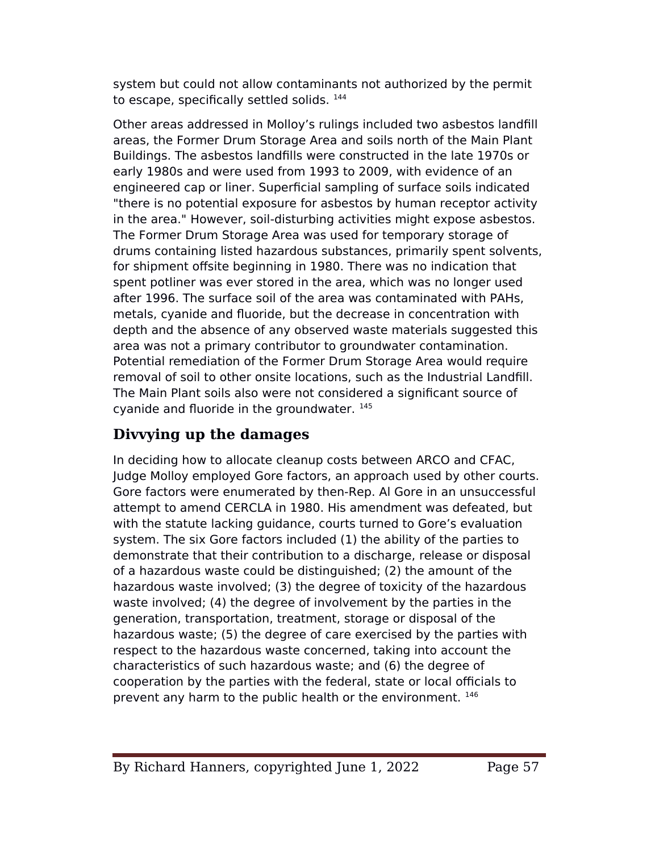system but could not allow contaminants not authorized by the permit to escape, specifically settled solids. 144

Other areas addressed in Molloy's rulings included two asbestos landfll areas, the Former Drum Storage Area and soils north of the Main Plant Buildings. The asbestos landflls were constructed in the late 1970s or early 1980s and were used from 1993 to 2009, with evidence of an engineered cap or liner. Superficial sampling of surface soils indicated "there is no potential exposure for asbestos by human receptor activity in the area." However, soil-disturbing activities might expose asbestos. The Former Drum Storage Area was used for temporary storage of drums containing listed hazardous substances, primarily spent solvents, for shipment offsite beginning in 1980. There was no indication that spent potliner was ever stored in the area, which was no longer used after 1996. The surface soil of the area was contaminated with PAHs. metals, cyanide and fluoride, but the decrease in concentration with depth and the absence of any observed waste materials suggested this area was not a primary contributor to groundwater contamination. Potential remediation of the Former Drum Storage Area would require removal of soil to other onsite locations, such as the Industrial Landfll. The Main Plant soils also were not considered a significant source of cyanide and fluoride in the groundwater. <sup>145</sup>

## **Divvying up the damages**

In deciding how to allocate cleanup costs between ARCO and CFAC, Judge Molloy employed Gore factors, an approach used by other courts. Gore factors were enumerated by then-Rep. Al Gore in an unsuccessful attempt to amend CERCLA in 1980. His amendment was defeated, but with the statute lacking guidance, courts turned to Gore's evaluation system. The six Gore factors included (1) the ability of the parties to demonstrate that their contribution to a discharge, release or disposal of a hazardous waste could be distinguished; (2) the amount of the hazardous waste involved; (3) the degree of toxicity of the hazardous waste involved; (4) the degree of involvement by the parties in the generation, transportation, treatment, storage or disposal of the hazardous waste; (5) the degree of care exercised by the parties with respect to the hazardous waste concerned, taking into account the characteristics of such hazardous waste; and (6) the degree of cooperation by the parties with the federal, state or local officials to prevent any harm to the public health or the environment.  $^{146}$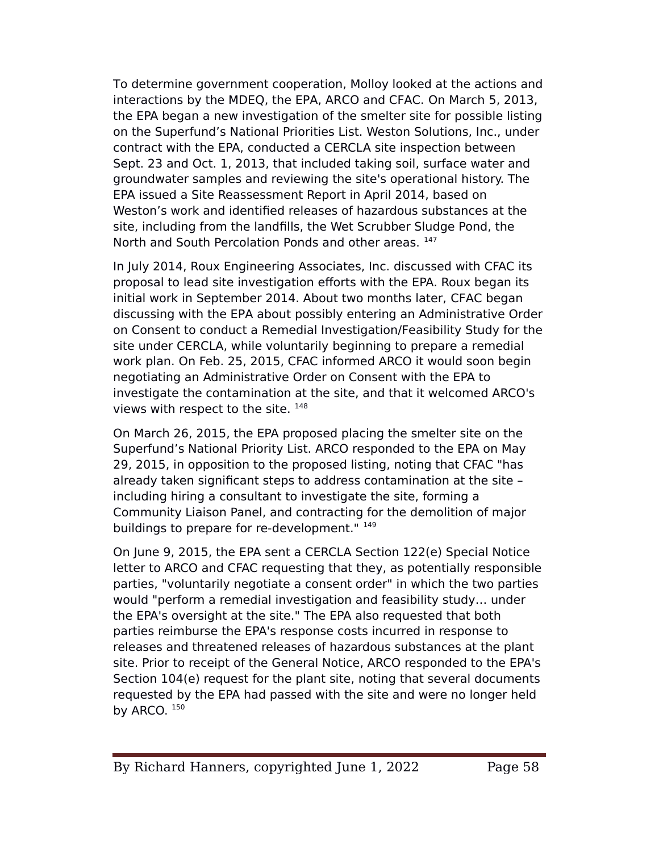To determine government cooperation, Molloy looked at the actions and interactions by the MDEQ, the EPA, ARCO and CFAC. On March 5, 2013, the EPA began a new investigation of the smelter site for possible listing on the Superfund's National eriorities List. Weston Solutions, Inc., under contract with the EeA, conducted a CERCLA site inspection between Sept. 23 and Oct. 1, 2013, that included taking soil, surface water and groundwater samples and reviewing the site's operational history. The EeA issued a Site Reassessment Report in April 2014, based on Weston's work and identifed releases of hazardous substances at the site, including from the landfills, the Wet Scrubber Sludge Pond, the North and South Percolation Ponds and other areas. 147

In July 2014, Roux Engineering Associates, Inc. discussed with CFAC its proposal to lead site investigation eforts with the EeA. Roux began its initial work in September 2014. About two months later, CFAC began discussing with the EPA about possibly entering an Administrative Order on Consent to conduct a Remedial Investigation/Feasibility Study for the site under CERCLA, while voluntarily beginning to prepare a remedial work plan. On Feb. 25, 2015, CFAC informed ARCO it would soon begin negotiating an Administrative Order on Consent with the EeA to investigate the contamination at the site, and that it welcomed ARCO's views with respect to the site. 148

On March 26, 2015, the EeA proposed placing the smelter site on the Superfund's National Priority List. ARCO responded to the EPA on May 29, 2015, in opposition to the proposed listing, noting that CFAC "has already taken signifcant steps to address contamination at the site – including hiring a consultant to investigate the site, forming a Community Liaison Panel, and contracting for the demolition of major buildings to prepare for re-development." 149

On June 9, 2015, the EeA sent a CERCLA Section 122(e) Special Notice letter to ARCO and CFAC requesting that they, as potentially responsible parties, "voluntarily negotiate a consent order" in which the two parties would "perform a remedial investigation and feasibility study… under the EPA's oversight at the site." The EPA also requested that both parties reimburse the EPA's response costs incurred in response to releases and threatened releases of hazardous substances at the plant site. Prior to receipt of the General Notice, ARCO responded to the EPA's Section 104(e) request for the plant site, noting that several documents requested by the EPA had passed with the site and were no longer held by ARCO.  $150$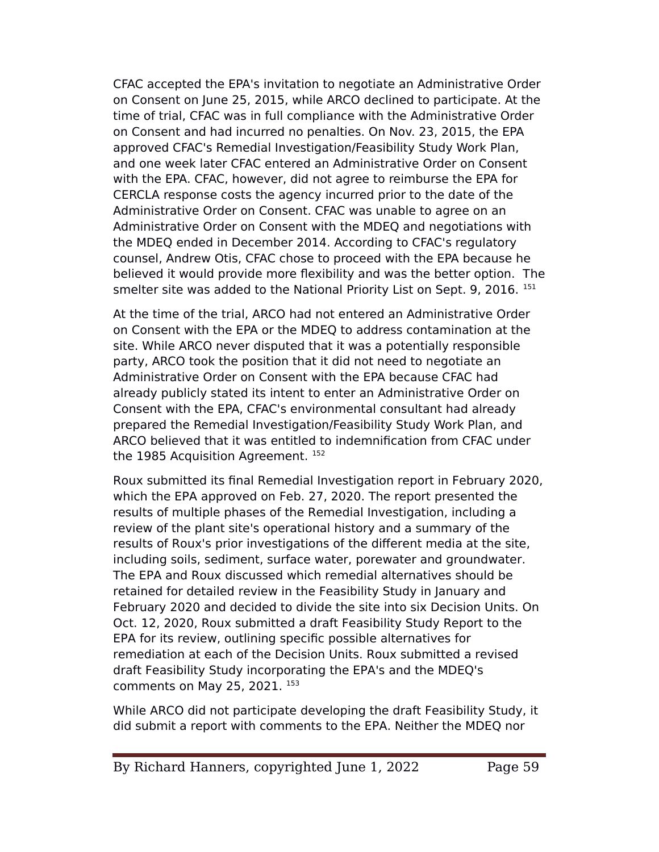CFAC accepted the EeA's invitation to negotiate an Administrative Order on Consent on June 25, 2015, while ARCO declined to participate. At the time of trial, CFAC was in full compliance with the Administrative Order on Consent and had incurred no penalties. On Nov. 23, 2015, the EeA approved CFAC's Remedial Investigation/Feasibility Study Work Plan, and one week later CFAC entered an Administrative Order on Consent with the EPA. CFAC, however, did not agree to reimburse the EPA for CERCLA response costs the agency incurred prior to the date of the Administrative Order on Consent. CFAC was unable to agree on an Administrative Order on Consent with the MDEQ and negotiations with the MDEQ ended in December 2014. According to CFAC's regulatory counsel, Andrew Otis, CFAC chose to proceed with the EeA because he believed it would provide more flexibility and was the better option. The smelter site was added to the National Priority List on Sept. 9, 2016. 151

At the time of the trial, ARCO had not entered an Administrative Order on Consent with the EeA or the MDEQ to address contamination at the site. While ARCO never disputed that it was a potentially responsible party, ARCO took the position that it did not need to negotiate an Administrative Order on Consent with the EeA because CFAC had already publicly stated its intent to enter an Administrative Order on Consent with the EeA, CFAC's environmental consultant had already prepared the Remedial Investigation/Feasibility Study Work elan, and ARCO believed that it was entitled to indemnifcation from CFAC under the 1985 Acquisition Agreement.<sup>152</sup>

Roux submitted its fnal Remedial Investigation report in February 2020, which the EPA approved on Feb. 27, 2020. The report presented the results of multiple phases of the Remedial Investigation, including a review of the plant site's operational history and a summary of the results of Roux's prior investigations of the diferent media at the site, including soils, sediment, surface water, porewater and groundwater. The EPA and Roux discussed which remedial alternatives should be retained for detailed review in the Feasibility Study in January and February 2020 and decided to divide the site into six Decision Units. On Oct. 12, 2020, Roux submitted a draft Feasibility Study Report to the EeA for its review, outlining specifc possible alternatives for remediation at each of the Decision Units. Roux submitted a revised draft Feasibility Study incorporating the EPA's and the MDEQ's comments on May 25, 2021. 153

While ARCO did not participate developing the draft Feasibility Study, it did submit a report with comments to the EPA. Neither the MDEQ nor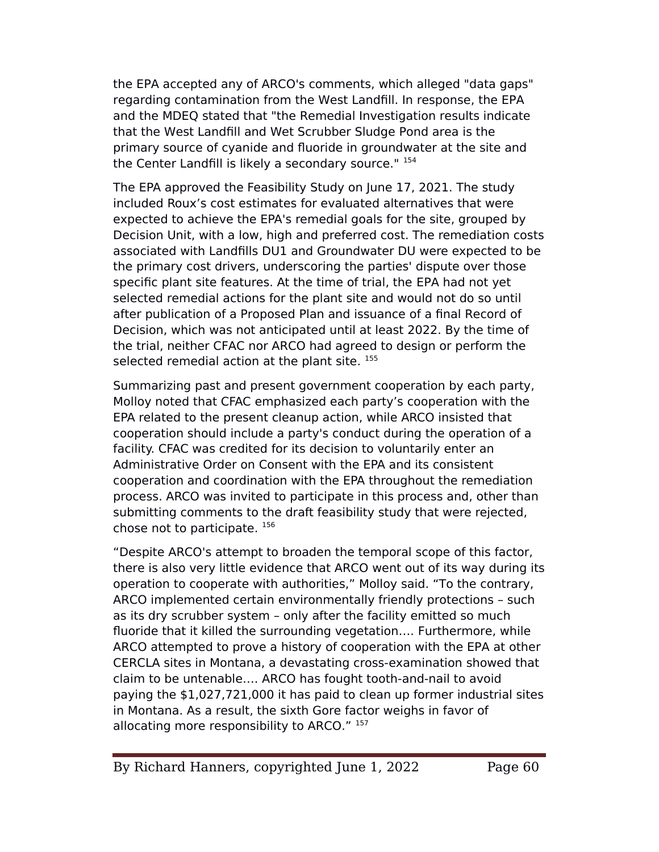the EPA accepted any of ARCO's comments, which alleged "data gaps" regarding contamination from the West Landfill. In response, the EPA and the MDEQ stated that "the Remedial Investigation results indicate that the West Landfill and Wet Scrubber Sludge Pond area is the primary source of cyanide and fluoride in groundwater at the site and the Center Landfll is likely a secondary source." <sup>154</sup>

The EPA approved the Feasibility Study on June 17, 2021. The study included Roux's cost estimates for evaluated alternatives that were expected to achieve the EPA's remedial goals for the site, grouped by Decision Unit, with a low, high and preferred cost. The remediation costs associated with Landflls DU1 and Groundwater DU were expected to be the primary cost drivers, underscoring the parties' dispute over those specific plant site features. At the time of trial, the EPA had not yet selected remedial actions for the plant site and would not do so until after publication of a Proposed Plan and issuance of a final Record of Decision, which was not anticipated until at least 2022. By the time of the trial, neither CFAC nor ARCO had agreed to design or perform the selected remedial action at the plant site. 155

Summarizing past and present government cooperation by each party, Molloy noted that CFAC emphasized each party's cooperation with the EeA related to the present cleanup action, while ARCO insisted that cooperation should include a party's conduct during the operation of a facility. CFAC was credited for its decision to voluntarily enter an Administrative Order on Consent with the EPA and its consistent cooperation and coordination with the EeA throughout the remediation process. ARCO was invited to participate in this process and, other than submitting comments to the draft feasibility study that were rejected, chose not to participate. <sup>156</sup>

"Despite ARCO's attempt to broaden the temporal scope of this factor, there is also very little evidence that ARCO went out of its way during its operation to cooperate with authorities," Molloy said. "To the contrary, ARCO implemented certain environmentally friendly protections – such as its dry scrubber system – only after the facility emitted so much fluoride that it killed the surrounding vegetation…. Furthermore, while ARCO attempted to prove a history of cooperation with the EPA at other CERCLA sites in Montana, a devastating cross-examination showed that claim to be untenable…. ARCO has fought tooth-and-nail to avoid paying the \$1,027,721,000 it has paid to clean up former industrial sites in Montana. As a result, the sixth Gore factor weighs in favor of allocating more responsibility to ARCO." 157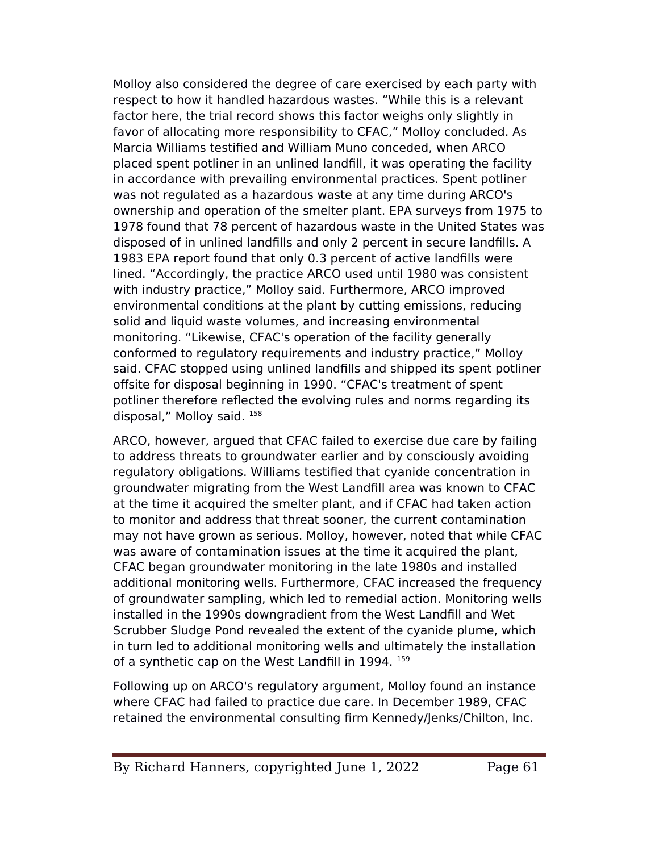Molloy also considered the degree of care exercised by each party with respect to how it handled hazardous wastes. "While this is a relevant factor here, the trial record shows this factor weighs only slightly in favor of allocating more responsibility to CFAC," Molloy concluded. As Marcia Williams testifed and William Muno conceded, when ARCO placed spent potliner in an unlined landfll, it was operating the facility in accordance with prevailing environmental practices. Spent potliner was not regulated as a hazardous waste at any time during ARCO's ownership and operation of the smelter plant. EPA surveys from 1975 to 1978 found that 78 percent of hazardous waste in the United States was disposed of in unlined landflls and only 2 percent in secure landflls. A 1983 EPA report found that only 0.3 percent of active landfills were lined. "Accordingly, the practice ARCO used until 1980 was consistent with industry practice," Molloy said. Furthermore, ARCO improved environmental conditions at the plant by cutting emissions, reducing solid and liquid waste volumes, and increasing environmental monitoring. "Likewise, CFAC's operation of the facility generally conformed to regulatory requirements and industry practice," Molloy said. CFAC stopped using unlined landflls and shipped its spent potliner ofsite for disposal beginning in 1990. "CFAC's treatment of spent potliner therefore reflected the evolving rules and norms regarding its disposal," Molloy said. <sup>158</sup>

ARCO, however, argued that CFAC failed to exercise due care by failing to address threats to groundwater earlier and by consciously avoiding regulatory obligations. Williams testifed that cyanide concentration in groundwater migrating from the West Landfll area was known to CFAC at the time it acquired the smelter plant, and if CFAC had taken action to monitor and address that threat sooner, the current contamination may not have grown as serious. Molloy, however, noted that while CFAC was aware of contamination issues at the time it acquired the plant, CFAC began groundwater monitoring in the late 1980s and installed additional monitoring wells. Furthermore, CFAC increased the frequency of groundwater sampling, which led to remedial action. Monitoring wells installed in the 1990s downgradient from the West Landfll and Wet Scrubber Sludge Pond revealed the extent of the cyanide plume, which in turn led to additional monitoring wells and ultimately the installation of a synthetic cap on the West Landfill in 1994. 159

Following up on ARCO's regulatory argument, Molloy found an instance where CFAC had failed to practice due care. In December 1989, CFAC retained the environmental consulting frm Kennedy/Jenks/Chilton, Inc.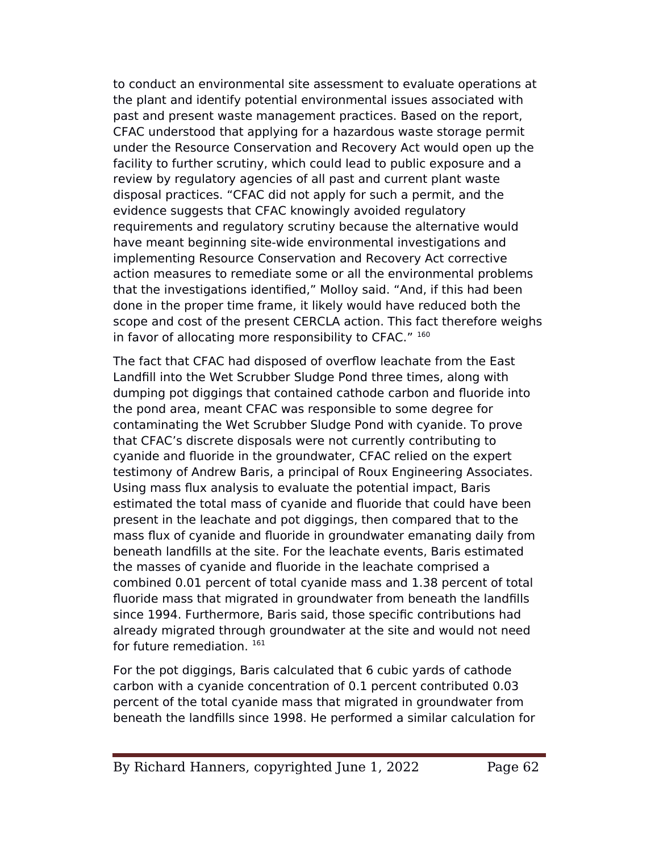to conduct an environmental site assessment to evaluate operations at the plant and identify potential environmental issues associated with past and present waste management practices. Based on the report, CFAC understood that applying for a hazardous waste storage permit under the Resource Conservation and Recovery Act would open up the facility to further scrutiny, which could lead to public exposure and a review by regulatory agencies of all past and current plant waste disposal practices. "CFAC did not apply for such a permit, and the evidence suggests that CFAC knowingly avoided regulatory requirements and regulatory scrutiny because the alternative would have meant beginning site-wide environmental investigations and implementing Resource Conservation and Recovery Act corrective action measures to remediate some or all the environmental problems that the investigations identifed," Molloy said. "And, if this had been done in the proper time frame, it likely would have reduced both the scope and cost of the present CERCLA action. This fact therefore weighs in favor of allocating more responsibility to CFAC." 160

The fact that CFAC had disposed of overflow leachate from the East Landfill into the Wet Scrubber Sludge Pond three times, along with dumping pot diggings that contained cathode carbon and fluoride into the pond area, meant CFAC was responsible to some degree for contaminating the Wet Scrubber Sludge Pond with cyanide. To prove that CFAC's discrete disposals were not currently contributing to cyanide and fluoride in the groundwater, CFAC relied on the expert testimony of Andrew Baris, a principal of Roux Engineering Associates. Using mass flux analysis to evaluate the potential impact, Baris estimated the total mass of cyanide and fluoride that could have been present in the leachate and pot diggings, then compared that to the mass flux of cyanide and fluoride in groundwater emanating daily from beneath landflls at the site. For the leachate events, Baris estimated the masses of cyanide and fluoride in the leachate comprised a combined 0.01 percent of total cyanide mass and 1.38 percent of total fluoride mass that migrated in groundwater from beneath the landflls since 1994. Furthermore, Baris said, those specifc contributions had already migrated through groundwater at the site and would not need for future remediation.<sup>161</sup>

For the pot diggings, Baris calculated that 6 cubic yards of cathode carbon with a cyanide concentration of 0.1 percent contributed 0.03 percent of the total cyanide mass that migrated in groundwater from beneath the landflls since 1998. He performed a similar calculation for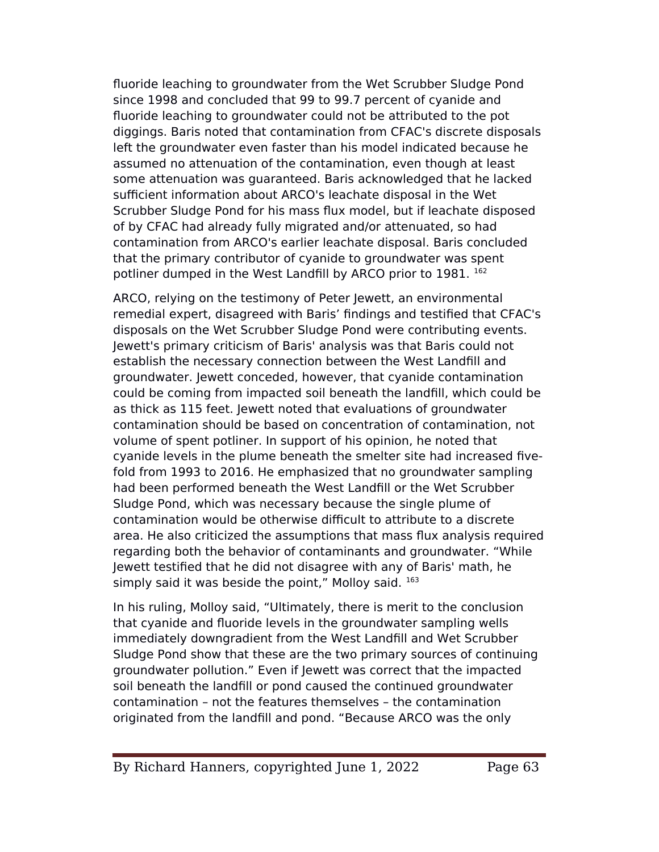fluoride leaching to groundwater from the Wet Scrubber Sludge Pond since 1998 and concluded that 99 to 99.7 percent of cyanide and fluoride leaching to groundwater could not be attributed to the pot diggings. Baris noted that contamination from CFAC's discrete disposals left the groundwater even faster than his model indicated because he assumed no attenuation of the contamination, even though at least some attenuation was guaranteed. Baris acknowledged that he lacked sufficient information about ARCO's leachate disposal in the Wet Scrubber Sludge Pond for his mass flux model, but if leachate disposed of by CFAC had already fully migrated and/or attenuated, so had contamination from ARCO's earlier leachate disposal. Baris concluded that the primary contributor of cyanide to groundwater was spent potliner dumped in the West Landfill by ARCO prior to 1981. 162

ARCO, relying on the testimony of Peter Jewett, an environmental remedial expert, disagreed with Baris' fndings and testifed that CFAC's disposals on the Wet Scrubber Sludge Pond were contributing events. Jewett's primary criticism of Baris' analysis was that Baris could not establish the necessary connection between the West Landfll and groundwater. Jewett conceded, however, that cyanide contamination could be coming from impacted soil beneath the landfll, which could be as thick as 115 feet. Jewett noted that evaluations of groundwater contamination should be based on concentration of contamination, not volume of spent potliner. In support of his opinion, he noted that cyanide levels in the plume beneath the smelter site had increased fvefold from 1993 to 2016. He emphasized that no groundwater sampling had been performed beneath the West Landfll or the Wet Scrubber Sludge Pond, which was necessary because the single plume of contamination would be otherwise difficult to attribute to a discrete area. He also criticized the assumptions that mass flux analysis required regarding both the behavior of contaminants and groundwater. "While Jewett testifed that he did not disagree with any of Baris' math, he simply said it was beside the point," Molloy said.  $163$ 

In his ruling, Molloy said, "Ultimately, there is merit to the conclusion that cyanide and fluoride levels in the groundwater sampling wells immediately downgradient from the West Landfll and Wet Scrubber Sludge Pond show that these are the two primary sources of continuing groundwater pollution." Even if Jewett was correct that the impacted soil beneath the landfill or pond caused the continued groundwater contamination – not the features themselves – the contamination originated from the landfll and pond. "Because ARCO was the only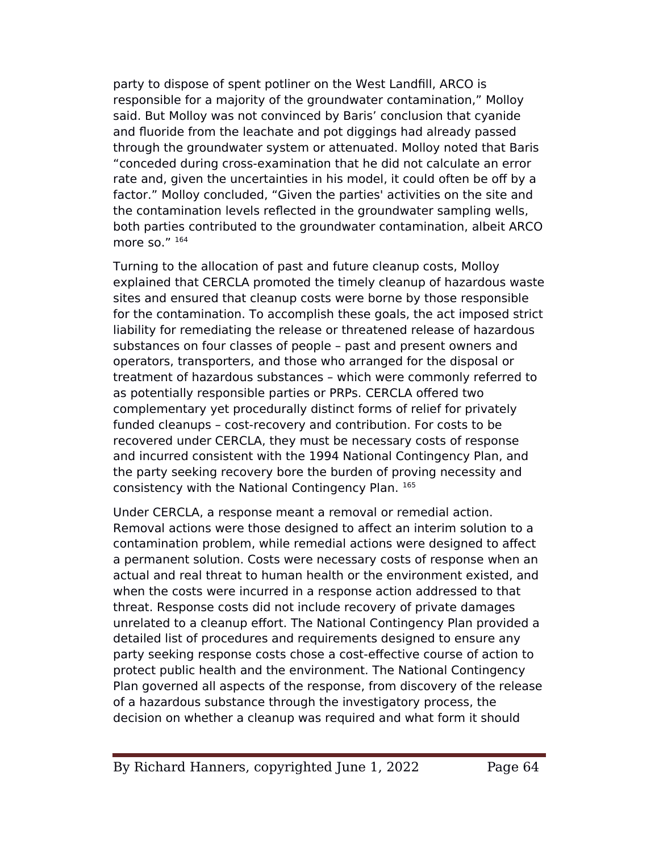party to dispose of spent potliner on the West Landfll, ARCO is responsible for a majority of the groundwater contamination," Molloy said. But Molloy was not convinced by Baris' conclusion that cyanide and fluoride from the leachate and pot diggings had already passed through the groundwater system or attenuated. Molloy noted that Baris "conceded during cross-examination that he did not calculate an error rate and, given the uncertainties in his model, it could often be off by a factor." Molloy concluded, "Given the parties' activities on the site and the contamination levels reflected in the groundwater sampling wells, both parties contributed to the groundwater contamination, albeit ARCO more so." $164$ 

Turning to the allocation of past and future cleanup costs, Molloy explained that CERCLA promoted the timely cleanup of hazardous waste sites and ensured that cleanup costs were borne by those responsible for the contamination. To accomplish these goals, the act imposed strict liability for remediating the release or threatened release of hazardous substances on four classes of people – past and present owners and operators, transporters, and those who arranged for the disposal or treatment of hazardous substances – which were commonly referred to as potentially responsible parties or PRPs. CERCLA offered two complementary yet procedurally distinct forms of relief for privately funded cleanups – cost-recovery and contribution. For costs to be recovered under CERCLA, they must be necessary costs of response and incurred consistent with the 1994 National Contingency Plan, and the party seeking recovery bore the burden of proving necessity and consistency with the National Contingency Plan. 165

Under CERCLA, a response meant a removal or remedial action. Removal actions were those designed to afect an interim solution to a contamination problem, while remedial actions were designed to afect a permanent solution. Costs were necessary costs of response when an actual and real threat to human health or the environment existed, and when the costs were incurred in a response action addressed to that threat. Response costs did not include recovery of private damages unrelated to a cleanup effort. The National Contingency Plan provided a detailed list of procedures and requirements designed to ensure any party seeking response costs chose a cost-efective course of action to protect public health and the environment. The National Contingency Plan governed all aspects of the response, from discovery of the release of a hazardous substance through the investigatory process, the decision on whether a cleanup was required and what form it should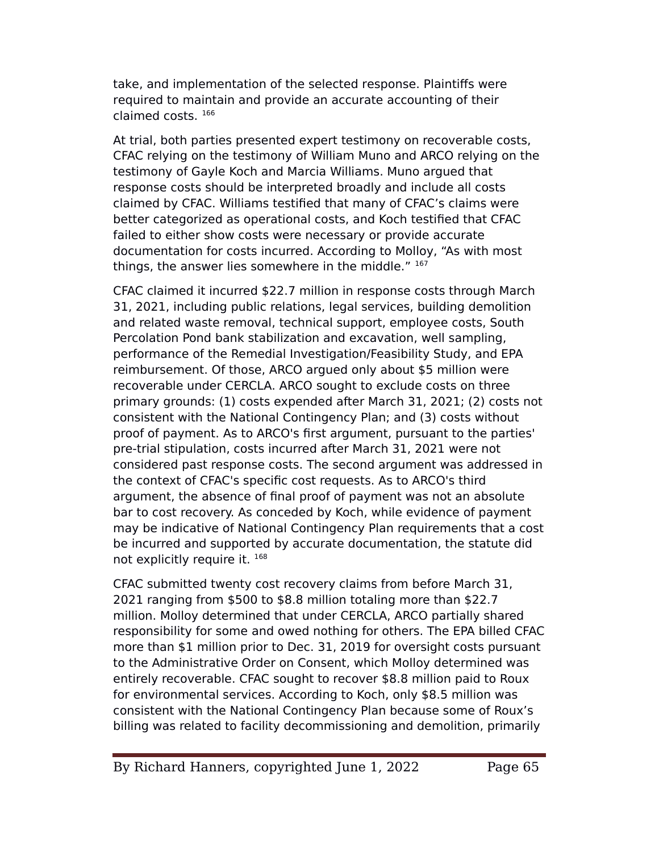take, and implementation of the selected response. Plaintiffs were required to maintain and provide an accurate accounting of their claimed costs. <sup>166</sup>

At trial, both parties presented expert testimony on recoverable costs, CFAC relying on the testimony of William Muno and ARCO relying on the testimony of Gayle Koch and Marcia Williams. Muno argued that response costs should be interpreted broadly and include all costs claimed by CFAC. Williams testifed that many of CFAC's claims were better categorized as operational costs, and Koch testifed that CFAC failed to either show costs were necessary or provide accurate documentation for costs incurred. According to Molloy, "As with most things, the answer lies somewhere in the middle." 167

CFAC claimed it incurred \$22.7 million in response costs through March 31, 2021, including public relations, legal services, building demolition and related waste removal, technical support, employee costs, South Percolation Pond bank stabilization and excavation, well sampling, performance of the Remedial Investigation/Feasibility Study, and EPA reimbursement. Of those, ARCO argued only about \$5 million were recoverable under CERCLA. ARCO sought to exclude costs on three primary grounds: (1) costs expended after March 31, 2021; (2) costs not consistent with the National Contingency elan; and (3) costs without proof of payment. As to ARCO's frst argument, pursuant to the parties' pre-trial stipulation, costs incurred after March 31, 2021 were not considered past response costs. The second argument was addressed in the context of CFAC's specifc cost requests. As to ARCO's third argument, the absence of fnal proof of payment was not an absolute bar to cost recovery. As conceded by Koch, while evidence of payment may be indicative of National Contingency elan requirements that a cost be incurred and supported by accurate documentation, the statute did not explicitly require it. <sup>168</sup>

CFAC submitted twenty cost recovery claims from before March 31, 2021 ranging from \$500 to \$8.8 million totaling more than \$22.7 million. Molloy determined that under CERCLA, ARCO partially shared responsibility for some and owed nothing for others. The EPA billed CFAC more than \$1 million prior to Dec. 31, 2019 for oversight costs pursuant to the Administrative Order on Consent, which Molloy determined was entirely recoverable. CFAC sought to recover \$8.8 million paid to Roux for environmental services. According to Koch, only \$8.5 million was consistent with the National Contingency elan because some of Roux's billing was related to facility decommissioning and demolition, primarily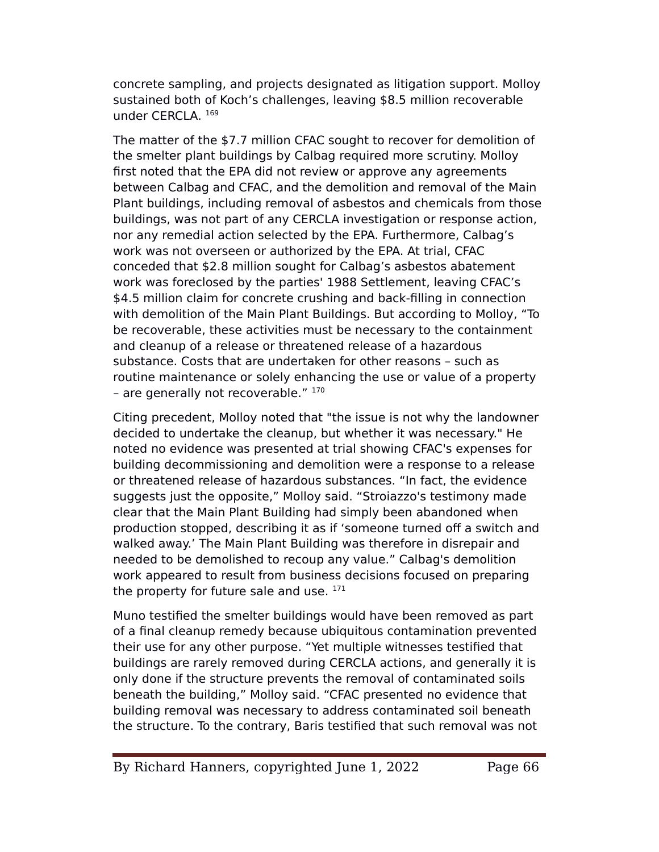concrete sampling, and projects designated as litigation support. Molloy sustained both of Koch's challenges, leaving \$8.5 million recoverable under CERCLA. <sup>169</sup>

The matter of the \$7.7 million CFAC sought to recover for demolition of the smelter plant buildings by Calbag required more scrutiny. Molloy first noted that the EPA did not review or approve any agreements between Calbag and CFAC, and the demolition and removal of the Main Plant buildings, including removal of asbestos and chemicals from those buildings, was not part of any CERCLA investigation or response action, nor any remedial action selected by the EPA. Furthermore, Calbag's work was not overseen or authorized by the EPA. At trial, CFAC conceded that \$2.8 million sought for Calbag's asbestos abatement work was foreclosed by the parties' 1988 Settlement, leaving CFAC's \$4.5 million claim for concrete crushing and back-flling in connection with demolition of the Main Plant Buildings. But according to Molloy, "To be recoverable, these activities must be necessary to the containment and cleanup of a release or threatened release of a hazardous substance. Costs that are undertaken for other reasons – such as routine maintenance or solely enhancing the use or value of a property - are generally not recoverable."  $170$ 

Citing precedent, Molloy noted that "the issue is not why the landowner decided to undertake the cleanup, but whether it was necessary." He noted no evidence was presented at trial showing CFAC's expenses for building decommissioning and demolition were a response to a release or threatened release of hazardous substances. "In fact, the evidence suggests just the opposite," Molloy said. "Stroiazzo's testimony made clear that the Main Plant Building had simply been abandoned when production stopped, describing it as if 'someone turned off a switch and walked away.' The Main Plant Building was therefore in disrepair and needed to be demolished to recoup any value." Calbag's demolition work appeared to result from business decisions focused on preparing the property for future sale and use.  $171$ 

Muno testifed the smelter buildings would have been removed as part of a fnal cleanup remedy because ubiquitous contamination prevented their use for any other purpose. "Yet multiple witnesses testifed that buildings are rarely removed during CERCLA actions, and generally it is only done if the structure prevents the removal of contaminated soils beneath the building," Molloy said. "CFAC presented no evidence that building removal was necessary to address contaminated soil beneath the structure. To the contrary, Baris testifed that such removal was not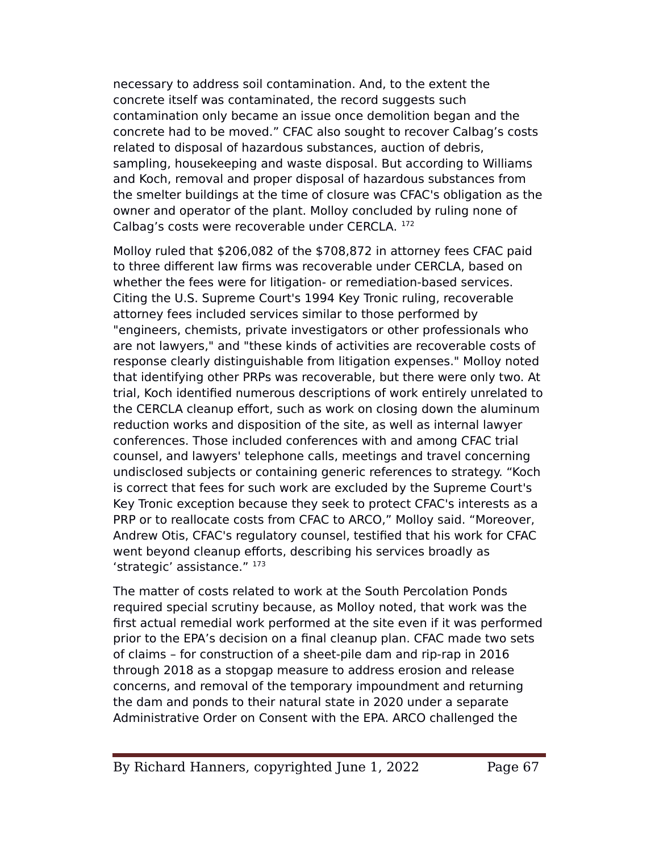necessary to address soil contamination. And, to the extent the concrete itself was contaminated, the record suggests such contamination only became an issue once demolition began and the concrete had to be moved." CFAC also sought to recover Calbag's costs related to disposal of hazardous substances, auction of debris, sampling, housekeeping and waste disposal. But according to Williams and Koch, removal and proper disposal of hazardous substances from the smelter buildings at the time of closure was CFAC's obligation as the owner and operator of the plant. Molloy concluded by ruling none of Calbag's costs were recoverable under CERCLA. <sup>172</sup>

Molloy ruled that \$206,082 of the \$708,872 in attorney fees CFAC paid to three diferent law frms was recoverable under CERCLA, based on whether the fees were for litigation- or remediation-based services. Citing the U.S. Supreme Court's 1994 Key Tronic ruling, recoverable attorney fees included services similar to those performed by "engineers, chemists, private investigators or other professionals who are not lawyers," and "these kinds of activities are recoverable costs of response clearly distinguishable from litigation expenses." Molloy noted that identifying other eRes was recoverable, but there were only two. At trial, Koch identifed numerous descriptions of work entirely unrelated to the CERCLA cleanup effort, such as work on closing down the aluminum reduction works and disposition of the site, as well as internal lawyer conferences. Those included conferences with and among CFAC trial counsel, and lawyers' telephone calls, meetings and travel concerning undisclosed subjects or containing generic references to strategy. "Koch is correct that fees for such work are excluded by the Supreme Court's Key Tronic exception because they seek to protect CFAC's interests as a PRP or to reallocate costs from CFAC to ARCO," Molloy said. "Moreover, Andrew Otis, CFAC's regulatory counsel, testifed that his work for CFAC went beyond cleanup efforts, describing his services broadly as 'strategic' assistance." 173

The matter of costs related to work at the South Percolation Ponds required special scrutiny because, as Molloy noted, that work was the frst actual remedial work performed at the site even if it was performed prior to the EPA's decision on a final cleanup plan. CFAC made two sets of claims – for construction of a sheet-pile dam and rip-rap in 2016 through 2018 as a stopgap measure to address erosion and release concerns, and removal of the temporary impoundment and returning the dam and ponds to their natural state in 2020 under a separate Administrative Order on Consent with the EeA. ARCO challenged the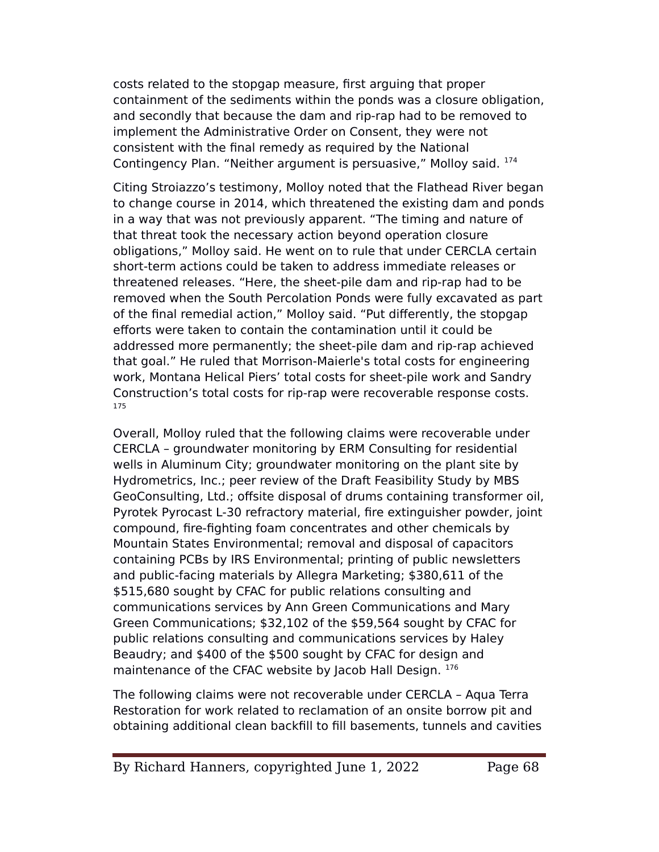costs related to the stopgap measure, frst arguing that proper containment of the sediments within the ponds was a closure obligation, and secondly that because the dam and rip-rap had to be removed to implement the Administrative Order on Consent, they were not consistent with the fnal remedy as required by the National Contingency Plan. "Neither argument is persuasive," Molloy said. <sup>174</sup>

Citing Stroiazzo's testimony, Molloy noted that the Flathead River began to change course in 2014, which threatened the existing dam and ponds in a way that was not previously apparent. "The timing and nature of that threat took the necessary action beyond operation closure obligations," Molloy said. He went on to rule that under CERCLA certain short-term actions could be taken to address immediate releases or threatened releases. "Here, the sheet-pile dam and rip-rap had to be removed when the South Percolation Ponds were fully excavated as part of the final remedial action," Molloy said. "Put differently, the stopgap efforts were taken to contain the contamination until it could be addressed more permanently; the sheet-pile dam and rip-rap achieved that goal." He ruled that Morrison-Maierle's total costs for engineering work, Montana Helical Piers' total costs for sheet-pile work and Sandry Construction's total costs for rip-rap were recoverable response costs. 175

Overall, Molloy ruled that the following claims were recoverable under CERCLA – groundwater monitoring by ERM Consulting for residential wells in Aluminum City; groundwater monitoring on the plant site by Hydrometrics, Inc.; peer review of the Draft Feasibility Study by MBS GeoConsulting, Ltd.; offsite disposal of drums containing transformer oil, Pyrotek Pyrocast L-30 refractory material, fire extinguisher powder, joint compound, fre-fghting foam concentrates and other chemicals by Mountain States Environmental; removal and disposal of capacitors containing eCBs by IRS Environmental; printing of public newsletters and public-facing materials by Allegra Marketing; \$380,611 of the \$515,680 sought by CFAC for public relations consulting and communications services by Ann Green Communications and Mary Green Communications; \$32,102 of the \$59,564 sought by CFAC for public relations consulting and communications services by Haley Beaudry; and \$400 of the \$500 sought by CFAC for design and maintenance of the CFAC website by Jacob Hall Design. 176

The following claims were not recoverable under CERCLA – Aqua Terra Restoration for work related to reclamation of an onsite borrow pit and obtaining additional clean backfll to fll basements, tunnels and cavities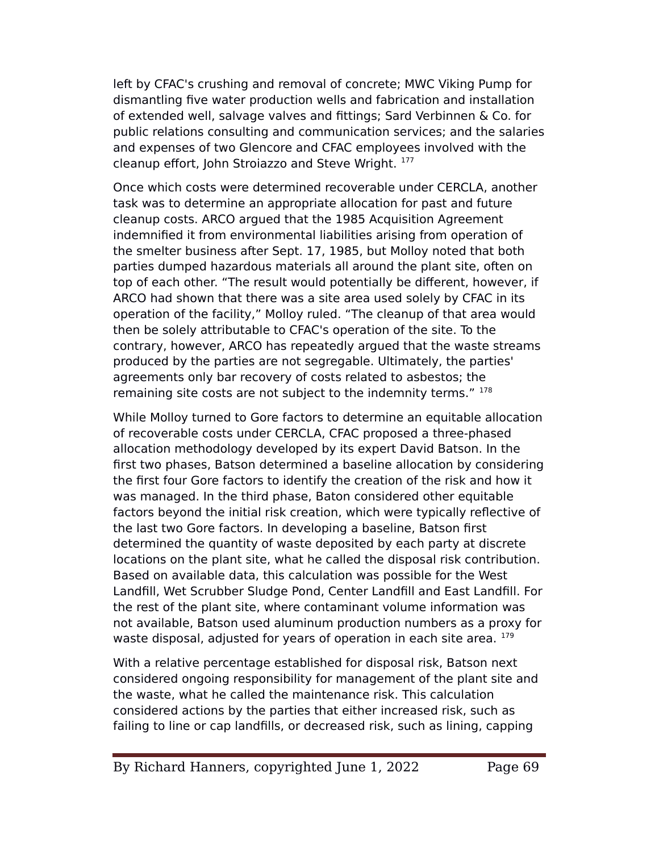left by CFAC's crushing and removal of concrete; MWC Viking eump for dismantling fve water production wells and fabrication and installation of extended well, salvage valves and fttings; Sard Verbinnen & Co. for public relations consulting and communication services; and the salaries and expenses of two Glencore and CFAC employees involved with the cleanup effort, John Stroiazzo and Steve Wright. 177

Once which costs were determined recoverable under CERCLA, another task was to determine an appropriate allocation for past and future cleanup costs. ARCO argued that the 1985 Acquisition Agreement indemnifed it from environmental liabilities arising from operation of the smelter business after Sept. 17, 1985, but Molloy noted that both parties dumped hazardous materials all around the plant site, often on top of each other. "The result would potentially be diferent, however, if ARCO had shown that there was a site area used solely by CFAC in its operation of the facility," Molloy ruled. "The cleanup of that area would then be solely attributable to CFAC's operation of the site. To the contrary, however, ARCO has repeatedly argued that the waste streams produced by the parties are not segregable. Ultimately, the parties' agreements only bar recovery of costs related to asbestos; the remaining site costs are not subject to the indemnity terms." <sup>178</sup>

While Molloy turned to Gore factors to determine an equitable allocation of recoverable costs under CERCLA, CFAC proposed a three-phased allocation methodology developed by its expert David Batson. In the frst two phases, Batson determined a baseline allocation by considering the frst four Gore factors to identify the creation of the risk and how it was managed. In the third phase, Baton considered other equitable factors beyond the initial risk creation, which were typically reflective of the last two Gore factors. In developing a baseline, Batson frst determined the quantity of waste deposited by each party at discrete locations on the plant site, what he called the disposal risk contribution. Based on available data, this calculation was possible for the West Landfill, Wet Scrubber Sludge Pond, Center Landfill and East Landfill. For the rest of the plant site, where contaminant volume information was not available, Batson used aluminum production numbers as a proxy for waste disposal, adjusted for years of operation in each site area. <sup>179</sup>

With a relative percentage established for disposal risk, Batson next considered ongoing responsibility for management of the plant site and the waste, what he called the maintenance risk. This calculation considered actions by the parties that either increased risk, such as failing to line or cap landflls, or decreased risk, such as lining, capping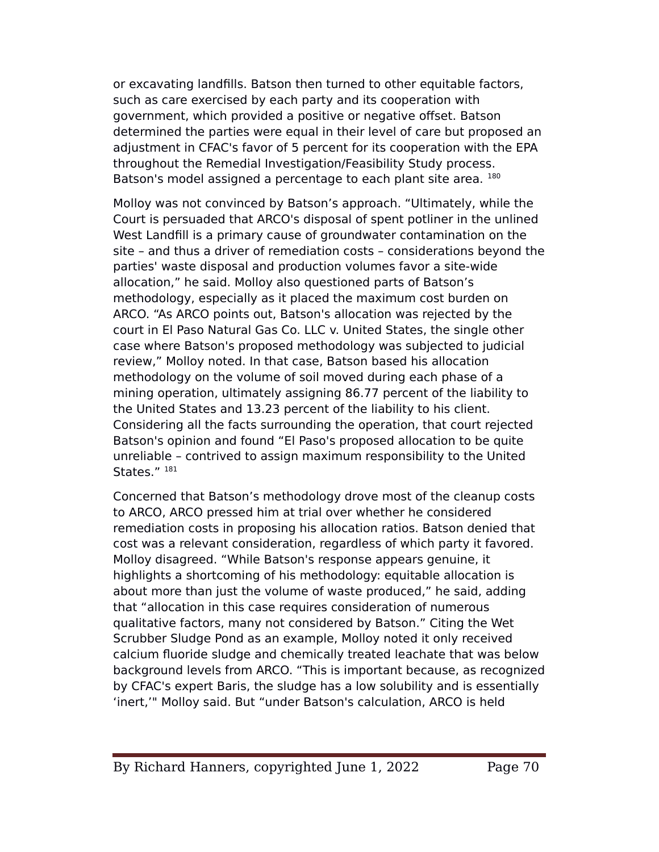or excavating landflls. Batson then turned to other equitable factors, such as care exercised by each party and its cooperation with government, which provided a positive or negative offset. Batson determined the parties were equal in their level of care but proposed an adjustment in CFAC's favor of 5 percent for its cooperation with the EPA throughout the Remedial Investigation/Feasibility Study process. Batson's model assigned a percentage to each plant site area. 180

Molloy was not convinced by Batson's approach. "Ultimately, while the Court is persuaded that ARCO's disposal of spent potliner in the unlined West Landfll is a primary cause of groundwater contamination on the site – and thus a driver of remediation costs – considerations beyond the parties' waste disposal and production volumes favor a site-wide allocation," he said. Molloy also questioned parts of Batson's methodology, especially as it placed the maximum cost burden on ARCO. "As ARCO points out, Batson's allocation was rejected by the court in El easo Natural Gas Co. LLC v. United States, the single other case where Batson's proposed methodology was subjected to judicial review," Molloy noted. In that case, Batson based his allocation methodology on the volume of soil moved during each phase of a mining operation, ultimately assigning 86.77 percent of the liability to the United States and 13.23 percent of the liability to his client. Considering all the facts surrounding the operation, that court rejected Batson's opinion and found "El Paso's proposed allocation to be quite unreliable – contrived to assign maximum responsibility to the United States." 181

Concerned that Batson's methodology drove most of the cleanup costs to ARCO, ARCO pressed him at trial over whether he considered remediation costs in proposing his allocation ratios. Batson denied that cost was a relevant consideration, regardless of which party it favored. Molloy disagreed. "While Batson's response appears genuine, it highlights a shortcoming of his methodology: equitable allocation is about more than just the volume of waste produced," he said, adding that "allocation in this case requires consideration of numerous qualitative factors, many not considered by Batson." Citing the Wet Scrubber Sludge Pond as an example, Molloy noted it only received calcium fluoride sludge and chemically treated leachate that was below background levels from ARCO. "This is important because, as recognized by CFAC's expert Baris, the sludge has a low solubility and is essentially 'inert,'" Molloy said. But "under Batson's calculation, ARCO is held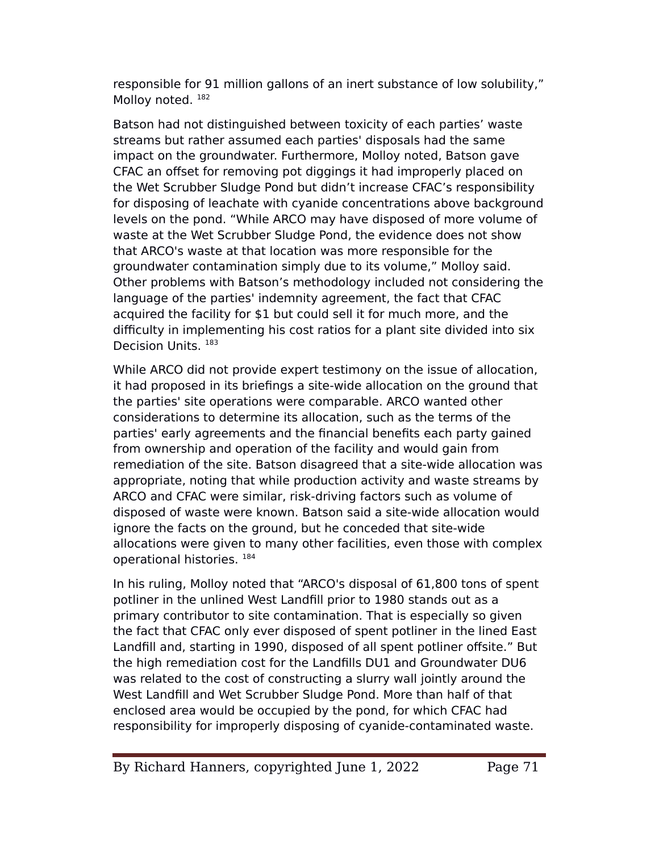responsible for 91 million gallons of an inert substance of low solubility," Molloy noted.<sup>182</sup>

Batson had not distinguished between toxicity of each parties' waste streams but rather assumed each parties' disposals had the same impact on the groundwater. Furthermore, Molloy noted, Batson gave CFAC an offset for removing pot diggings it had improperly placed on the Wet Scrubber Sludge Pond but didn't increase CFAC's responsibility for disposing of leachate with cyanide concentrations above background levels on the pond. "While ARCO may have disposed of more volume of waste at the Wet Scrubber Sludge Pond, the evidence does not show that ARCO's waste at that location was more responsible for the groundwater contamination simply due to its volume," Molloy said. Other problems with Batson's methodology included not considering the language of the parties' indemnity agreement, the fact that CFAC acquired the facility for \$1 but could sell it for much more, and the difficulty in implementing his cost ratios for a plant site divided into six Decision Units. <sup>183</sup>

While ARCO did not provide expert testimony on the issue of allocation, it had proposed in its briefngs a site-wide allocation on the ground that the parties' site operations were comparable. ARCO wanted other considerations to determine its allocation, such as the terms of the parties' early agreements and the fnancial benefts each party gained from ownership and operation of the facility and would gain from remediation of the site. Batson disagreed that a site-wide allocation was appropriate, noting that while production activity and waste streams by ARCO and CFAC were similar, risk-driving factors such as volume of disposed of waste were known. Batson said a site-wide allocation would ignore the facts on the ground, but he conceded that site-wide allocations were given to many other facilities, even those with complex operational histories. <sup>184</sup>

In his ruling, Molloy noted that "ARCO's disposal of 61,800 tons of spent potliner in the unlined West Landfll prior to 1980 stands out as a primary contributor to site contamination. That is especially so given the fact that CFAC only ever disposed of spent potliner in the lined East Landfill and, starting in 1990, disposed of all spent potliner offsite." But the high remediation cost for the Landflls DU1 and Groundwater DU6 was related to the cost of constructing a slurry wall jointly around the West Landfill and Wet Scrubber Sludge Pond. More than half of that enclosed area would be occupied by the pond, for which CFAC had responsibility for improperly disposing of cyanide-contaminated waste.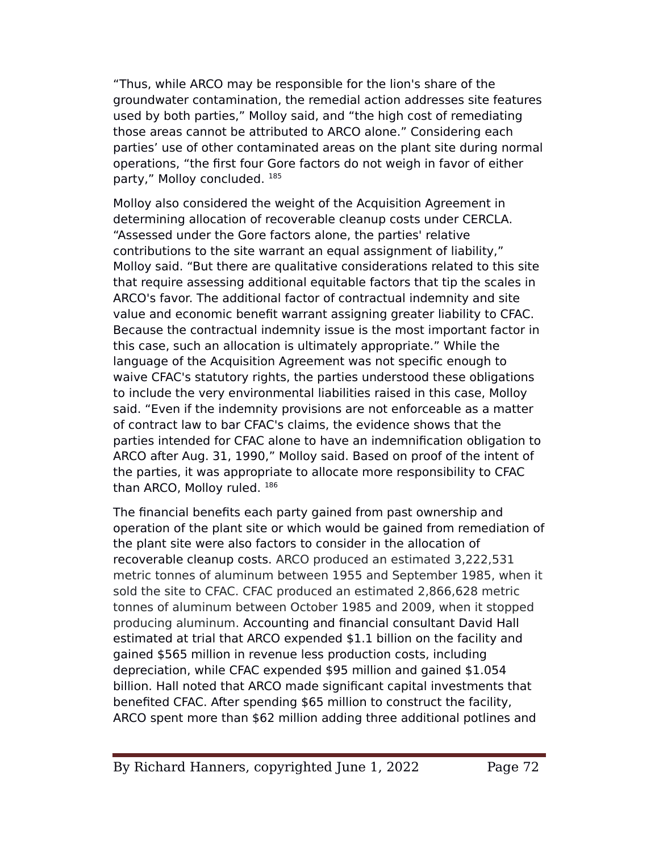"Thus, while ARCO may be responsible for the lion's share of the groundwater contamination, the remedial action addresses site features used by both parties," Molloy said, and "the high cost of remediating those areas cannot be attributed to ARCO alone." Considering each parties' use of other contaminated areas on the plant site during normal operations, "the frst four Gore factors do not weigh in favor of either party," Molloy concluded. <sup>185</sup>

Molloy also considered the weight of the Acquisition Agreement in determining allocation of recoverable cleanup costs under CERCLA. "Assessed under the Gore factors alone, the parties' relative contributions to the site warrant an equal assignment of liability," Molloy said. "But there are qualitative considerations related to this site that require assessing additional equitable factors that tip the scales in ARCO's favor. The additional factor of contractual indemnity and site value and economic beneft warrant assigning greater liability to CFAC. Because the contractual indemnity issue is the most important factor in this case, such an allocation is ultimately appropriate." While the language of the Acquisition Agreement was not specifc enough to waive CFAC's statutory rights, the parties understood these obligations to include the very environmental liabilities raised in this case, Molloy said. "Even if the indemnity provisions are not enforceable as a matter of contract law to bar CFAC's claims, the evidence shows that the parties intended for CFAC alone to have an indemnifcation obligation to ARCO after Aug. 31, 1990," Molloy said. Based on proof of the intent of the parties, it was appropriate to allocate more responsibility to CFAC than ARCO, Molloy ruled. 186

The fnancial benefts each party gained from past ownership and operation of the plant site or which would be gained from remediation of the plant site were also factors to consider in the allocation of recoverable cleanup costs. ARCO produced an estimated 3,222,531 metric tonnes of aluminum between 1955 and September 1985, when it sold the site to CFAC. CFAC produced an estimated 2,866,628 metric tonnes of aluminum between October 1985 and 2009, when it stopped producing aluminum. Accounting and fnancial consultant David Hall estimated at trial that ARCO expended \$1.1 billion on the facility and gained \$565 million in revenue less production costs, including depreciation, while CFAC expended \$95 million and gained \$1.054 billion. Hall noted that ARCO made signifcant capital investments that benefted CFAC. After spending \$65 million to construct the facility, ARCO spent more than \$62 million adding three additional potlines and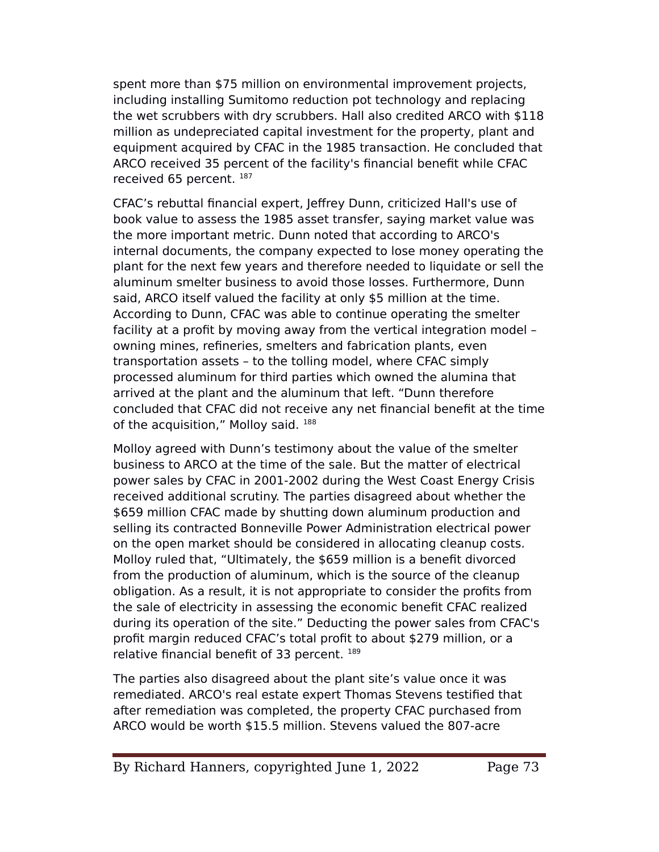spent more than \$75 million on environmental improvement projects, including installing Sumitomo reduction pot technology and replacing the wet scrubbers with dry scrubbers. Hall also credited ARCO with \$118 million as undepreciated capital investment for the property, plant and equipment acquired by CFAC in the 1985 transaction. He concluded that ARCO received 35 percent of the facility's fnancial beneft while CFAC received 65 percent. 187

CFAC's rebuttal fnancial expert, Jefrey Dunn, criticized Hall's use of book value to assess the 1985 asset transfer, saying market value was the more important metric. Dunn noted that according to ARCO's internal documents, the company expected to lose money operating the plant for the next few years and therefore needed to liquidate or sell the aluminum smelter business to avoid those losses. Furthermore, Dunn said, ARCO itself valued the facility at only \$5 million at the time. According to Dunn, CFAC was able to continue operating the smelter facility at a proft by moving away from the vertical integration model – owning mines, refneries, smelters and fabrication plants, even transportation assets – to the tolling model, where CFAC simply processed aluminum for third parties which owned the alumina that arrived at the plant and the aluminum that left. "Dunn therefore concluded that CFAC did not receive any net fnancial beneft at the time of the acquisition," Molloy said. 188

Molloy agreed with Dunn's testimony about the value of the smelter business to ARCO at the time of the sale. But the matter of electrical power sales by CFAC in 2001-2002 during the West Coast Energy Crisis received additional scrutiny. The parties disagreed about whether the \$659 million CFAC made by shutting down aluminum production and selling its contracted Bonneville Power Administration electrical power on the open market should be considered in allocating cleanup costs. Molloy ruled that, "Ultimately, the \$659 million is a beneft divorced from the production of aluminum, which is the source of the cleanup obligation. As a result, it is not appropriate to consider the profts from the sale of electricity in assessing the economic beneft CFAC realized during its operation of the site." Deducting the power sales from CFAC's profit margin reduced CFAC's total profit to about \$279 million, or a relative financial benefit of 33 percent. 189

The parties also disagreed about the plant site's value once it was remediated. ARCO's real estate expert Thomas Stevens testifed that after remediation was completed, the property CFAC purchased from ARCO would be worth \$15.5 million. Stevens valued the 807-acre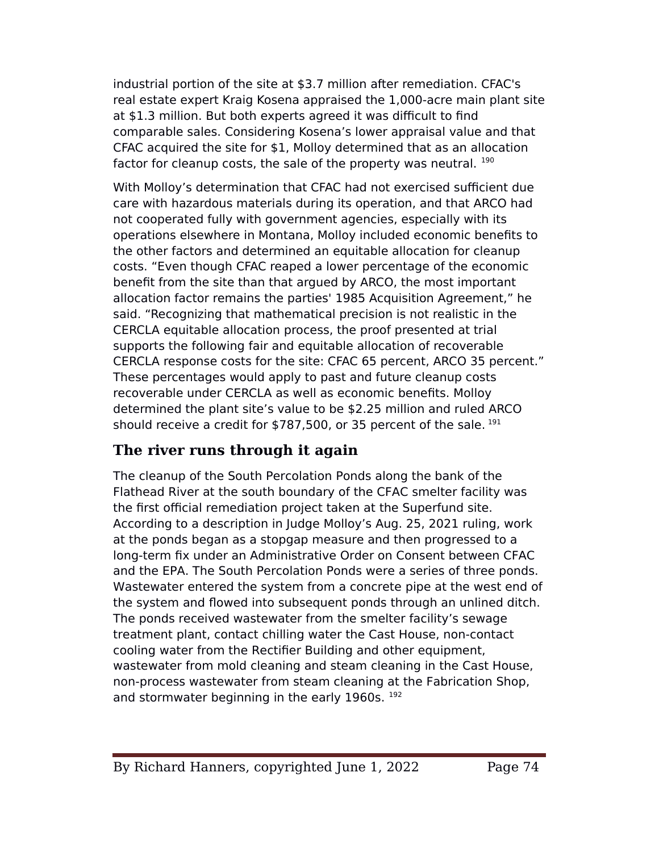industrial portion of the site at \$3.7 million after remediation. CFAC's real estate expert Kraig Kosena appraised the 1,000-acre main plant site at \$1.3 million. But both experts agreed it was difficult to find comparable sales. Considering Kosena's lower appraisal value and that CFAC acquired the site for \$1, Molloy determined that as an allocation factor for cleanup costs, the sale of the property was neutral. 190

With Molloy's determination that CFAC had not exercised sufficient due care with hazardous materials during its operation, and that ARCO had not cooperated fully with government agencies, especially with its operations elsewhere in Montana, Molloy included economic benefts to the other factors and determined an equitable allocation for cleanup costs. "Even though CFAC reaped a lower percentage of the economic beneft from the site than that argued by ARCO, the most important allocation factor remains the parties' 1985 Acquisition Agreement," he said. "Recognizing that mathematical precision is not realistic in the CERCLA equitable allocation process, the proof presented at trial supports the following fair and equitable allocation of recoverable CERCLA response costs for the site: CFAC 65 percent, ARCO 35 percent." These percentages would apply to past and future cleanup costs recoverable under CERCLA as well as economic benefts. Molloy determined the plant site's value to be \$2.25 million and ruled ARCO should receive a credit for \$787,500, or 35 percent of the sale.  $191$ 

## **The river runs through it again**

The cleanup of the South Percolation Ponds along the bank of the Flathead River at the south boundary of the CFAC smelter facility was the first official remediation project taken at the Superfund site. According to a description in Judge Molloy's Aug. 25, 2021 ruling, work at the ponds began as a stopgap measure and then progressed to a long-term fx under an Administrative Order on Consent between CFAC and the EPA. The South Percolation Ponds were a series of three ponds. Wastewater entered the system from a concrete pipe at the west end of the system and flowed into subsequent ponds through an unlined ditch. The ponds received wastewater from the smelter facility's sewage treatment plant, contact chilling water the Cast House, non-contact cooling water from the Rectifer Building and other equipment, wastewater from mold cleaning and steam cleaning in the Cast House, non-process wastewater from steam cleaning at the Fabrication Shop, and stormwater beginning in the early 1960s. <sup>192</sup>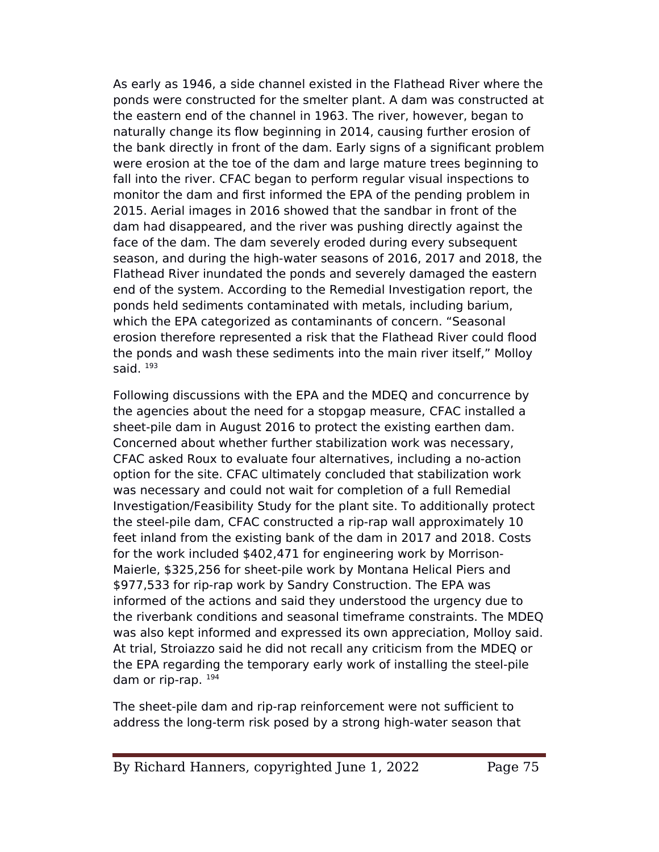As early as 1946, a side channel existed in the Flathead River where the ponds were constructed for the smelter plant. A dam was constructed at the eastern end of the channel in 1963. The river, however, began to naturally change its flow beginning in 2014, causing further erosion of the bank directly in front of the dam. Early signs of a signifcant problem were erosion at the toe of the dam and large mature trees beginning to fall into the river. CFAC began to perform regular visual inspections to monitor the dam and frst informed the EeA of the pending problem in 2015. Aerial images in 2016 showed that the sandbar in front of the dam had disappeared, and the river was pushing directly against the face of the dam. The dam severely eroded during every subsequent season, and during the high-water seasons of 2016, 2017 and 2018, the Flathead River inundated the ponds and severely damaged the eastern end of the system. According to the Remedial Investigation report, the ponds held sediments contaminated with metals, including barium, which the EeA categorized as contaminants of concern. "Seasonal erosion therefore represented a risk that the Flathead River could flood the ponds and wash these sediments into the main river itself," Molloy said.  $193$ 

Following discussions with the EeA and the MDEQ and concurrence by the agencies about the need for a stopgap measure, CFAC installed a sheet-pile dam in August 2016 to protect the existing earthen dam. Concerned about whether further stabilization work was necessary, CFAC asked Roux to evaluate four alternatives, including a no-action option for the site. CFAC ultimately concluded that stabilization work was necessary and could not wait for completion of a full Remedial Investigation/Feasibility Study for the plant site. To additionally protect the steel-pile dam, CFAC constructed a rip-rap wall approximately 10 feet inland from the existing bank of the dam in 2017 and 2018. Costs for the work included \$402,471 for engineering work by Morrison-Maierle, \$325,256 for sheet-pile work by Montana Helical Piers and \$977,533 for rip-rap work by Sandry Construction. The EPA was informed of the actions and said they understood the urgency due to the riverbank conditions and seasonal timeframe constraints. The MDEQ was also kept informed and expressed its own appreciation, Molloy said. At trial, Stroiazzo said he did not recall any criticism from the MDEQ or the EPA regarding the temporary early work of installing the steel-pile dam or rip-rap.  $194$ 

The sheet-pile dam and rip-rap reinforcement were not sufficient to address the long-term risk posed by a strong high-water season that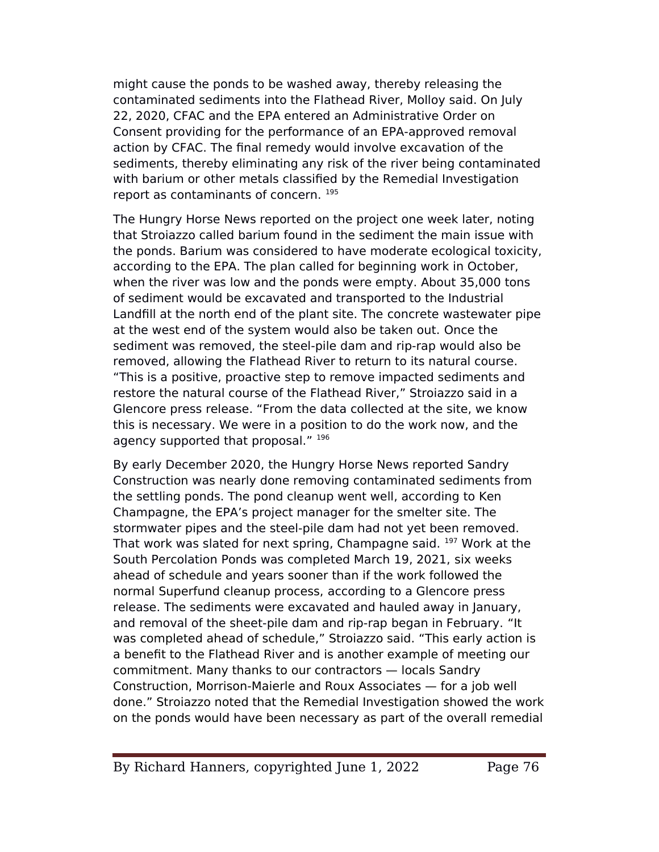might cause the ponds to be washed away, thereby releasing the contaminated sediments into the Flathead River, Molloy said. On July 22, 2020, CFAC and the EPA entered an Administrative Order on Consent providing for the performance of an EPA-approved removal action by CFAC. The final remedy would involve excavation of the sediments, thereby eliminating any risk of the river being contaminated with barium or other metals classifed by the Remedial Investigation report as contaminants of concern. <sup>195</sup>

The Hungry Horse News reported on the project one week later, noting that Stroiazzo called barium found in the sediment the main issue with the ponds. Barium was considered to have moderate ecological toxicity, according to the EPA. The plan called for beginning work in October, when the river was low and the ponds were empty. About 35,000 tons of sediment would be excavated and transported to the Industrial Landfll at the north end of the plant site. The concrete wastewater pipe at the west end of the system would also be taken out. Once the sediment was removed, the steel-pile dam and rip-rap would also be removed, allowing the Flathead River to return to its natural course. "This is a positive, proactive step to remove impacted sediments and restore the natural course of the Flathead River," Stroiazzo said in a Glencore press release. "From the data collected at the site, we know this is necessary. We were in a position to do the work now, and the agency supported that proposal." 196

By early December 2020, the Hungry Horse News reported Sandry Construction was nearly done removing contaminated sediments from the settling ponds. The pond cleanup went well, according to Ken Champagne, the EeA's project manager for the smelter site. The stormwater pipes and the steel-pile dam had not yet been removed. That work was slated for next spring, Champagne said. <sup>197</sup> Work at the South Percolation Ponds was completed March 19, 2021, six weeks ahead of schedule and years sooner than if the work followed the normal Superfund cleanup process, according to a Glencore press release. The sediments were excavated and hauled away in January, and removal of the sheet-pile dam and rip-rap began in February. "It was completed ahead of schedule," Stroiazzo said. "This early action is a beneft to the Flathead River and is another example of meeting our commitment. Many thanks to our contractors — locals Sandry Construction, Morrison-Maierle and Roux Associates — for a job well done." Stroiazzo noted that the Remedial Investigation showed the work on the ponds would have been necessary as part of the overall remedial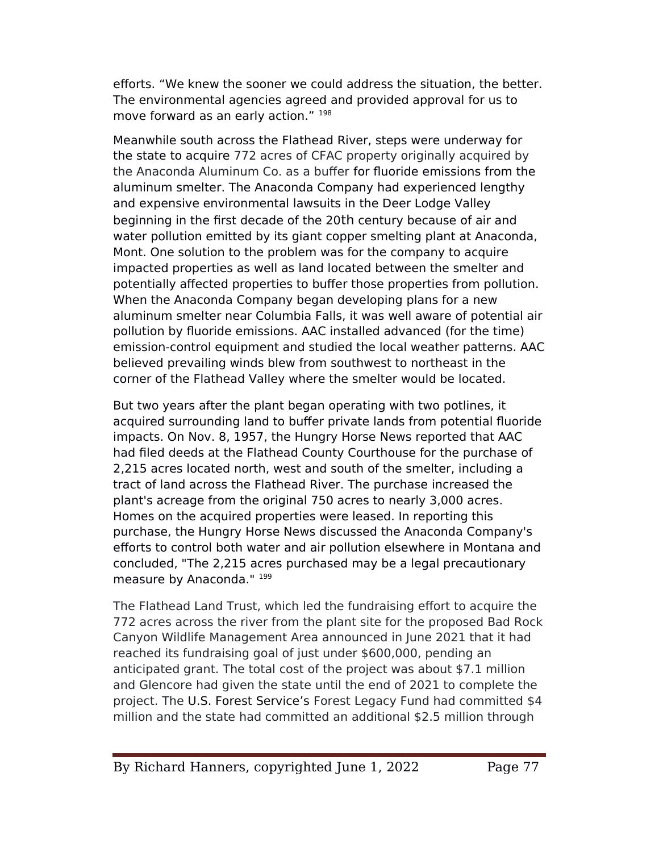eforts. "We knew the sooner we could address the situation, the better. The environmental agencies agreed and provided approval for us to move forward as an early action." 198

Meanwhile south across the Flathead River, steps were underway for the state to acquire 772 acres of CFAC property originally acquired by the Anaconda Aluminum Co. as a bufer for fluoride emissions from the aluminum smelter. The Anaconda Company had experienced lengthy and expensive environmental lawsuits in the Deer Lodge Valley beginning in the frst decade of the 20th century because of air and water pollution emitted by its giant copper smelting plant at Anaconda, Mont. One solution to the problem was for the company to acquire impacted properties as well as land located between the smelter and potentially affected properties to buffer those properties from pollution. When the Anaconda Company began developing plans for a new aluminum smelter near Columbia Falls, it was well aware of potential air pollution by fluoride emissions. AAC installed advanced (for the time) emission-control equipment and studied the local weather patterns. AAC believed prevailing winds blew from southwest to northeast in the corner of the Flathead Valley where the smelter would be located.

But two years after the plant began operating with two potlines, it acquired surrounding land to bufer private lands from potential fluoride impacts. On Nov. 8, 1957, the Hungry Horse News reported that AAC had fled deeds at the Flathead County Courthouse for the purchase of 2,215 acres located north, west and south of the smelter, including a tract of land across the Flathead River. The purchase increased the plant's acreage from the original 750 acres to nearly 3,000 acres. Homes on the acquired properties were leased. In reporting this purchase, the Hungry Horse News discussed the Anaconda Company's eforts to control both water and air pollution elsewhere in Montana and concluded, "The 2,215 acres purchased may be a legal precautionary measure by Anaconda." 199

The Flathead Land Trust, which led the fundraising efort to acquire the 772 acres across the river from the plant site for the proposed Bad Rock Canyon Wildlife Management Area announced in June 2021 that it had reached its fundraising goal of just under \$600,000, pending an anticipated grant. The total cost of the project was about \$7.1 million and Glencore had given the state until the end of 2021 to complete the project. The U.S. Forest Service's Forest Legacy Fund had committed \$4 million and the state had committed an additional \$2.5 million through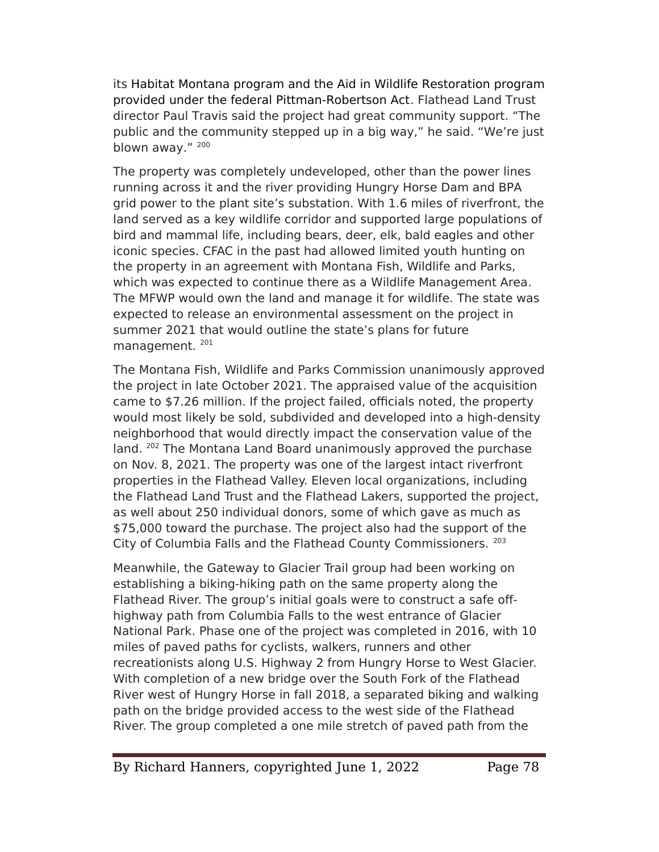its Habitat Montana program and the Aid in Wildlife Restoration program provided under the federal Pittman-Robertson Act. Flathead Land Trust director eaul Travis said the project had great community support. "The public and the community stepped up in a big way," he said. "We're just blown away." 200

The property was completely undeveloped, other than the power lines running across it and the river providing Hungry Horse Dam and BeA grid power to the plant site's substation. With 1.6 miles of riverfront, the land served as a key wildlife corridor and supported large populations of bird and mammal life, including bears, deer, elk, bald eagles and other iconic species. CFAC in the past had allowed limited youth hunting on the property in an agreement with Montana Fish, Wildlife and Parks, which was expected to continue there as a Wildlife Management Area. The MFWe would own the land and manage it for wildlife. The state was expected to release an environmental assessment on the project in summer 2021 that would outline the state's plans for future management. <sup>201</sup>

The Montana Fish, Wildlife and Parks Commission unanimously approved the project in late October 2021. The appraised value of the acquisition came to \$7.26 million. If the project failed, officials noted, the property would most likely be sold, subdivided and developed into a high-density neighborhood that would directly impact the conservation value of the land.  $202$  The Montana Land Board unanimously approved the purchase on Nov. 8, 2021. The property was one of the largest intact riverfront properties in the Flathead Valley. Eleven local organizations, including the Flathead Land Trust and the Flathead Lakers, supported the project, as well about 250 individual donors, some of which gave as much as \$75,000 toward the purchase. The project also had the support of the City of Columbia Falls and the Flathead County Commissioners. <sup>203</sup>

Meanwhile, the Gateway to Glacier Trail group had been working on establishing a biking-hiking path on the same property along the Flathead River. The group's initial goals were to construct a safe ofhighway path from Columbia Falls to the west entrance of Glacier National Park. Phase one of the project was completed in 2016, with 10 miles of paved paths for cyclists, walkers, runners and other recreationists along U.S. Highway 2 from Hungry Horse to West Glacier. With completion of a new bridge over the South Fork of the Flathead River west of Hungry Horse in fall 2018, a separated biking and walking path on the bridge provided access to the west side of the Flathead River. The group completed a one mile stretch of paved path from the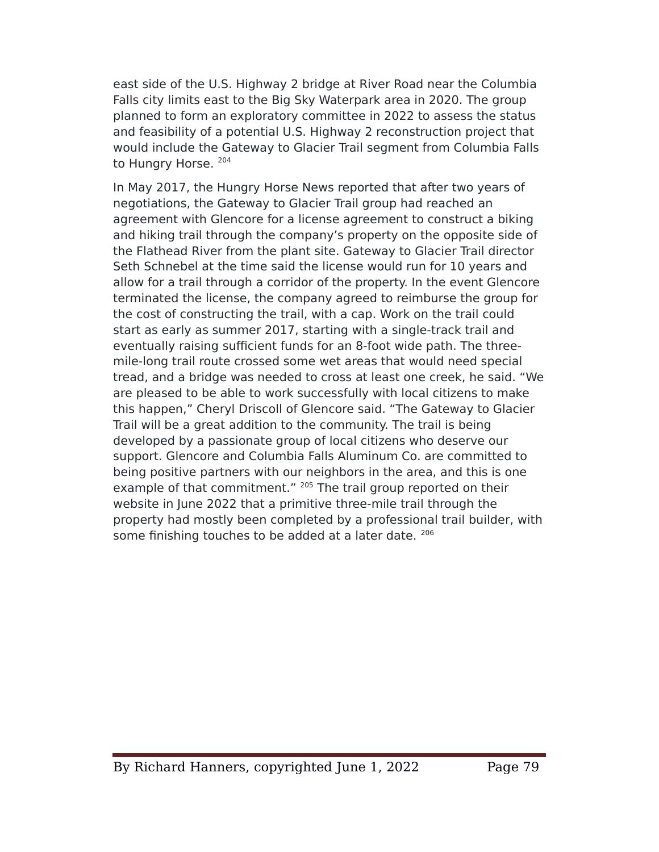east side of the U.S. Highway 2 bridge at River Road near the Columbia Falls city limits east to the Big Sky Waterpark area in 2020. The group planned to form an exploratory committee in 2022 to assess the status and feasibility of a potential U.S. Highway 2 reconstruction project that would include the Gateway to Glacier Trail segment from Columbia Falls to Hungry Horse. 204

In May 2017, the Hungry Horse News reported that after two years of negotiations, the Gateway to Glacier Trail group had reached an agreement with Glencore for a license agreement to construct a biking and hiking trail through the company's property on the opposite side of the Flathead River from the plant site. Gateway to Glacier Trail director Seth Schnebel at the time said the license would run for 10 years and allow for a trail through a corridor of the property. In the event Glencore terminated the license, the company agreed to reimburse the group for the cost of constructing the trail, with a cap. Work on the trail could start as early as summer 2017, starting with a single-track trail and eventually raising sufficient funds for an 8-foot wide path. The threemile-long trail route crossed some wet areas that would need special tread, and a bridge was needed to cross at least one creek, he said. "We are pleased to be able to work successfully with local citizens to make this happen," Cheryl Driscoll of Glencore said. "The Gateway to Glacier Trail will be a great addition to the community. The trail is being developed by a passionate group of local citizens who deserve our support. Glencore and Columbia Falls Aluminum Co. are committed to being positive partners with our neighbors in the area, and this is one example of that commitment." <sup>205</sup> The trail group reported on their website in June 2022 that a primitive three-mile trail through the property had mostly been completed by a professional trail builder, with some finishing touches to be added at a later date. 206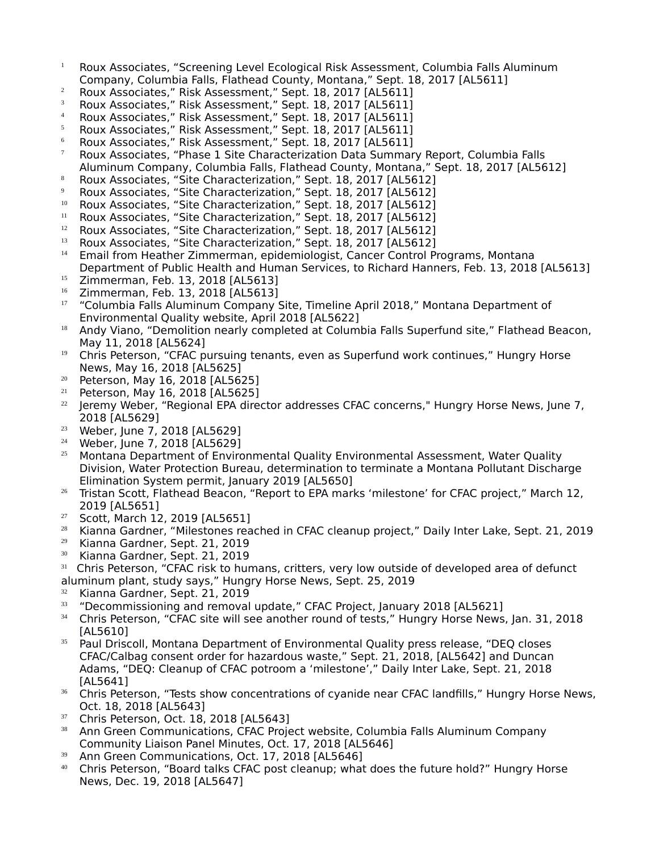- $1$  Roux Associates, "Screening Level Ecological Risk Assessment, Columbia Falls Aluminum Company, Columbia Falls, Flathead County, Montana," Sept. 18, 2017 [AL5611]
- <sup>2</sup> Roux Associates," Risk Assessment," Sept. 18, 2017 [AL5611]
- <sup>3</sup> Roux Associates," Risk Assessment," Sept. 18, 2017 [AL5611]
- <sup>4</sup> Roux Associates," Risk Assessment," Sept. 18, 2017 [AL5611]
- $5$  Roux Associates," Risk Assessment," Sept. 18, 2017 [AL5611]
- $6$  Roux Associates," Risk Assessment," Sept. 18, 2017 [AL5611]
- $7$  Roux Associates, "Phase 1 Site Characterization Data Summary Report, Columbia Falls Aluminum Company, Columbia Falls, Flathead County, Montana," Sept. 18, 2017 [AL5612]
- 8 Roux Associates, "Site Characterization," Sept. 18, 2017 [AL5612]
- $9$  Roux Associates, "Site Characterization," Sept. 18, 2017 [AL5612]
- <sup>10</sup> Roux Associates, "Site Characterization," Sept. 18, 2017 [AL5612]
- <sup>11</sup> Roux Associates, "Site Characterization," Sept. 18, 2017 [AL5612]<br><sup>12</sup> Poux Associates, "Site Characterization," Sept. 18, 2017 [AL5612]
- <sup>12</sup> Roux Associates, "Site Characterization," Sept. 18, 2017 [AL5612]<br><sup>13</sup> Poux Associates, "Site Characterization," Sept. 18, 2017 [AL5612]
- <sup>13</sup> Roux Associates, "Site Characterization," Sept. 18, 2017 [AL5612]
- Email from Heather Zimmerman, epidemiologist, Cancer Control Programs, Montana Department of Public Health and Human Services, to Richard Hanners, Feb. 13, 2018 [AL5613] <sup>15</sup> Zimmerman, Feb. 13, 2018 [AL5613]
- <sup>16</sup> Zimmerman, Feb. 13, 2018 [AL5613]
- <sup>17</sup> "Columbia Falls Aluminum Company Site, Timeline April 2018," Montana Department of Environmental Quality website, April 2018 [AL5622]
- <sup>18</sup> Andy Viano, "Demolition nearly completed at Columbia Falls Superfund site," Flathead Beacon, May 11, 2018 [AL5624]
- $19$  Chris Peterson, "CFAC pursuing tenants, even as Superfund work continues," Hungry Horse News, May 16, 2018 [AL5625]
- $20$  Peterson, May 16, 2018 [AL5625]<br> $21$  Peterson May 16, 2018 [AL5625]
- Peterson, May 16, 2018 [AL5625]
- $22$  Jeremy Weber, "Regional EPA director addresses CFAC concerns," Hungry Horse News, June 7, 2018 [AL5629]
- <sup>23</sup> Weber, June 7, 2018 [AL5629]
- <sup>24</sup> Weber, June 7, 2018 [AL5629]
- <sup>25</sup> Montana Department of Environmental Quality Environmental Assessment, Water Quality Division, Water Protection Bureau, determination to terminate a Montana Pollutant Discharge Elimination System permit, January 2019 [AL5650]
- $26$  Tristan Scott, Flathead Beacon, "Report to EPA marks 'milestone' for CFAC project," March 12, 2019 [AL5651]
- <sup>27</sup> Scott, March 12, 2019 [AL5651]
- <sup>28</sup> Kianna Gardner, "Milestones reached in CFAC cleanup project," Daily Inter Lake, Sept. 21, 2019
- <sup>29</sup> Kianna Gardner, Sept. 21, 2019
- <sup>30</sup> Kianna Gardner, Sept. 21, 2019
- <sup>31</sup> Chris Peterson, "CFAC risk to humans, critters, very low outside of developed area of defunct aluminum plant, study says," Hungry Horse News, Sept. 25, 2019
- $\frac{32}{33}$  Kianna Gardner, Sept. 21, 2019
- <sup>33</sup> "Decommissioning and removal update," CFAC eroject, January 2018 [AL5621]
- <sup>34</sup> Chris Peterson, "CFAC site will see another round of tests," Hungry Horse News, Jan. 31, 2018 [AL5610]
- <sup>35</sup> Paul Driscoll, Montana Department of Environmental Quality press release, "DEQ closes CFAC/Calbag consent order for hazardous waste," Sept. 21, 2018, [AL5642] and Duncan Adams, "DEQ: Cleanup of CFAC potroom a 'milestone'," Daily Inter Lake, Sept. 21, 2018 [AL5641]
- <sup>36</sup> Chris Peterson, "Tests show concentrations of cyanide near CFAC landfills," Hungry Horse News, Oct. 18, 2018 [AL5643]
- $37$  Chris Peterson, Oct. 18, 2018 [AL5643]
- <sup>38</sup> Ann Green Communications, CFAC Project website, Columbia Falls Aluminum Company Community Liaison Panel Minutes, Oct. 17, 2018 [AL5646]
- <sup>39</sup> Ann Green Communications, Oct. 17, 2018 [AL5646]
- <sup>40</sup> Chris eeterson, "Board talks CFAC post cleanup; what does the future hold?" Hungry Horse News, Dec. 19, 2018 [AL5647]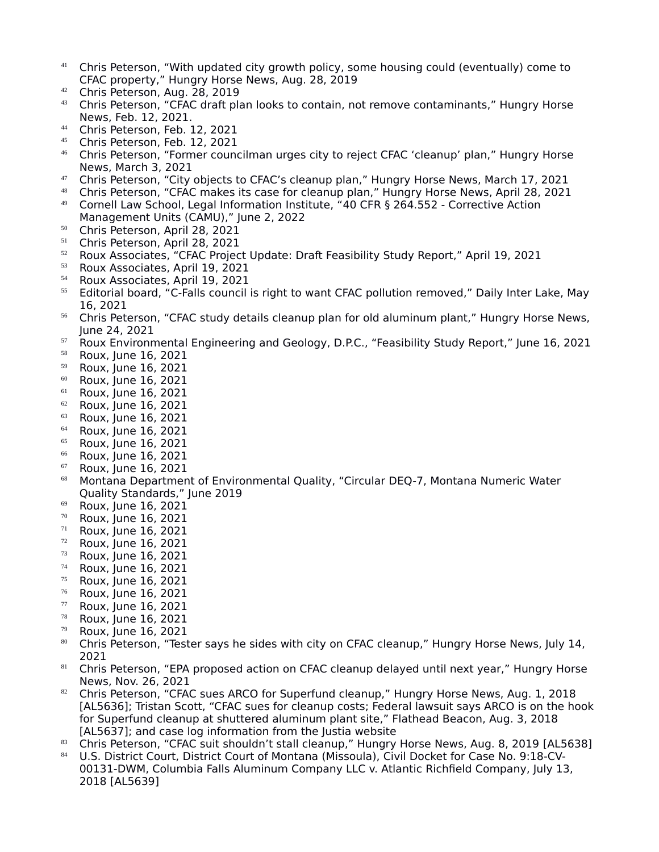- <sup>41</sup> Chris Peterson, "With updated city growth policy, some housing could (eventually) come to CFAC property," Hungry Horse News, Aug. 28, 2019
- <sup>42</sup> Chris Peterson, Aug. 28, 2019
- $43$  Chris Peterson, "CFAC draft plan looks to contain, not remove contaminants," Hungry Horse News, Feb. 12, 2021.
- <sup>44</sup> Chris Peterson, Feb. 12, 2021
- <sup>45</sup> Chris Peterson, Feb. 12, 2021<br><sup>46</sup> Chris Peterson, "Former counc
- <sup>46</sup> Chris eeterson, "Former councilman urges city to reject CFAC 'cleanup' plan," Hungry Horse News, March 3, 2021
- <sup>47</sup> Chris Peterson, "City objects to CFAC's cleanup plan," Hungry Horse News, March 17, 2021
- <sup>48</sup> Chris Peterson, "CFAC makes its case for cleanup plan," Hungry Horse News, April 28, 2021
- <sup>49</sup> Cornell Law School, Legal Information Institute, "40 CFR § 264.552 Corrective Action Management Units (CAMU)," June 2, 2022
- 
- $50$  Chris Peterson, April 28, 2021  $51$  Chris Peterson, April 28, 2021
- <sup>52</sup> Roux Associates, "CFAC eroject Update: Draft Feasibility Study Report," April 19, 2021
- <sup>53</sup> Roux Associates, April 19, 2021<br><sup>54</sup> Boux Associates, April 19, 2021
- <sup>54</sup> Roux Associates, April 19, 2021
- <sup>55</sup> Editorial board, "C-Falls council is right to want CFAC pollution removed," Daily Inter Lake, May 16, 2021
- <sup>56</sup> Chris Peterson, "CFAC study details cleanup plan for old aluminum plant," Hungry Horse News, June 24, 2021
- 57 Roux Environmental Engineering and Geology, D.P.C., "Feasibility Study Report," June 16, 2021
- $^{58}$  Roux, June 16, 2021
- <sup>59</sup> Roux, June 16, 2021
- $^{60}$  Roux, June 16, 2021<br> $^{61}$  Roux, June 16, 2021
- $^{61}$  Roux, June 16, 2021
- $^{62}$  Roux, June 16, 2021
- <sup>63</sup> Roux, June 16, 2021
- $^{64}$  Roux, June 16, 2021
- <sup>65</sup> Roux, June 16, 2021
- $^{66}$  Roux, June 16, 2021
- <sup>67</sup> Roux, June 16, 2021
- <sup>68</sup> Montana Department of Environmental Quality, "Circular DEQ-7, Montana Numeric Water Quality Standards," June 2019
- <sup>69</sup> Roux, June 16, 2021
- $\frac{70}{71}$  Roux, June 16, 2021
- Roux, June 16, 2021
- $\frac{72}{73}$  Roux, June 16, 2021
- <sup>73</sup> Roux, June 16, 2021
- $^{74}$  Roux, June 16, 2021
- <sup>75</sup> Roux, June 16, 2021
- $^{76}$  Roux, June 16, 2021
- Roux, June 16, 2021
- <sup>78</sup> Roux, June 16, 2021
- <sup>79</sup> Roux, June 16, 2021
- 80 Chris Peterson, "Tester says he sides with city on CFAC cleanup," Hungry Horse News, July 14, 2021
- 81 Chris Peterson, "EPA proposed action on CFAC cleanup delayed until next year," Hungry Horse News, Nov. 26, 2021
- <sup>82</sup> Chris Peterson, "CFAC sues ARCO for Superfund cleanup," Hungry Horse News, Aug. 1, 2018 [AL5636]; Tristan Scott, "CFAC sues for cleanup costs; Federal lawsuit says ARCO is on the hook for Superfund cleanup at shuttered aluminum plant site," Flathead Beacon, Aug. 3, 2018 [AL5637]; and case log information from the Justia website
- 83 Chris Peterson, "CFAC suit shouldn't stall cleanup," Hungry Horse News, Aug. 8, 2019 [AL5638]
- <sup>84</sup> U.S. District Court, District Court of Montana (Missoula), Civil Docket for Case No. 9:18-CV-00131-DWM, Columbia Falls Aluminum Company LLC v. Atlantic Richfeld Company, July 13, 2018 [AL5639]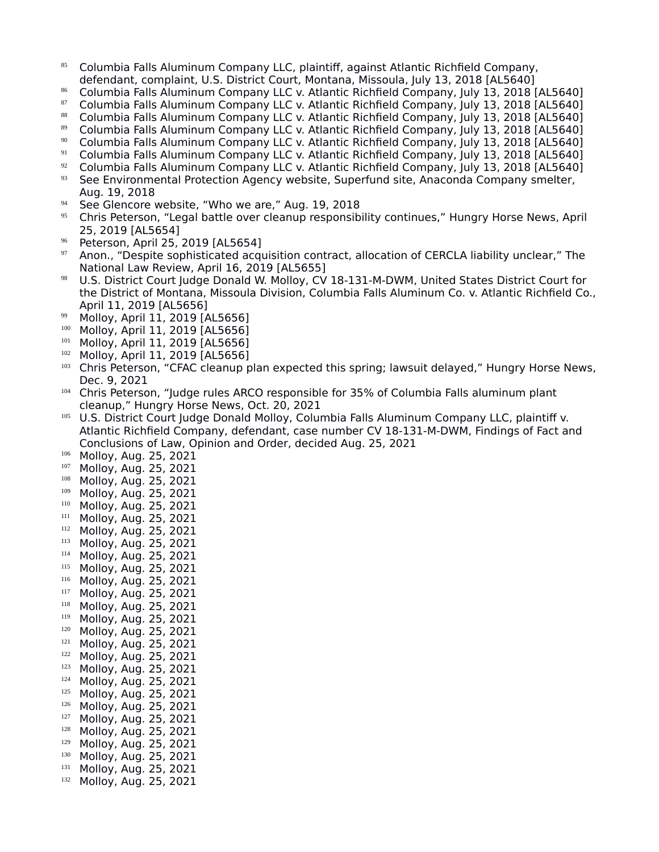- 85 Columbia Falls Aluminum Company LLC, plaintiff, against Atlantic Richfield Company, defendant, complaint, U.S. District Court, Montana, Missoula, July 13, 2018 [AL5640]
- 86 Columbia Falls Aluminum Company LLC v. Atlantic Richfield Company, July 13, 2018 [AL5640]
- 87 Columbia Falls Aluminum Company LLC v. Atlantic Richfield Company, July 13, 2018 [AL5640]
- 88 Columbia Falls Aluminum Company LLC v. Atlantic Richfield Company, July 13, 2018 [AL5640]
- 89 Columbia Falls Aluminum Company LLC v. Atlantic Richfield Company, July 13, 2018 [AL5640]
- <sup>90</sup> Columbia Falls Aluminum Company LLC v. Atlantic Richfield Company, July 13, 2018 [AL5640]<br><sup>91</sup> Columbia Falls Aluminum Company LLC v. Atlantic Richfield Company, July 13, 2018 [AL5640]
- <sup>91</sup> Columbia Falls Aluminum Company LLC v. Atlantic Richfeld Company, July 13, 2018 [AL5640]
- <sup>92</sup> Columbia Falls Aluminum Company LLC v. Atlantic Richfield Company, July 13, 2018 [AL5640]<br><sup>93</sup> See Environmental Protection Agency website, Superfund site, Anaconda Company smelter
- See Environmental Protection Agency website, Superfund site, Anaconda Company smelter, Aug. 19, 2018
- <sup>94</sup> See Glencore website, "Who we are," Aug. 19, 2018
- <sup>95</sup> Chris Peterson, "Legal battle over cleanup responsibility continues," Hungry Horse News, April 25, 2019 [AL5654]
- $^{96}$  Peterson, April 25, 2019 [AL5654]
- Anon., "Despite sophisticated acquisition contract, allocation of CERCLA liability unclear," The National Law Review, April 16, 2019 [AL5655]
- 98 U.S. District Court Judge Donald W. Molloy, CV 18-131-M-DWM, United States District Court for the District of Montana, Missoula Division, Columbia Falls Aluminum Co. v. Atlantic Richfeld Co., April 11, 2019 [AL5656]
- 99 Molloy, April 11, 2019 [AL5656]
- 100 Molloy, April 11, 2019 [AL5656]
- Molloy, April 11, 2019 [AL5656]
- $102$  Molloy, April 11, 2019 [AL5656]
- <sup>103</sup> Chris eeterson, "CFAC cleanup plan expected this spring; lawsuit delayed," Hungry Horse News, Dec. 9, 2021
- <sup>104</sup> Chris Peterson, "Judge rules ARCO responsible for 35% of Columbia Falls aluminum plant cleanup," Hungry Horse News, Oct. 20, 2021
- <sup>105</sup> U.S. District Court Judge Donald Molloy, Columbia Falls Aluminum Company LLC, plaintiff v. Atlantic Richfeld Company, defendant, case number CV 18-131-M-DWM, Findings of Fact and Conclusions of Law, Opinion and Order, decided Aug. 25, 2021
- 106 Molloy, Aug. 25, 2021
- <sup>107</sup> Molloy, Aug. 25, 2021
- <sup>108</sup> Molloy, Aug. 25, 2021
- <sup>109</sup> Molloy, Aug. 25, 2021
- <sup>110</sup> Molloy, Aug. 25, 2021
- $111$  Molloy, Aug. 25, 2021
- Molloy, Aug. 25, 2021
- $113$  Molloy, Aug. 25, 2021
- Molloy, Aug. 25, 2021
- $115$  Molloy, Aug. 25, 2021
- Molloy, Aug. 25, 2021
- $^{117}$  Molloy, Aug. 25, 2021
- Molloy, Aug. 25, 2021
- <sup>119</sup> Molloy, Aug. 25, 2021
- <sup>120</sup> Molloy, Aug. 25, 2021
- $121$  Molloy, Aug. 25, 2021
- <sup>122</sup> Molloy, Aug. 25, 2021
- <sup>123</sup> Molloy, Aug. 25, 2021
- $124$  Molloy, Aug. 25, 2021<br> $125$  Molloy Aug. 25, 2021
- <sup>125</sup> Molloy, Aug. 25, 2021
- <sup>126</sup> Molloy, Aug. 25, 2021
- <sup>127</sup> Molloy, Aug. 25, 2021
- <sup>128</sup> Molloy, Aug. 25, 2021 <sup>129</sup> Molloy, Aug. 25, 2021
- 
- $130$  Molloy, Aug. 25, 2021 Molloy, Aug. 25, 2021
- 132 Molloy, Aug. 25, 2021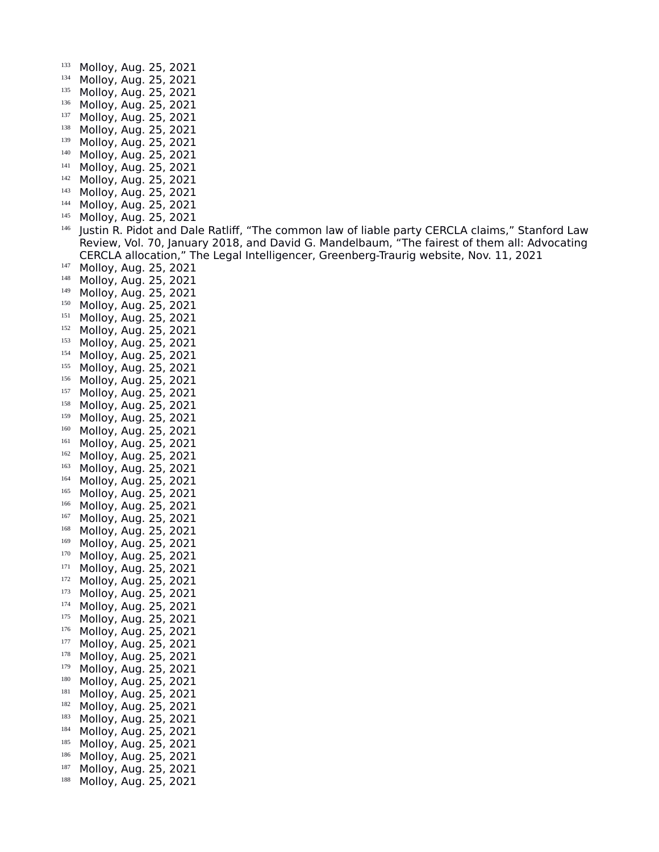- 133 Molloy, Aug. 25, 2021
- <sup>134</sup> Molloy, Aug. 25, 2021<br><sup>135</sup> Molloy Aug. 25, 2021
- <sup>135</sup> Molloy, Aug. 25, 2021
- 136 Molloy, Aug. 25, 2021
- <sup>137</sup> Molloy, Aug. 25, 2021
- <sup>138</sup> Molloy, Aug. 25, 2021
- $139$  Molloy, Aug. 25, 2021
- <sup>140</sup> Molloy, Aug. 25, 2021
- $141$  Molloy, Aug. 25, 2021
- Molloy, Aug. 25, 2021 <sup>143</sup> Molloy, Aug. 25, 2021
- 
- <sup>144</sup> Molloy, Aug. 25, 2021
- $145$  Molloy, Aug. 25, 2021
- Justin R. Pidot and Dale Ratliff, "The common law of liable party CERCLA claims," Stanford Law Review, Vol. 70, January 2018, and David G. Mandelbaum, "The fairest of them all: Advocating CERCLA allocation," The Legal Intelligencer, Greenberg-Traurig website, Nov. 11, 2021
- <sup>147</sup> Molloy, Aug. 25, 2021
- <sup>148</sup> Molloy, Aug. 25, 2021
- <sup>149</sup> Molloy, Aug. 25, 2021
- $^{150}$  Molloy, Aug. 25, 2021
- Molloy, Aug. 25, 2021
- $^{152}$  Molloy, Aug. 25, 2021
- Molloy, Aug. 25, 2021
- $^{154}$  Molloy, Aug. 25, 2021
- <sup>155</sup> Molloy, Aug. 25, 2021
- <sup>156</sup> Molloy, Aug. 25, 2021<br><sup>157</sup> Molloy, Aug. 25, 2021
- Molloy, Aug. 25, 2021
- $^{158}$  Molloy, Aug. 25, 2021
- Molloy, Aug. 25, 2021
- $^{160}$  Molloy, Aug. 25, 2021
- <sup>161</sup> Molloy, Aug. 25, 2021<br><sup>162</sup> Molloy, Aug. 25, 2021
- $^{162}$  Molloy, Aug. 25, 2021<br> $^{163}$  Molloy, Aug. 25, 2021 Molloy, Aug. 25, 2021
- <sup>164</sup> Molloy, Aug. 25, 2021
- <sup>165</sup> Molloy, Aug. 25, 2021
- <sup>166</sup> Molloy, Aug. 25, 2021
- $^{167}$  Molloy, Aug. 25, 2021
- Molloy, Aug. 25, 2021
- $^{169}$  Molloy, Aug. 25, 2021
- Molloy, Aug. 25, 2021
- $171$  Molloy, Aug. 25, 2021
- $172$  Molloy, Aug. 25, 2021
- <sup>173</sup> Molloy, Aug. 25, 2021<br><sup>174</sup> Molloy, Aug. 25, 2021
- Molloy, Aug. 25, 2021
- <sup>175</sup> Molloy, Aug. 25, 2021
- <sup>176</sup> Molloy, Aug. 25, 2021
- <sup>177</sup> Molloy, Aug. 25, 2021
- $178$  Molloy, Aug. 25, 2021<br> $179$  Molloy Aug. 25, 2021
- Molloy, Aug. 25, 2021
- $^{180}$  Molloy, Aug. 25, 2021
- $181$  Molloy, Aug. 25, 2021
- $182$  Molloy, Aug. 25, 2021 Molloy, Aug. 25, 2021
- $184$  Molloy, Aug. 25, 2021
- Molloy, Aug. 25, 2021
- <sup>186</sup> Molloy, Aug. 25, 2021
- Molloy, Aug. 25, 2021
- 188 Molloy, Aug. 25, 2021